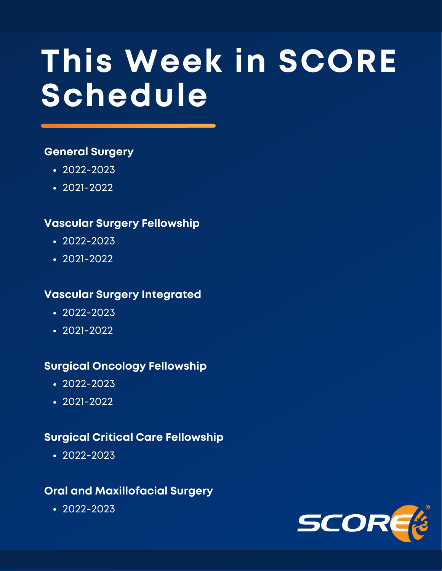# **This Week in SCORE Schedule**

### **General Surgery**

- $\cdot$  [2022-2023](#page-1-0)
- [2021-2022](#page-4-0)

### **Vascular Surgery Fellowship**

- $-2022 2023$
- [2021-2022](#page-10-0)

### **Vascular Surgery Integrated**

- $-2022 2023$
- $-2021-2022$  $-2021-2022$

### **Surgical Oncology Fellowship**

- $-2022 2023$
- $\cdot$  [2021-2022](#page-21-0)

### **Surgical Critical Care Fellowship**

 $-2022 - 2023$ 

### **Oral and Maxillofacial Surgery**

[2022-2023](#page-25-0)

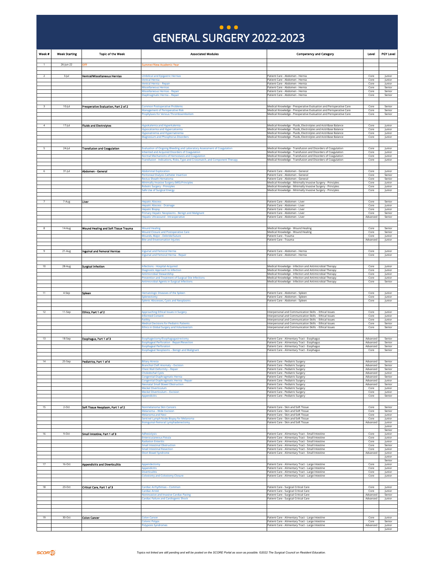### GENERAL SURGERY 2022-2023 **... )**

<span id="page-1-0"></span>

| Week #         | <b>Week Starting</b> | <b>Topic of the Week</b>               | <b>Associated Modules</b>                                                                                                        | <b>Competency and Category</b>                                                                                                                              | Level                | <b>PGY Level</b>           |
|----------------|----------------------|----------------------------------------|----------------------------------------------------------------------------------------------------------------------------------|-------------------------------------------------------------------------------------------------------------------------------------------------------------|----------------------|----------------------------|
| $\mathbf{1}$   | 26-Jun-22            | DFF                                    | Summer/New Academic Year                                                                                                         |                                                                                                                                                             |                      |                            |
|                |                      |                                        |                                                                                                                                  |                                                                                                                                                             |                      |                            |
| $\overline{2}$ | 3-jul                | Ventral/Miscellaneous Hernias          | <b>Umbilical and Epigastric Hernias</b><br><b>Ventral Hernia</b>                                                                 | Patient Care - Abdomen - Hernia<br>Patient Care - Abdomen - Hernia                                                                                          | Core<br>Core         | Junior<br>Junior           |
|                |                      |                                        | Ventral Hernia - Repair<br>Miscellaneous Hernias                                                                                 | Patient Care - Abdomen - Hernia<br>Patient Care - Abdomen - Hernia                                                                                          | Core<br>Core         | Junior<br>Senior           |
|                |                      |                                        | Miscellaneous Hernias - Renair<br>Diaphragmatic Hernia - Repair                                                                  | Patient Care - Abdomen - Hernia<br>Patient Care - Abdomen - Hernia                                                                                          | Core<br>Core         | Senior<br>Senior           |
|                |                      |                                        |                                                                                                                                  |                                                                                                                                                             |                      |                            |
| $\mathbf{R}$   | $10$ -Jul            | Preoperative Evaluation, Part 2 of 2   | <b>Common Postoperative Problems</b>                                                                                             | Medical Knowledge - Preoperative Evaluation and Perioperative Care                                                                                          | Core                 | Senior                     |
|                |                      |                                        | <b>Management of Perioperative Risk</b><br>Prophylaxis for Venous Thromboembolism                                                | Medical Knowledge - Preoperative Evaluation and Perioperative Care<br>Medical Knowledge - Preoperative Evaluation and Perioperative Care                    | Core<br>Core         | Senior<br>Senior           |
|                |                      |                                        |                                                                                                                                  |                                                                                                                                                             |                      |                            |
| $\overline{4}$ | $17 -$ Jul           | <b>Fluids and Electrolytes</b>         | Hypokalemia and Hyperkalemia<br>Hypocalcemia and Hypercalcemia                                                                   | Medical Knowledge - Fluids, Electrolytes and Acid-Base Balance<br>Medical Knowledge - Fluids, Electrolytes and Acid-Base Balance                            | Core<br>Core         | Junior<br>Junior           |
|                |                      |                                        | Hyponatremia and Hypernatremia<br><b>Magnesium and Phosphorus Disorders</b>                                                      | Medical Knowledge - Fluids, Electrolytes and Acid-Base Balance<br>Medical Knowledge - Fluids, Electrolytes and Acid-Base Balance                            | Core<br>Core         | Junior<br>Junior           |
|                |                      |                                        |                                                                                                                                  |                                                                                                                                                             |                      |                            |
| 5              | 24-Jul               | <b>Transfusion and Coagulation</b>     | <b>Evaluation of Ongoing Bleeding and Laboratory Assessment of Coagulation</b><br>nherited and Acquired Disorders of Coagulation | Medical Knowledge - Transfusion and Disorders of Coagulation<br>Medical Knowledge - Transfusion and Disorders of Coagulation                                | Core<br>Core         | Junior<br>Junior           |
|                |                      |                                        | Normal Mechanisms of Hemostasis and Coagulation<br>Transfusion - Indications, Risks, Type and Crossmatch, and Component Therapy  | Medical Knowledge - Transfusion and Disorders of Coagulation<br>Medical Knowledge - Transfusion and Disorders of Coagulation                                | Core<br>Core         | Junior                     |
|                |                      |                                        |                                                                                                                                  |                                                                                                                                                             |                      | Junior                     |
| 6              | $31 -$ Jul           | Abdomen - General                      | <b>Abdominal Exploration</b>                                                                                                     | Patient Care - Abdomen - General                                                                                                                            | Core                 | Junior                     |
|                |                      |                                        | Peritoneal Dialysis Catheter Insertion<br><b>Rectus Sheath Hematoma</b>                                                          | Patient Care - Abdomen - General<br>Patient Care - Abdomen - General                                                                                        | Core<br>Core         | Senior<br>Senior           |
|                |                      |                                        | Minimally Invasive Surgery (MIS) Principles<br><b>Robotic Surgery - Principles</b>                                               | Medical Knowledge - Minimally Invasive Surgery - Principles<br>Medical Knowledge - Minimally Invasive Surgery - Principles                                  | Core<br>Core         | Junior<br>Junior           |
|                |                      |                                        | Safe Use of Surgical Energy                                                                                                      | Medical Knowledge - Minimally Invasive Surgery - Principles                                                                                                 | Core                 | Junior                     |
|                | 7-Aug                | Liver                                  | <b>Hepatic Abscess</b>                                                                                                           | Patient Care - Abdomen - Liver                                                                                                                              | Core                 | Senior                     |
|                |                      |                                        | <b>Hepatic Abscess - Drainage</b>                                                                                                | Patient Care - Abdomen - Liver<br>Patient Care - Abdomen - Liver                                                                                            | Core                 | Junior                     |
|                |                      |                                        | <b>Hepatic Biopsy</b><br>Primary Hepatic Neoplasms - Benign and Malignant                                                        | Patient Care - Abdomen - Liver                                                                                                                              | Core<br>Core         | Junior<br>Senior           |
|                |                      |                                        | Hepatic Ultrasound - Intraoperative                                                                                              | Patient Care - Abdomen - Liver                                                                                                                              | Advanced             | Senior                     |
| 8              | 14-Aug               | Wound Healing and Soft Tissue Trauma   | <b>Wound Healing</b>                                                                                                             | Medical Knowledge - Wound Healing                                                                                                                           | Core                 | Senior                     |
|                |                      |                                        | <b>Nound Closure and Postoperative Care</b><br>Wounds Major - Debride/Suture                                                     | Medical Knowledge - Wound Healing<br>Patient Care - Trauma                                                                                                  | Core<br>Core         | Senior<br>Junior           |
|                |                      |                                        | <b>Bite and Envenomation Injuries</b>                                                                                            | Patient Care - Trauma                                                                                                                                       | Advanced             | Junior                     |
| 9              | 21-Aug               | Inguinal and Femoral Hernias           | Inguinal and Femoral Hernia                                                                                                      | Patient Care - Ahdomen - Hernia                                                                                                                             | Core                 | Junior                     |
|                |                      |                                        | nguinal and Femoral Hernia - Repair                                                                                              | Patient Care - Abdomen - Hernia                                                                                                                             | Core                 | Junior                     |
|                |                      |                                        |                                                                                                                                  |                                                                                                                                                             |                      |                            |
| 10             | 28-Aug               | <b>Surgical Infection</b>              | nfections - Hospital-Acquired<br>Diagnostic Approach to Infection                                                                | Medical Knowledge - Infection and Antimicrobial Therapy<br>Medical Knowledge - Infection and Antimicrobial Therapy                                          | Core<br>Core         | Junior<br>Junior           |
|                |                      |                                        | Antimicrobial Stewardship<br>Prevention and Treatment of Surgical Site Infections                                                | Medical Knowledge - Infection and Antimicrobial Therapy<br>Medical Knowledge - Infection and Antimicrobial Therapy                                          | Core<br>Core         | Junior<br>Junior           |
|                |                      |                                        | <b>Antimicrobial Agents in Surgical Infectio</b>                                                                                 | Medical Knowledge - Infection and Antimicrobial Therapy                                                                                                     | Core                 | Senior                     |
|                |                      |                                        |                                                                                                                                  |                                                                                                                                                             |                      |                            |
| 11             |                      |                                        |                                                                                                                                  |                                                                                                                                                             | Core                 | Junior                     |
|                | 4-Sep                | Spieen                                 | <b>Hematologic Diseases of the Spleen</b><br>iplenectomy                                                                         | Patient Care - Abdomen - Spleen<br>Patient Care - Abdomen - Spleen                                                                                          | Core                 | Junior                     |
|                |                      |                                        | Splenic Abscesses, Cysts and Neoplasms                                                                                           | Patient Care - Abdomen - Spleen                                                                                                                             | Core                 | Junior                     |
| 12             | 11-Sep               | Ethics, Part 1 of 2                    | <b>Approaching Ethical Issues in Surgery</b>                                                                                     | Interpersonal and Communication Skills - Ethical Issues                                                                                                     | Core                 | Junior                     |
|                |                      |                                        | <b>Informed Consent</b><br>Futility                                                                                              | Interpersonal and Communication Skills - Ethical Issues<br>Interpersonal and Communication Skills - Ethical Issues                                          | Core<br>Core         | Junior<br>Junior           |
|                |                      |                                        | <b>Medical Decisions for Pediatric Patients</b><br>Ethics in Global Surgery and Volunteerism                                     | Interpersonal and Communication Skills - Ethical Issues<br>Interpersonal and Communication Skills - Ethical Issues                                          | Core<br>Core         | Senior<br>Senior           |
|                |                      |                                        |                                                                                                                                  |                                                                                                                                                             |                      |                            |
| 13             | 18-Sep               | Esophagus, Part 1 of 3                 | Esophagectomy/Esophagogastrectomy                                                                                                | Patient Care - Alimentary Tract - Esophagus                                                                                                                 | Advanced<br>Advanced | Senior<br>Senior           |
|                |                      |                                        | <b>Esophageal Perforation - Repair/Resection</b><br><b>Esonhageal Perforation</b>                                                | Patient Care - Alimentary Tract - Esophagus<br>Patient Care - Alimentary Tract - Esophagus                                                                  | Advanced             | Senior                     |
|                |                      |                                        | <b>Esophageal Neoplasms - Benign and Malignant</b>                                                                               | Patient Care - Alimentary Tract - Esophagus                                                                                                                 | Core                 | Senior                     |
| 14             | 25-Sep               | Pediatrics, Part 1 of 4                | <b>Biliary Atresia</b>                                                                                                           | Patient Care - Pediatric Surgery                                                                                                                            | Advanced             | Senior                     |
|                |                      |                                        | <b>Branchial Cleft Anomaly - Excision</b><br><b>Chest Wall Deformity - Repair</b>                                                | Patient Care - Pediatric Surgery<br>Patient Care - Pediatric Surgery                                                                                        | Advanced<br>Advanced | Senior<br>Senior           |
|                |                      |                                        | <b>Congenital Diaphragmatic Hernia</b>                                                                                           | Patient Care - Pediatric Surgerv<br>Patient Care - Pediatric Surgery                                                                                        | Advanced<br>Advanced | Junior<br>Senior           |
|                |                      |                                        | Congenital Diaphragmatic Hernia - Repair<br><b>Veonatal Small Bowel Obstruction</b>                                              | Patient Care - Pediatric Surgery<br>Patient Care - Pediatric Surgery                                                                                        | Advanced<br>Advanced | Junior<br>Senior           |
|                |                      |                                        | Meckel Diverticulum<br><b>Meckel Diverticulum - Excision</b>                                                                     | Patient Care - Pediatric Surgery                                                                                                                            | Core                 | Junior                     |
|                |                      |                                        | Appendicitis                                                                                                                     | Patient Care - Pediatric Surgery<br>Patient Care - Pediatric Surgery                                                                                        | Core<br>Core         | Junior<br>Senior           |
|                |                      |                                        |                                                                                                                                  |                                                                                                                                                             |                      |                            |
| 15             | 2-Oct                | Soft Tissue Neoplasm, Part 1 of 2      | Nonmelanoma Skin Cancers<br>Melanoma - Wide Excision                                                                             | Patient Care - Skin and Soft Tissue<br>Patient Care - Skin and Soft Tissue                                                                                  | Core<br>Core         | Senior<br>Senior           |
|                |                      |                                        | Melanoma and Nevi<br>Sentinel Lymph Node Biopsy for Melanoma                                                                     | Patient Care - Skin and Soft Tissue<br>Patient Care - Skin and Soft Tissue                                                                                  | Core<br>Core         | Junior<br>Junior           |
|                |                      |                                        | lioinguinal-Femoral Lymphadenectomy                                                                                              | Patient Care - Skin and Soft Tissue                                                                                                                         | Advanced             | Junior<br>Junior           |
| 16             | 9-Oct                | Small Intestine, Part 1 of 3           | <b>Adhesiolysis</b>                                                                                                              | Patient Care - Alimentary Tract - Small Intestine                                                                                                           | Core                 | Senior<br>Junior           |
|                |                      |                                        | <b>Enterocutaneous Fistula</b><br><b>Radiation Enteritis</b>                                                                     | Patient Care - Alimentary Tract - Small Intestine                                                                                                           | Core<br>Core         | Junior<br>Junior           |
|                |                      |                                        | <b>Small Intestinal Obstruction</b>                                                                                              | Patient Care - Alimentary Tract - Small Intestine<br>Patient Care - Alimentary Tract - Small Intestine                                                      | Core                 | Senior                     |
|                |                      |                                        | <b>Small Intestinal Resection</b><br>Short Bowel Syndrome                                                                        | Patient Care - Alimentary Tract - Small Intestine<br>Patient Care - Alimentary Tract - Small Intestine                                                      | Core<br>Advanced     | Junior<br>Junior           |
|                |                      |                                        |                                                                                                                                  |                                                                                                                                                             |                      | Junior<br>Senior           |
| 17             | 16-Oct               | <b>Appendicitis and Diverticulitis</b> | Appendectomy<br>Appendicitis                                                                                                     | Patient Care - Alimentary Tract - Large Intestine<br>Patient Care - Alimentary Tract - Large Intestine                                                      | Core<br>Core         | Junior<br>Junior           |
|                |                      |                                        | Diverticulitis<br><b>Colostomy and Colostomy Closure</b>                                                                         | Patient Care - Alimentary Tract - Large Intestine<br>Patient Care - Alimentary Tract - Large Intestine                                                      | Core<br>Core         | Junior<br>Junior           |
|                |                      |                                        |                                                                                                                                  |                                                                                                                                                             |                      |                            |
| 18             | 23-Oct               | Critical Care, Part 1 of 3             | Cardiac Arrhythmias - Common                                                                                                     | Patient Care - Surgical Critical Care                                                                                                                       | Core                 | Junior                     |
|                |                      |                                        | Cardiac Arrest<br>Noninvasive and Invasive Cardiac Pacing                                                                        | Patient Care - Surgical Critical Care<br>Patient Care - Surgical Critical Care                                                                              | Core<br>Advanced     | Junior<br>Senior           |
|                |                      |                                        | <b>Cardiac Failure and Cardiogenic Shock</b>                                                                                     | Patient Care - Surgical Critical Care                                                                                                                       | Advanced             | Junior                     |
|                |                      |                                        |                                                                                                                                  |                                                                                                                                                             |                      |                            |
| 19             |                      |                                        | <b>Colon Cancer</b>                                                                                                              |                                                                                                                                                             | Core                 |                            |
|                | 30-Oct               | <b>Colon Cancer</b>                    | <b>Colonic Polyps</b><br><b>Polyposis Syndromes</b>                                                                              | Patient Care - Alimentary Tract - Large Intestine<br>Patient Care - Alimentary Tract - Large Intestine<br>Patient Care - Alimentary Tract - Large Intestine | Core<br>Advanced     | Junior<br>Senior<br>Junior |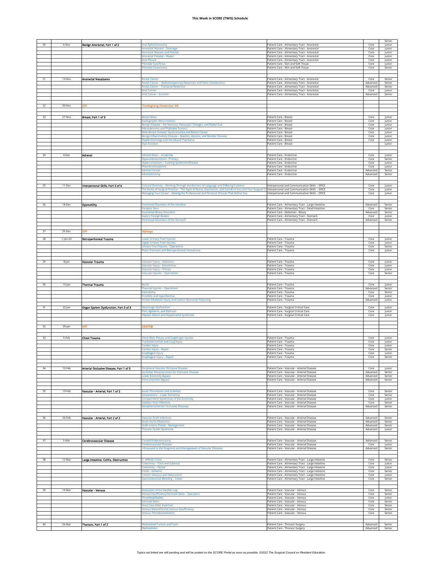|    |             |                                         |                                                                                                                            |                                                                                                        |                      | Senior           |
|----|-------------|-----------------------------------------|----------------------------------------------------------------------------------------------------------------------------|--------------------------------------------------------------------------------------------------------|----------------------|------------------|
|    | 6-Nov       | Benign Anorectal, Part 1 of 2           | unal Sphincterotomy                                                                                                        | Patient Care - Alimentary Tract - Anorectal                                                            | Core                 | Junior           |
|    |             |                                         | <b>Anorectal Abscess - Drainas</b>                                                                                         | Patient Care - Alimentary Tract - Anorectal                                                            | Core                 | Junior           |
|    |             |                                         | Anorectal Abscess and Fistulae                                                                                             | Patient Care - Alimentary Tract - Anorectal                                                            | Core                 | Junior           |
|    |             |                                         | Anorectal Fistulae - Repair                                                                                                | Patient Care - Alimentary Tract - Anorectal                                                            | Core                 | Junior           |
|    |             |                                         | Anal Fissure                                                                                                               | Patient Care - Alimentary Tract - Anorectal                                                            | Core                 | Junior           |
|    |             |                                         | <b>Pilonidal Cyst/Sinus</b>                                                                                                | Patient Care - Skin and Soft Tissue                                                                    | Core                 | Junior           |
|    |             |                                         | <b>Pilonidal Cystectomy</b>                                                                                                | Patient Care - Skin and Soft Tissue                                                                    | Core                 | Senior           |
|    |             |                                         |                                                                                                                            |                                                                                                        |                      |                  |
| 21 | 13-Nov      | <b>Anorectal Neoplasms</b>              | <b>Rectal Cancer</b>                                                                                                       | Patient Care - Alimentary Tract - Anorectal                                                            | Core                 | Senior           |
|    |             |                                         | Rectal Cancer - Abdominoperineal Resection and Pelvic Exenteration                                                         | Patient Care - Alimentary Tract - Anorectal                                                            | Advanced             | Senior           |
|    |             |                                         | <b>Rectal Cancer - Transanal Resection</b>                                                                                 | Patient Care - Alimentary Tract - Anorectal                                                            | Advanced             | Senior           |
|    |             |                                         | Anal Cancer<br><b>Anal Cancer - Excision</b>                                                                               | Patient Care - Alimentary Tract - Anorectal<br>Patient Care - Alimentary Tract - Anorectal             | Core<br>Advanced     | Junior<br>Senior |
|    |             |                                         |                                                                                                                            |                                                                                                        |                      |                  |
|    |             |                                         |                                                                                                                            |                                                                                                        |                      |                  |
| 22 | 20-Nov      | OF₹                                     | Thanksgiving (November 24)                                                                                                 |                                                                                                        |                      |                  |
|    |             |                                         |                                                                                                                            |                                                                                                        |                      |                  |
| 23 | 27-Nov      | Breast, Part 1 of 3                     | <b>Breast Mass</b>                                                                                                         | Patient Care - Breast                                                                                  | Core                 | Junior           |
|    |             |                                         | Radiographic Abnormalities                                                                                                 | Patient Care - Breast                                                                                  | Core                 | Junior           |
|    |             |                                         | Benign Disease - Fat Necrosis, Fibrocystic Changes, and Radial Scar                                                        | Patient Care - Breast                                                                                  | Core                 | Junior           |
|    |             |                                         | <b>Fibroadenoma and Phyllodes Tumors</b>                                                                                   | Patient Care - Breast                                                                                  | Core                 | Junior           |
|    |             |                                         | Male Breast Disease: Gynecomastia and Breast Cancer<br>Benign Inflammatory Disease - Mastitis, Abscess, and Mondor Disease | Patient Care - Breast<br><b>Patient Care - Breast</b>                                                  | Core<br>Core         | Junior<br>Junior |
|    |             |                                         | <b>Nipple Discharge and Intraductal Papilloma</b>                                                                          | Patient Care - Breast                                                                                  | Core                 | Junior           |
|    |             |                                         | <b>Duct Excision</b>                                                                                                       | <b>Patient Care - Breast</b>                                                                           |                      | Junior           |
|    |             |                                         |                                                                                                                            |                                                                                                        |                      |                  |
| 24 | 4-Dec       | Adrenal                                 | Adrenal Mass - Incidental                                                                                                  | Patient Care - Endocrine                                                                               | Core                 | Junior           |
|    |             |                                         | Hyperaldosteronism - Primar                                                                                                | Patient Care - Endocrine                                                                               | Core                 | Senior           |
|    |             |                                         | Hypercortisolism - Cushing Syndrome/Disease                                                                                | Patient Care - Endocrine                                                                               | Core                 | Junior           |
|    |             |                                         | Pheochromocytoma                                                                                                           | Patient Care - Endocrine                                                                               | Core                 | Junior           |
|    |             |                                         | Adrenal Cancer<br>Adrenalectomy                                                                                            | Patient Care - Endocrine                                                                               | Advanced<br>Advanced | Senior<br>Senior |
|    |             |                                         |                                                                                                                            | Patient Care - Endocrine                                                                               |                      |                  |
|    |             |                                         |                                                                                                                            |                                                                                                        |                      |                  |
| 25 | 11-Dec      | Interpersonal Skills, Part 3 of 4       | lultural Diversity - Working Through the Barriers of Language and Differing Customs                                        | nterpersonal and Communication Skills - SPICE                                                          | Core                 | Junior           |
|    |             |                                         | 1 The Stress of Surgical Practice – The Signs of Stress, Depression, and Suicide in You and Your Surgical                  | Interpersonal and Communication Skills - SPICE                                                         | Core                 | Junior           |
|    |             |                                         | Managing Your Career - Making the Professional and Personal Choices That Define You                                        | Interpersonal and Communication Skills - SPICE                                                         | Core                 | Junior           |
|    |             |                                         |                                                                                                                            |                                                                                                        |                      |                  |
|    | 18-Dec      | <b>Dysmotility</b>                      | <b>Functional Disorders of the Intestine</b>                                                                               | Patient Care - Alimentary Tract - Large Intestine                                                      | Advanced             | Senior           |
|    |             |                                         | <b>Paralytic Ileus</b>                                                                                                     | Patient Care - Alimentary Tract - Small Intestine                                                      | Core                 | Senior           |
|    |             |                                         | <b>Functional Biliary Disorders</b>                                                                                        | Patient Care - Abdomen - Biliary                                                                       | Advanced             | Senior           |
|    |             |                                         | <b>Sastric Foreign Bodies</b><br><b>Functional Disorders of the Stomach</b>                                                | Patient Care - Alimentary Tract - Stomach<br>Patient Care - Alimentary Tract - Stomach                 | Core<br>Advanced     | Junior<br>Senior |
|    |             |                                         |                                                                                                                            |                                                                                                        |                      |                  |
|    |             |                                         |                                                                                                                            |                                                                                                        |                      |                  |
| 27 | 25-Dec      | OFF                                     | <b>Holldays</b>                                                                                                            |                                                                                                        |                      |                  |
|    |             |                                         |                                                                                                                            |                                                                                                        |                      |                  |
| 28 | $1$ -Jan-23 | <b>Retroperitoneal Trauma</b>           | Lower Urinary Tract Injuries<br><b>Upper Urinary Tract Injuries</b>                                                        | Patient Care - Trauma<br>Patient Care - Trauma                                                         | Core<br>Core         | Junior<br>Junior |
|    |             |                                         | <b>Urinary Tract Injuries - Operations</b>                                                                                 | Patient Care - Trauma                                                                                  | Core                 | Senior           |
|    |             |                                         | Pelvic Fractures and Retroperitoneal Hematoma                                                                              | Patient Care - Trauma                                                                                  | Core                 | Junior           |
|    |             |                                         |                                                                                                                            |                                                                                                        |                      |                  |
|    |             |                                         |                                                                                                                            |                                                                                                        |                      |                  |
| 29 | 8-Jan       | Vascular Trauma                         | Vascular Injury - Abdomen<br>/ascular Injury - Extremities                                                                 | Patient Care - Trauma<br>atient Care - Trauma                                                          | Core<br>Core         | Junior<br>Junior |
|    |             |                                         | Vascular Injury - Thorax                                                                                                   | Patient Care - Trauma                                                                                  | Core                 | Junior           |
|    |             |                                         | <b>Vascular Injuries - Operations</b>                                                                                      | Patient Care - Trauma                                                                                  | Core                 | Senior           |
|    |             |                                         |                                                                                                                            |                                                                                                        |                      |                  |
| 30 |             |                                         |                                                                                                                            |                                                                                                        |                      |                  |
|    | 15-Jan      | <b>Thermal Trauma</b>                   | <b>Burns</b><br><b>Thermal Injuries - Operations</b>                                                                       | Patient Care - Trauma<br>Patient Care - Trauma                                                         | Core<br>Advanced     | Junior<br>Senior |
|    |             |                                         | Fasciotomy                                                                                                                 | Patient Care - Trauma                                                                                  | Core                 | Senior           |
|    |             |                                         | Frostbite and Hypothermia                                                                                                  | Patient Care - Trauma                                                                                  | Core                 | Junior           |
|    |             |                                         | moke Inhalation Injury and Carbon Monoxide Poisoning                                                                       | Patient Care - Trauma                                                                                  | Advanced             | Junior           |
|    |             |                                         |                                                                                                                            |                                                                                                        |                      |                  |
|    |             |                                         |                                                                                                                            |                                                                                                        |                      |                  |
| 31 | 22-Jan      | Organ System Dysfunction, Part 3 of 3   | <b>Neurologic Dysfunction</b>                                                                                              | Patient Care - Surgical Critical Care                                                                  | Core                 | Junior           |
|    |             |                                         | Pain, Agitation, and Delirium<br>Hepatic Failure and Hepatorenal Syndrome                                                  | Patient Care - Surgical Critical Care<br>Patient Care - Surgical Critical Care                         | Core<br>Core         | Junior<br>Junior |
|    |             |                                         |                                                                                                                            |                                                                                                        |                      |                  |
|    |             |                                         |                                                                                                                            |                                                                                                        |                      |                  |
| 32 | 29-Jan      | OFF                                     | <b>IBSITE®</b>                                                                                                             |                                                                                                        |                      |                  |
|    |             |                                         |                                                                                                                            |                                                                                                        |                      |                  |
| 33 | 5-Feb       | <b>Chest Trauma</b>                     | Chest Wall, Pleura, and Diaphragm Injuries                                                                                 | Patient Care - Trauma                                                                                  | Core                 | Junior           |
|    |             |                                         | <b>Tracheobronchial and Lung Injury</b>                                                                                    | Patient Care - Trauma                                                                                  | Core                 | Junior           |
|    |             |                                         | ardiac Injury                                                                                                              | Patient Care - Trauma                                                                                  | Core                 | Junior<br>Senior |
|    |             |                                         | Cardiac Injury - Repair<br><b>Esophageal Injury</b>                                                                        | Patient Care - Trauma<br>Patient Care - Trauma                                                         | Core<br>Core         | Junior           |
|    |             |                                         | Esophageal Injury - Repair                                                                                                 | Patient Care - Trauma                                                                                  | Core                 | Senior           |
|    |             |                                         |                                                                                                                            |                                                                                                        |                      |                  |
|    |             |                                         |                                                                                                                            |                                                                                                        |                      |                  |
| 34 | 12-Feb      | Arterial Occlusive Disease, Part 1 of 3 | Peripheral Vascular Occlusive Disease                                                                                      | Patient Care - Vascular - Arterial Disease<br>Patient Care - Vascular - Arterial Disease               | Core<br>Advanced     | Junior<br>Senior |
|    |             |                                         | <b>Aortoiliac Reconstruction for Occlusive Disease</b><br>ower Extremity Bypass                                            | Patient Care - Vascular - Arterial Disease                                                             | Advanced             | Senior           |
|    |             |                                         | Extra-anatomic Bypass                                                                                                      | Patient Care - Vascular - Arterial Disease                                                             | Advanced             | Senior           |
|    |             |                                         |                                                                                                                            |                                                                                                        |                      |                  |
|    |             | Vascular - Arterial, Part 1 of 2        | Acute Thrombosis and Ischemia                                                                                              |                                                                                                        |                      |                  |
| 35 | 19-Feb      |                                         | <b>Amputations - Lower Extremity</b>                                                                                       | Patient Care - Vascular - Arterial Disease<br>Patient Care - Vascular - Arterial Disease               | Core<br>Core         | Senior<br>Senior |
|    |             |                                         | <b>Compartment Syndromes of the Extremity</b>                                                                              | Patient Care - Vascular - Arterial Disease                                                             | Core                 | Junior           |
|    |             |                                         | <b>Diabetic Foot Infections</b>                                                                                            | Patient Care - Vascular - Arterial Disease                                                             | Core                 | Senior           |
|    |             |                                         | Nonatherosclerotic Occlusive Diseases                                                                                      | Patient Care - Vascular - Arterial Disease                                                             | Advanced             | Senior           |
|    |             |                                         |                                                                                                                            |                                                                                                        |                      |                  |
| 36 | 26-Feb      | Vascular - Arterial, Part 2 of 2        | <b>Vascular Graft Infections</b>                                                                                           | Patient Care - Vascular - Arterial Disease                                                             | Advanced             | Senior           |
|    |             |                                         | <b>Acute Aortic Dissection</b>                                                                                             | Patient Care - Vascular - Arterial Disease                                                             | Advanced             | Senior           |
|    |             |                                         | Graft-enteric Fistula - Management                                                                                         | Patient Care - Vascular - Arterial Disease                                                             | Advanced             | Senior           |
|    |             |                                         | <b>Thoracic Outlet Syndrome</b>                                                                                            | Patient Care - Vascular - Arterial Disease                                                             | Advanced             | Junior           |
|    |             |                                         |                                                                                                                            |                                                                                                        |                      |                  |
| 37 | 5-Mar       | Cerebrovascular Disease                 | <b>Carotid Endarterectomy</b>                                                                                              | Patient Care - Vascular - Arterial Disease                                                             | Advanced             | Senior           |
|    |             |                                         | Cerebrovascular Disease                                                                                                    | Patient Care - Vascular - Arterial Disease                                                             | Core                 | lunior           |
|    |             |                                         | Ultrasound in the Diagnosis and Management of Vascular Diseases                                                            | Patient Care - Vascular - Arterial Disease                                                             | Advanced             | Senior           |
|    |             |                                         |                                                                                                                            |                                                                                                        |                      |                  |
| 38 | 12-Mar      | Large Intestine: Colitis, Obstruction   | C. difficile Colitis                                                                                                       | Patient Care - Alimentary Tract - Large Intestine                                                      | Core                 | Senior           |
|    |             |                                         | <b>Colectomy - Total and Subtotal</b>                                                                                      | Patient Care - Alimentary Tract - Large Intestine                                                      | Core                 | Junior           |
|    |             |                                         | Colectomy - Partial                                                                                                        | Patient Care - Alimentary Tract - Large Intestine                                                      | Core                 | Junior           |
|    |             |                                         | olitis - Ischemic                                                                                                          | Patient Care - Alimentary Tract - Large Intestine                                                      | Core                 | Senior           |
|    |             |                                         | <b>Colonic Volvulus and Obstruction</b><br><b>Sastrointestinal Bleeding - Lower</b>                                        | Patient Care - Alimentary Tract - Large Intestine<br>Patient Care - Alimentary Tract - Large Intestine | Core<br>Core         | Junior<br>Senior |
|    |             |                                         |                                                                                                                            |                                                                                                        |                      |                  |
|    |             |                                         |                                                                                                                            |                                                                                                        |                      |                  |
| 39 | 19-Mar      | Vascular - Venous                       | <b>Evaluation of the Swollen Leg</b>                                                                                       | Patient Care - Vascular - Venous                                                                       | Core                 | Senior           |
|    |             |                                         | Venous Insufficiency/Varicose Veins - Operation<br><b>Thrombophlebitis</b>                                                 | Patient Care - Vascular - Venous<br>Patient Care - Vascular - Venous                                   | Core<br>Core         | Senior<br>Junior |
|    |             |                                         | <b>Varicose Veins</b>                                                                                                      | Patient Care - Vascular - Venous                                                                       | Core                 | Senior           |
|    |             |                                         | <b>Vena Cava Filter Insertion</b>                                                                                          | Patient Care - Vascular - Venous                                                                       | Core                 | Senior           |
|    |             |                                         | Venous Stasis/Chronic Venous Insufficiency                                                                                 | Patient Care - Vascular - Venous                                                                       | Core                 | Senior           |
|    |             |                                         | <b>Venous Thromboembolism</b>                                                                                              | Patient Care - Vascular - Venous                                                                       | Core                 | Senior           |
|    |             |                                         |                                                                                                                            |                                                                                                        |                      |                  |
| 40 | 26-Mar      | Thoracic, Part 1 of 2                   | <b>Mediastinal Tumors and Cysts</b><br>Mediastinitis                                                                       | Patient Care - Thoracic Surgery<br>Patient Care - Thoracic Surgery                                     | Advanced<br>Advanced | Senior<br>Senior |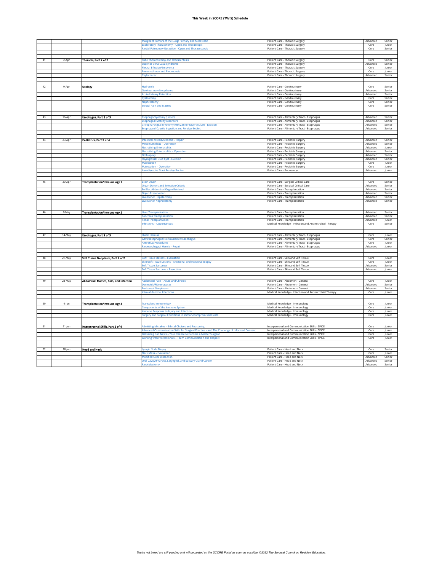|    |           |                                       | Malignant Tumors of the Lung: Primary and Metastatic                                        | Patient Care - Thoracic Surgery                         | Advanced         | Senior           |
|----|-----------|---------------------------------------|---------------------------------------------------------------------------------------------|---------------------------------------------------------|------------------|------------------|
|    |           |                                       | <b>Exploratory Thoracotomy - Open and Thorascopi</b>                                        | Patient Care - Thoracic Surgery                         | Core             | lunior           |
|    |           |                                       | Partial Pulmonary Resection - Open and Thoracoscopic                                        | Patient Care - Thoracic Surgery                         | Core             | Senior           |
|    |           |                                       |                                                                                             |                                                         |                  |                  |
|    |           |                                       |                                                                                             |                                                         |                  |                  |
|    | 2-Apr     | Thoracic, Part 2 of 2                 | <b>Fube Thoracostomy and Thoracentesis</b>                                                  | Patient Care - Thoracic Surgery                         | Core             | Senior           |
|    |           |                                       | Superior Vena Cava Syndrome                                                                 | Patient Care - Thoracic Surgery                         | Advanced         | Senior           |
|    |           |                                       | leural Effusion/Empyema                                                                     | Patient Care - Thoracic Surgery                         | Core             | Junior           |
|    |           |                                       | <b>Pneumothorax and Pleurodesis</b>                                                         | Patient Care - Thoracic Surgery                         | Core             | lunior           |
|    |           |                                       | Chylothorax                                                                                 | Patient Care - Thoracic Surgery                         | Advanced         | Senior           |
|    |           |                                       |                                                                                             |                                                         |                  |                  |
|    |           |                                       |                                                                                             |                                                         |                  |                  |
| 42 | 9-Apr     | Urology                               | Hydrocele                                                                                   | Patient Care - Genitourinary                            | Core             | Senior           |
|    |           |                                       | <b>Genitourinary Neoplasms</b>                                                              | Patient Care - Genitourinary                            | Advanced         | Senior           |
|    |           |                                       | <b>Acute Urinary Retention</b>                                                              | Patient Care - Genitourinary                            | Advanced         | Senior           |
|    |           |                                       |                                                                                             |                                                         |                  |                  |
|    |           |                                       | ystostom                                                                                    | Patient Care - Genitourinary                            | Core             | Senior           |
|    |           |                                       | Nephrectomy                                                                                 | Patient Care - Genitourinary                            | Core             | Senior           |
|    |           |                                       | <b>Scrotal Pain and Masses</b>                                                              | Patient Care - Genitourinary                            | Core             | Senior           |
|    |           |                                       |                                                                                             |                                                         |                  |                  |
|    |           |                                       |                                                                                             |                                                         |                  |                  |
| 43 | 16-Apr    | Esophagus, Part 2 of 3                | <b>Esophagomyotomy (Heller)</b>                                                             | Patient Care - Alimentary Tract - Esophagus             | Advanced         | Senior           |
|    |           |                                       | <b>Esophageal Motility Disorders</b>                                                        | Patient Care - Alimentary Tract - Esophagus             | Advanced         | Senior           |
|    |           |                                       | ricopharyngeal Myotomy with Zenker Diverticulum - Excision                                  | Patient Care - Alimentary Tract - Esophagus             | Advanced         | Senior           |
|    |           |                                       | <b>Esophageal Caustic Ingestion and Foreign Bodies</b>                                      | Patient Care - Alimentary Tract - Esophagus             | Advanced         | Senior           |
|    |           |                                       |                                                                                             |                                                         |                  |                  |
|    |           |                                       |                                                                                             |                                                         |                  |                  |
| 44 | 23-Apr    | Pediatrics, Part 2 of 4               | ntestinal Atresia/Stenosis - Repair                                                         | Patient Care - Pediatric Surgery                        | Advanced         | Senior           |
|    |           |                                       | <b>Meconium Ileus - Operation</b>                                                           | Patient Care - Pediatric Surgery                        | Advanced         | Senior           |
|    |           |                                       | <b>Necrotizing Enterocolitis</b>                                                            | Patient Care - Pediatric Surgery                        | Advanced         | Junior           |
|    |           |                                       | <b>Necrotizing Enterocolitis - Operation</b>                                                | Patient Care - Pediatric Surgery                        | Advanced         | Senior           |
|    |           |                                       | Orchiopexy                                                                                  | Patient Care - Pediatric Surgery                        | Advanced         | Senior           |
|    |           |                                       | <b>Thyroglossal Duct Cyst - Excision</b>                                                    | Patient Care - Pediatric Surgery                        | Advanced         | Senior           |
|    |           |                                       | Malrotation                                                                                 | Patient Care - Pediatric Surgery                        | Core             | Junior           |
|    |           |                                       | <b>Malrotation - Operation</b>                                                              | Patient Care - Pediatric Surgery                        | Core             | lunior           |
|    |           |                                       | <b>Aerodigestive Tract Foreign Bodies</b>                                                   | Patient Care - Endoscopy                                | Advanced         | Junior           |
|    |           |                                       |                                                                                             |                                                         |                  |                  |
|    |           |                                       |                                                                                             |                                                         |                  |                  |
|    |           |                                       | <b>Brain Death</b>                                                                          |                                                         | Core             | Senior           |
| 45 | 30-Apr    | <b>Transplantation/immunology 1</b>   |                                                                                             | Patient Care - Surgical Critical Care                   |                  |                  |
|    |           |                                       | rgan Donors and Selection Criteria                                                          | Patient Care - Surgical Critical Care                   | Advanced         | Senior           |
|    |           |                                       | En Bloc Abdominal Organ Retrieval                                                           | Patient Care - Transplantation                          | Advanced         | Senior           |
|    |           |                                       | <b>Organ Preservation</b>                                                                   | Patient Care - Transplantation                          | Advanced         | Senior           |
|    |           |                                       | ive Donor Hepatectomy                                                                       | Patient Care - Transplantation                          | Advanced         | Senior           |
|    |           |                                       | Live Donor Nephrectomy                                                                      | Patient Care - Transplantation                          | Advanced         | Senior           |
|    |           |                                       |                                                                                             |                                                         |                  |                  |
|    |           |                                       |                                                                                             |                                                         |                  |                  |
| 46 | 7-May     | Transplantation/immunology 2          | iver Transplantation                                                                        | Patient Care - Transplantation                          | Advanced         | Senior           |
|    |           |                                       | <b>Pancreas Transplantation</b>                                                             | Patient Care - Transplantation                          | Advanced         | Senior           |
|    |           |                                       | <b>Renal Transplantation</b>                                                                | Patient Care - Transplantation                          | Advanced         | Junior           |
|    |           |                                       | nfections - Opportunistic                                                                   | Medical Knowledge - Infection and Antimicrobial Therapy | Core             | Senior           |
|    |           |                                       |                                                                                             |                                                         |                  |                  |
|    |           |                                       |                                                                                             |                                                         |                  |                  |
|    |           |                                       |                                                                                             |                                                         |                  |                  |
| 47 |           |                                       | <b>Hiatal Hernias</b>                                                                       |                                                         | Core             | Junior           |
|    | 14-May    | Esophagus, Part 3 of 3                |                                                                                             | Patient Care - Alimentary Tract - Esophagus             | Core             | Senior           |
|    |           |                                       | <b>Jastroesophageal Reflux/Barrett Esophagus</b>                                            | Patient Care - Alimentary Tract - Esophagus             |                  |                  |
|    |           |                                       | ntireflux Procedures                                                                        | Patient Care - Alimentary Tract - Esophagus             | Core             | Junior<br>lunior |
|    |           |                                       | Paraesophageal Hernia - Repair                                                              | Patient Care - Alimentary Tract - Esophagus             | Advanced         |                  |
|    |           |                                       |                                                                                             |                                                         |                  |                  |
| 48 |           |                                       |                                                                                             |                                                         |                  |                  |
|    | 21-May    | Soft Tissue Neoplasm, Part 2 of 2     | Soft Tissue Masses - Evaluation                                                             | Patient Care - Skin and Soft Tissue                     | Core             | Junior           |
|    |           |                                       | Skin/Soft Tissue Lesions - Excisional and Incisional Biopsy                                 | Patient Care - Skin and Soft Tissue                     | Core<br>Advanced | Junior<br>Senior |
|    |           |                                       | Soft Tissue Sarcomas                                                                        | Patient Care - Skin and Soft Tissue                     |                  |                  |
|    |           |                                       | oft Tissue Sarcoma - Resection                                                              | Patient Care - Skin and Soft Tissue                     | Advanced         | Junior           |
|    |           |                                       |                                                                                             |                                                         |                  |                  |
|    |           |                                       |                                                                                             |                                                         |                  |                  |
| 49 | 28-May    | Abdominal Masses, Pain, and Infection | <b>Abdominal Pain - Acute and Chronic</b>                                                   | Patient Care - Abdomen - General                        | Core             | Junior           |
|    |           |                                       | Desmoids/Fibromatoses                                                                       | Patient Care - Abdomen - General                        | Advanced         | Senior           |
|    |           |                                       | <b>Peritoneal Neoplasms</b>                                                                 | Patient Care - Abdomen - General                        | Advanced         | Senior           |
|    |           |                                       | ntra-abdominal Infections                                                                   | Medical Knowledge - Infection and Antimicrobial Therapy | Core             | Junior           |
|    |           |                                       |                                                                                             |                                                         |                  |                  |
|    |           |                                       |                                                                                             |                                                         |                  |                  |
| 50 | $4$ -Jun  | <b>Transplantation/immunology 3</b>   | <b>Transplant Immunology</b>                                                                | Medical Knowledge - Immunology                          | Core             | Junior           |
|    |           |                                       | <b>Components of the Immune System</b>                                                      | Medical Knowledge - Immunology                          | Core             | Junior           |
|    |           |                                       | nmune Response to Injury and Infection                                                      | Medical Knowledge - Immunology                          | Core             | Junior           |
|    |           |                                       | urgery and Surgical Conditions in Immunocompromised Hosts                                   | Medical Knowledge - Immunology                          | Core             | Junior           |
|    |           |                                       |                                                                                             |                                                         |                  |                  |
|    |           |                                       |                                                                                             |                                                         |                  |                  |
| 51 | $11$ -Jun | Interpersonal Skills, Part 2 of 4     | dmitting Mistakes - Ethical Choices and Reasoning                                           | Interpersonal and Communication Skills - SPICE          | Core             | Junior           |
|    |           |                                       | Advanced Communication Skills for Surgical Practice - and The Challenge of Informed Consent | Interpersonal and Communication Skills - SPICE          | Core             | Junior           |
|    |           |                                       | Delivering Bad News - Your Chance to Become a Master Surgeon                                | Interpersonal and Communication Skills - SPICE          | Core             | Junior           |
|    |           |                                       | Working with Professionals - Team Communication and Respect                                 | Interpersonal and Communication Skills - SPICE          | Core             | Junior           |
|    |           |                                       |                                                                                             |                                                         |                  |                  |
|    |           |                                       |                                                                                             |                                                         |                  |                  |
| 52 | 18-Jun    | <b>Head and Neck</b>                  | ymph Node Biopsy                                                                            | Patient Care - Head and Neck                            | Core             | Senior           |
|    |           |                                       | <b>Neck Mass - Evaluation</b>                                                               | Patient Care - Head and Neck                            | Core             | Junior           |
|    |           |                                       | <b>Modified Neck Dissection</b>                                                             | Patient Care - Head and Neck                            | Advanced         | Senior           |
|    |           |                                       | Oral Cavity/Pharynx, Laryngeal, and Salivary Gland Cancer                                   | Patient Care - Head and Neck                            | Advanced         | Senior           |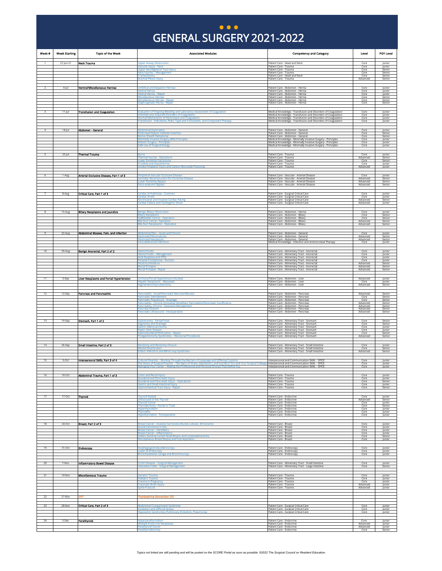### GENERAL SURGERY 2021 - 2022 GENERAL SURGERY 2021-2022 **... )**

<span id="page-4-0"></span>

| Week # | <b>Week Starting</b> | <b>Topic of the Week</b>                | <b>Associated Modules</b>                                                                                                                                                                            | <b>Competency and Category</b>                                                                                                                                                               | Level                        | PGY Level                  |
|--------|----------------------|-----------------------------------------|------------------------------------------------------------------------------------------------------------------------------------------------------------------------------------------------------|----------------------------------------------------------------------------------------------------------------------------------------------------------------------------------------------|------------------------------|----------------------------|
|        | 27-jun-21            | <b>Neck Trauma</b>                      | <b>Upper Airway Obstruction</b><br>ascular Injury - Neck<br><b>Ipper Aerodigestive Tract Injury</b>                                                                                                  | Patient Care - Head and Neck<br>Patient Care - Trauma<br>Patient Care - Trauma                                                                                                               | Core<br>Core<br>Core         | Junior<br>lunior<br>Senior |
|        |                      |                                         | eck Injuries - Management<br>racheostomy                                                                                                                                                             | Patient Care - Trauma<br>Patient Care - Head and Neck                                                                                                                                        | Core<br>Core                 | Senior<br>Senior           |
|        |                      |                                         | rachial Plexus Injury                                                                                                                                                                                | Patient Care - Trauma                                                                                                                                                                        | Advanced                     | Senior                     |
|        | 4-jul                | Ventral/Miscellaneous Hernias           | mbilical and Epigastric Hernias<br>entral Hernia<br>entral Hernia - Repair                                                                                                                           | Patient Care - Abdomen - Hernia<br>Patient Care - Abdomen - Hernia<br>Patient Care - Abdomen - Hernia                                                                                        | Core<br>Core<br>Core         | Junior<br>Junior<br>Junior |
|        |                      |                                         | iscellaneous Hernias<br>Miscellaneous Hernias - Repair                                                                                                                                               | Patient Care - Abdomen - Hernia<br>Patient Care - Abdomen - Hernia                                                                                                                           | Core<br>Core<br>Core         | Senior<br>Senior           |
|        |                      |                                         | liaphragmatic Hernia - Repair                                                                                                                                                                        | Patient Care - Abdomen - Hernia                                                                                                                                                              |                              | Senior                     |
|        | $11- u $             | <b>Transfusion and Coagulation</b>      | raluation of Ongoing Bleeding and Laboratory Assessment of Coagulation<br>herited and Acquired Disorders of Coagulation<br>ormal Mechanisms of Hemostasis and Coagulation                            | Medical Knowledge - Transfusion and Disorders of Coagulation<br>Medical Knowledge - Transfusion and Disorders of Coagulation<br>Medical Knowledge - Transfusion and Disorders of Coagulation | Core<br>Core<br>Core         | lunior<br>Junior<br>Junior |
|        |                      |                                         | ransfusion - Indications, Risks, Type and Crossmatch, and Component Therapy                                                                                                                          | Medical Knowledge - Transfusion and Disorders of Coagulation                                                                                                                                 | Core                         | Junior                     |
|        | 18-Jul               | Abdomen - General                       | <b>Abdominal Exploration</b><br>eritoneal Dialysis Catheter Insertion                                                                                                                                | Patient Care - Abdomen - General<br>Patient Care - Abdomen - General                                                                                                                         | Core<br>Core                 | Junior<br>Senior           |
|        |                      |                                         | ectus Sheath Hematoma<br><b>Ainimally Invasive Surgery (MIS) Principles</b><br>obotic Surgery - Principles                                                                                           | Patient Care - Abdomen - General<br>Medical Knowledge - Minimally Invasive Surgery - Principles<br>Medical Knowledge - Minimally Invasive Surgery - Principles                               | Core<br>Core<br>Core         | Senior<br>Junior<br>lunior |
|        |                      |                                         | afe Use of Surgical Energy                                                                                                                                                                           | Medical Knowledge - Minimally Invasive Surgery - Principles                                                                                                                                  | Core                         | Junior                     |
|        | $25 -  u $           | <b>Thermal Trauma</b>                   | <b>Thermal Injuries - Operations</b>                                                                                                                                                                 | Patient Care - Trauma<br>Patient Care - Trauma                                                                                                                                               | Core<br>Advanced             | Junior<br>Senior           |
|        |                      |                                         | ower Extremity Fasciotomy.<br>rostbite and Hypothermia<br>moke Inhalation Injury and Carbon Monoxide Poisoning                                                                                       | Patient Care - Trauma<br>Patient Care - Trauma<br>Patient Care - Trauma                                                                                                                      | Core<br>Core<br>Advanced     | Senior<br>Junior<br>Junior |
|        | 1-Aug                | Arterial Occlusive Disease, Part 1 of 3 | Peripheral Vascular Occlusive Disease                                                                                                                                                                | Patient Care - Vascular - Arterial Disease                                                                                                                                                   | Core                         | Junior                     |
|        |                      |                                         | ortoiliac Reconstruction for Occlusive Disease<br>ower Extremity Bypass                                                                                                                              | Patient Care - Vascular - Arterial Disease<br>Patient Care - Vascular - Arterial Disease                                                                                                     | Advanced<br>Advanced         | Senior<br>Senior           |
|        |                      |                                         | xtra-anatomic Bypass                                                                                                                                                                                 | Patient Care - Vascular - Arterial Disease                                                                                                                                                   | Advanced                     | Senior                     |
|        | 8-Aug                | Critical Care, Part 1 of 3              | ardiac Arrhythmias - Common<br>ardiac Arrest<br>oninvasive and Invasive Cardiac Pacing                                                                                                               | Patient Care - Surgical Critical Care<br>Patient Care - Surgical Critical Care<br>Patient Care - Surgical Critical Care                                                                      | Core<br>Core<br>Advanced     | Junior<br>Junior<br>Senior |
|        |                      |                                         | ardiac Failure and Cardiogenic Shock                                                                                                                                                                 | Patient Care - Surgical Critical Care                                                                                                                                                        | Advanced                     | Junior                     |
|        | 15-Aug               | <b>Billary Neoplasms and Jaundice</b>   | enign Biliary Obstruction<br>liary Neoplasms                                                                                                                                                         | Patient Care - Abdomen - Hernia<br>Patient Care - Abdomen - Biliary                                                                                                                          | Core<br>Core                 | Junior<br>Senior           |
|        |                      |                                         | allbladder Cancer - Operation<br>ile Duct Cancer-Operation<br>le Duct Neoplasms - Operation                                                                                                          | Patient Care - Abdomen - Biliary<br>Patient Care - Abdomen - Biliary<br>Patient Care - Abdomen - Biliary                                                                                     | Core<br>Advanced<br>Advanced | Senior<br>Senior<br>Senior |
|        | 22-Aug               | Abdominal Masses, Pain, and Infection   | <b>odominal Pain - Acute and Chronic</b>                                                                                                                                                             | Patient Care - Abdomen - General                                                                                                                                                             | Core                         | lunior                     |
|        |                      |                                         | esmoids/Fibromatoses<br>eritoneal Neoplasms                                                                                                                                                          | Patient Care - Abdomen - General<br>Patient Care - Abdomen - General                                                                                                                         | Advanced<br>Advanced         | Senior<br>Senior           |
|        |                      |                                         | ntra-abdominal Infections                                                                                                                                                                            | Medical Knowledge - Infection and Antimicrobial Therapy                                                                                                                                      | Core                         | Junior                     |
| 10     | 29-Aug               | Benign Anorectal, Part 2 of 2           | lemorrhoids<br>norrhoids - Managemen<br>nal Dysplasia and STDs                                                                                                                                       | Patient Care - Alimentary Tract - Anorectal<br>Patient Care - Alimentary Tract - Anorectal<br>Patient Care - Alimentary Tract - Anorectal                                                    | Core<br>Core<br>Core         | Junior<br>Junior<br>Junior |
|        |                      |                                         | erianal Condylomas - Exci<br>ecal Incontinence                                                                                                                                                       | Patient Care - Alimentary Tract - Anorectal<br>Patient Care - Alimentary Tract - Anorectal                                                                                                   | Core<br>Advanced             | Junior<br>Senior           |
|        |                      |                                         | ectal Prolapse<br>ectal Prolapse - Repair                                                                                                                                                            | Patient Care - Alimentary Tract - Anorectal<br>Patient Care - Alimentary Tract - Anorectal                                                                                                   | Advanced<br>Advanced         | Senior<br>Senior           |
|        | 5-Sep                | Liver Neoplasms and Portal Hypertension | lirrhosis/Portal Hypertension (Ascites)<br>lepatic Neoplasms - Metastatic                                                                                                                            | Patient Care - Abdomen - Liver<br>Patient Care - Abdomen - Liver                                                                                                                             | Advanced<br>Core             | lunior<br>Junior           |
|        |                      |                                         | egmentectomy/Lobectomy                                                                                                                                                                               | Patient Care - Abdomen - Liver                                                                                                                                                               | Advanced                     | Senior                     |
| 12     | 12-Sep               | <b>Pancreas and Pancreatitis</b>        | ancreatitis - Acute/Pancreatic Necrosis/Abscess<br>Pancreatic Debridement                                                                                                                            | Patient Care - Abdomen - Pancreas<br>Patient Care - Abdomen - Pancreas                                                                                                                       | Advanced<br>Core             | Senior<br>Senior           |
|        |                      |                                         | ancreatic Pseudocyst - Drainage<br>ancreatitis - Chronic (Including Hereditary Pancreatitis)/Pancreatic Insufficiency<br>ancreatitis, Chronic - Operative Managem                                    | Patient Care - Abdomen - Pancreas<br>Patient Care - Abdomen - Pancreas<br>Patient Care - Abdomen - Pancreas                                                                                  | Core<br>Advanced<br>Advanced | Senior<br>Senior<br>Senior |
|        |                      |                                         | ancreas Divisum<br>ancreatic Ultrasound - Intraoperative                                                                                                                                             | Patient Care - Abdomen - Pancreas<br>Patient Care - Abdomen - Pancreas                                                                                                                       | Advanced<br>Advanced         | Senior<br>Senior           |
|        | 19-Sep               | Stomach, Part 1 of 2                    | astrectomy - Partial/Total<br>reotomy and Drainage                                                                                                                                                   | Patient Care - Alimentary Tract - Stomach                                                                                                                                                    | Core                         | Senior<br>Senior           |
|        |                      |                                         | Sastric Adenocarcinoma<br>eptic Ulcer Disease                                                                                                                                                        | Patient Care - Alimentary Tract - Stomach<br>Patient Care - Alimentary Tract - Stomach<br>Patient Care - Alimentary Tract - Stomach                                                          | Core<br>Core<br>Core         | Junior<br>Junior           |
|        |                      |                                         | astroduodenal Perforation - Repair<br>stgastrectomy Syndromes - Revisional Procedures                                                                                                                | Patient Care - Alimentary Tract - Stomach<br>Patient Care - Alimentary Tract - Stomach                                                                                                       | Core<br>Advanced             | Senior<br>Senior           |
| 14     | 26-Sep               | Small Intestine, Part 2 of 3            | eostomy and Ileostomy Closure<br><b>Meckel Diverticulum</b>                                                                                                                                          | Patient Care - Alimentary Tract - Small Intestine<br>Patient Care - Alimentary Tract - Small Intestine                                                                                       | Core<br>Core                 | Junior<br>Senior           |
|        |                      |                                         | nteric Infections and Blind Loop Syndrome                                                                                                                                                            | Patient Care - Alimentary Tract - Small Intestine                                                                                                                                            | Advanced                     | Senior                     |
| 15     | $3-0ct$              | Interpersonal Skills, Part 3 of 4       | ultural Diversity - Working Through the Barriers of Language and Differing Customs<br>The Stress of Surgical Practice - The Signs of Stress, Depression, and Suicide in You and Your Surgical Colle. | Interpersonal and Communication Skills - SPICE<br>Interpersonal and Communication Skills - SPICE                                                                                             | Core<br>Core                 | Junior<br>Junior           |
|        |                      |                                         | Janaging Your Career – Making the Professional and Personal Choices That Define Yo                                                                                                                   | Interpersonal and Communication Skills - SPICE                                                                                                                                               | Core                         | Junior                     |
| 16     | 10-Oct               | Abdominal Trauma, Part 1 of 3           | olon and Rectal Injury<br>uodenal and Pancreatic Injury                                                                                                                                              | Patient Care - Trauma<br>Patient Care - Trauma                                                                                                                                               | Core<br>Core                 | Junior<br>Junior<br>Senior |
|        |                      |                                         | uodenal and Pancreatic Injury - Ope<br>astric and Small Intestinal Injury<br><b>Gastrointestinal Tract Injury - Repair</b>                                                                           | Patient Care - Trauma<br>Patient Care - Trauma<br>Patient Care - Trauma                                                                                                                      | Core<br>Core<br>Core         | lunior<br>Senior           |
| 17     | 17-Oct               | <b>Thyroid</b>                          | <b>Thyroid Nodule</b>                                                                                                                                                                                | Patient Care - Endocrine                                                                                                                                                                     | Core                         | Junior                     |
|        |                      |                                         | <b>Iltrasound of the Thyroid</b><br><b>Thyroid Cancer</b><br>hyroidectomy - Partial or Total                                                                                                         | Patient Care - Endocrine<br>Patient Care - Endocrine<br>Patient Care - Endocrine                                                                                                             | Advanced<br>Core<br>Core     | Senior<br>Junior<br>Senior |
|        |                      |                                         | vperthyroidism<br>hyroiditis<br>woothyroidism - Postoperative                                                                                                                                        | Patient Care - Endocrine<br>Patient Care - Endocrine                                                                                                                                         | Core<br>Core                 | Junior<br>Junior           |
|        |                      |                                         |                                                                                                                                                                                                      | Patient Care - Endocrine                                                                                                                                                                     | Core                         | Junior                     |
| 18     | 24-Oct               | Breast, Part 2 of 3                     | reast Cancer - Invasive Carcinoma (Ductal, Lobular, All Variants)<br>uctal Carcinoma In Situ<br>reast Cancer - Hereditary                                                                            | Patient Care - Breast<br>Patient Care - Breast<br>Patient Care - Breast                                                                                                                      | Core<br>Core<br>Core         | Junior<br>Junior<br>Junior |
|        |                      |                                         | Breast Cancer - Inflammatory<br>xillary Sentinel Lymph Node Biopsy and Lymphadenectomy<br>ercutaneous Breast Biopsy and Cyst Aspiration                                                              | Patient Care - Breast<br>Patient Care - Breast<br>Patient Care - Breast                                                                                                                      | Core<br>Core<br>Core         | Junior<br>Senior<br>Junior |
|        |                      |                                         | Esophagogastroduodenoscopy                                                                                                                                                                           |                                                                                                                                                                                              |                              |                            |
| 19     | 31-Oct               | <b>Endoscopy</b>                        | ower GI Endoscopy<br>ronchoalveolar Lavage and Bronchoscopy                                                                                                                                          | Patient Care - Endoscopy<br>Patient Care - Endoscopy<br>Patient Care - Endoscopy                                                                                                             | Core<br>Core<br>Core         | Junior<br>Junior<br>Junior |
| 20     | 7-Nov                | <b>Inflammatory Bowel Disease</b>       | <b>Crohn Disease - Surgical Management</b>                                                                                                                                                           | Patient Care - Alimentary Tract - Small Intestine                                                                                                                                            | Core                         | Junior                     |
|        |                      |                                         | <b>Ilcerative Colitis - Surgical Management</b>                                                                                                                                                      | Patient Care - Alimentary Tract - Large Intestine                                                                                                                                            | Core                         | Senior                     |
| 21     | 14-Nov               | Miscellaneous Trauma                    | eriatric Trauma<br>ediatric Trauma                                                                                                                                                                   | Patient Care - Trauma<br>Patient Care - Trauma                                                                                                                                               | Core<br>Core                 | lunior<br>Junior           |
|        |                      |                                         | rauma in Pregnancy<br>raumatic Brain Injury<br>pine Fracture                                                                                                                                         | Patient Care - Trauma<br>Patient Care - Trauma<br>Patient Care - Trauma                                                                                                                      | Core<br>Advanced<br>Advanced | Junior<br>Junior<br>Junior |
| 22     | 21-Nov               | <b>OFF</b>                              | hanksgiving (November 25)                                                                                                                                                                            |                                                                                                                                                                                              |                              |                            |
| 23     | 28-Nov               |                                         | bdominal Compartment Syndrome                                                                                                                                                                        | Patient Care - Surgical Critical Care                                                                                                                                                        | Core                         | lunior                     |
|        |                      | Critical Care, Part 2 of 3              | ntubation and Difficult Airway<br>ypoxemic Syndromes (Pulmonary Embolism, Pneumonia)                                                                                                                 | Patient Care - Surgical Critical Care<br>Patient Care - Surgical Critical Care                                                                                                               | Core<br>Core                 | Junior<br>Junior           |
| 24     | 5-Dec                | Parathyroid                             | lyperparathyroidism                                                                                                                                                                                  | Patient Care - Endocrine                                                                                                                                                                     | Core                         | lunior                     |
|        |                      |                                         | <b>Multiple Endocrine Neoplasias</b><br>arathyroid Cancer<br>arathyroidectomy                                                                                                                        | Patient Care - Endocrine<br>Patient Care - Endocrine<br>Patient Care - Endocrine                                                                                                             | Advanced<br>Advanced<br>Core | Junior<br>Junior<br>Senior |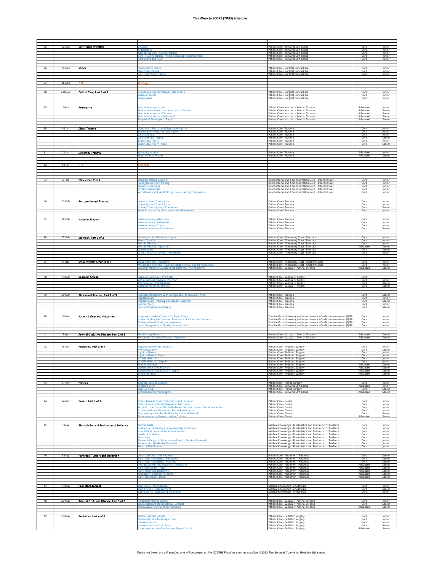| 25 | 12-Dec      | Soft Tissue Infection                           |                                                                                                                                                  | Patient Care - Skin and Soft Tissue                                                                                                          | Core                 | Junior                     |
|----|-------------|-------------------------------------------------|--------------------------------------------------------------------------------------------------------------------------------------------------|----------------------------------------------------------------------------------------------------------------------------------------------|----------------------|----------------------------|
|    |             |                                                 | idradeniti<br>ecrotizing Soft Tissue Infections                                                                                                  | Patient Care - Skin and Soft Tissue<br>Patient Care - Skin and Soft Tissue                                                                   | Core<br>Core         | Junior<br>Junior           |
|    |             |                                                 | oft Tissue Infections - Incision, Drainage, Debridement                                                                                          | Patient Care - Skin and Soft Tissue                                                                                                          | Core                 | Junior                     |
|    |             |                                                 | aronychia and Felon                                                                                                                              | Patient Care - Skin and Soft Tissue                                                                                                          | Core                 | Junior                     |
| 26 | 19-Dec      | <b>Shock</b>                                    | lypovolemic Shock                                                                                                                                | Patient Care - Surgical Critical Care                                                                                                        | Core                 | Junior                     |
|    |             |                                                 | <b>Neurogenic Shock</b><br>epsis and Septic Shock                                                                                                | Patient Care - Surgical Critical Care<br>Patient Care - Surgical Critical Care                                                               | Core<br>Core         | Junior<br>Junior           |
|    |             |                                                 |                                                                                                                                                  |                                                                                                                                              |                      |                            |
| 27 | 26-Dec      |                                                 | olidays                                                                                                                                          |                                                                                                                                              |                      |                            |
|    |             |                                                 |                                                                                                                                                  |                                                                                                                                              |                      |                            |
| 28 | $2$ -Jan-22 | Critical Care, Part 3 of 3                      | Iltrasound Use for Intravascular Access<br>ascular Access                                                                                        | Patient Care - Surgical Critical Care<br>Patient Care - Surgical Critical Care                                                               | Core<br>Core         | Junior<br>Junior           |
|    |             |                                                 | naphylaxis                                                                                                                                       | Patient Care - Surgical Critical Care                                                                                                        | Core                 | Junior                     |
| 29 | $9$ -Jan    | <b>Aneurysms</b>                                | rterial Aneurysms - Aortic                                                                                                                       | Patient Care - Vascular - Arterial Disease                                                                                                   | Advanced             | Junior                     |
|    |             |                                                 | bdominal and Aortoiliac Aneurysm - Repair<br>Arterial Aneurysms - Visceral                                                                       | Patient Care - Vascular - Arterial Disease<br>Patient Care - Vascular - Arterial Disease                                                     | Advanced<br>Advanced | Senior<br>Senior           |
|    |             |                                                 | Arterial Aneurysms - Peripheral<br>eripheral Aneurysms - Repair                                                                                  | Patient Care - Vascular - Arterial Disease<br>Patient Care - Vascular - Arterial Disease                                                     | Advanced<br>Advanced | Senior<br>Senior           |
|    |             |                                                 |                                                                                                                                                  |                                                                                                                                              |                      |                            |
| 30 | $16$ -Jan   | <b>Chest Trauma</b>                             | <b>Chest Wall, Pleura, and Diaphragm Injuries.</b>                                                                                               | Patient Care - Trauma<br>Patient Care - Trauma                                                                                               | Core<br>Core         | Junior                     |
|    |             |                                                 | Tracheobronchial and Lung Injury<br>ardiac Injury                                                                                                | Patient Care - Trauma                                                                                                                        | Core                 | Junior<br>Junior           |
|    |             |                                                 | Cardiac Injury - Repair<br>sophageal Injury                                                                                                      | Patient Care - Trauma<br>Patient Care - Trauma                                                                                               | Core<br>Core         | Senior<br>Junior           |
|    |             |                                                 | sophageal Injury - Repair                                                                                                                        | Patient Care - Trauma                                                                                                                        | Core                 | Senior                     |
| 31 | $23$ -Jan   | <b>Extremity Trauma</b>                         | <b>Extremity Injuries</b>                                                                                                                        | Patient Care - Trauma                                                                                                                        | Advanced             | Junior                     |
|    |             |                                                 | <b>Hand Tendon Repair</b>                                                                                                                        | Patient Care - Trauma                                                                                                                        | Advanced             | Senior                     |
| 32 | $30$ -Jan   |                                                 | BSITE®                                                                                                                                           |                                                                                                                                              |                      |                            |
|    |             |                                                 |                                                                                                                                                  |                                                                                                                                              |                      |                            |
|    |             |                                                 |                                                                                                                                                  |                                                                                                                                              |                      |                            |
| 33 | 6-Feb       | Ethics, Part 2 of 2                             | ecision-Making Capacity                                                                                                                          | Interpersonal and Communication Skills - Ethical Issues                                                                                      | Core                 | Junior                     |
|    |             |                                                 | <b>urrogate Decision Making</b><br>dvance Directives                                                                                             | Interpersonal and Communication Skills - Ethical Issues<br>Interpersonal and Communication Skills - Ethical Issues                           | Core<br>Core         | Junior<br>Junior           |
|    |             |                                                 | Oo Not Resuscitate<br>Withdrawing and Withholding Life-Sustaining Treatments                                                                     | Interpersonal and Communication Skills - Ethical Issues<br>Interpersonal and Communication Skills - Ethical Issues                           | Core<br>Core         | Junior<br>Junior           |
|    |             |                                                 |                                                                                                                                                  |                                                                                                                                              |                      |                            |
| 34 | 13-Feb      | <b>Retroperitoneal Trauma</b>                   | ower Urinary Tract Injuries<br><b>pper Urinary Tract Injuries</b>                                                                                | Patient Care - Trauma<br>Patient Care - Trauma                                                                                               | Core<br>Core         | Junior<br>Junior           |
|    |             |                                                 | <b>Urinary Tract Injuries - Operations</b><br>elvic Fractures and Retroperitoneal Hematoma                                                       | Patient Care - Trauma<br>Patient Care - Trauma                                                                                               | Core<br>Core         | Senior<br>Junior           |
|    |             |                                                 |                                                                                                                                                  |                                                                                                                                              |                      |                            |
| 35 | 20-Feb      | Vascular Trauma                                 | ascular Injury - Abdomen<br>Vascular Injury - Extremities                                                                                        | Patient Care - Trauma<br>Patient Care - Trauma                                                                                               | Core<br>Core         | lunion<br>Junior           |
|    |             |                                                 | <b>Jascular Injury - Thorax</b>                                                                                                                  | Patient Care - Trauma                                                                                                                        | Core                 | Junior                     |
|    |             |                                                 | ascular Injuries - Operations                                                                                                                    | Patient Care - Trauma                                                                                                                        | Core                 | Senior                     |
| 36 | 27-Feb      | Stomach, Part 2 of 2                            | <b>Gastrointestinal Bleeding - Upper</b>                                                                                                         | Patient Care - Alimentary Tract - Stomach                                                                                                    | Core                 | Junior                     |
|    |             |                                                 | tress Gastritis<br>Morbid Obesity                                                                                                                | Patient Care - Alimentary Tract - Stomach<br>Patient Care - Alimentary Tract - Stomach                                                       | Core<br>Core         | Junior<br>Junior           |
|    |             |                                                 | <b>Morbid Obesity - Operation</b>                                                                                                                | Patient Care - Alimentary Tract - Stomach<br>Patient Care - Alimentary Tract - Stomach                                                       | Advanced<br>Core     | Senior<br>Senior           |
|    |             |                                                 | <b>GISTs and Miscellaneous Neoplasms</b>                                                                                                         | Patient Care - Alimentary Tract - Stomach                                                                                                    | Core                 | Junior                     |
| 37 | 6-Mar       | Small Intestine, Part 3 of 3                    | mall Intestinal Neoplasms                                                                                                                        | Patient Care - Alimentary Tract - Small Intestine                                                                                            | Core                 | Junior                     |
|    |             |                                                 | Aesenteric Ischemia - Acute (Arterial, Venous, and Nonocclusive)<br>iuperior Mesenteric Artery Embolectomy/Thrombectomy                          | Patient Care - Alimentary Tract - Small Intestine<br>Patient Care - Vascular - Arterial Disease                                              | Core<br>Advanced     | Junior<br>Senior           |
|    |             |                                                 |                                                                                                                                                  |                                                                                                                                              |                      |                            |
| 38 | 13-Mar      | <b>Vascular Access</b>                          | ascular Exposure - Principles                                                                                                                    | Patient Care - Vascular - Access<br>Patient Care - Vascular - Access                                                                         | Core<br>Core         | Junior                     |
|    |             |                                                 | Venous Access Devices - Insertion<br>Arteriovenous Graft/Fistula                                                                                 | Patient Care - Vascular - Access                                                                                                             | Core                 | Senior                     |
|    |             |                                                 | <b>Vascular Access for Dialysis</b>                                                                                                              | Patient Care - Vascular - Access                                                                                                             | Core                 | Senior                     |
| 39 | 20-Mar      | Abdominal Trauma, Part 2 of 3                   | ocused Assessment with Sonography for Trauma (FAST)                                                                                              | Patient Care - Trauma                                                                                                                        | Core                 | Senior                     |
|    |             |                                                 | Hepatic Injury<br>lepatic Injury - Packing and Repair/Resection                                                                                  | Patient Care - Trauma<br>Patient Care - Trauma                                                                                               | Core<br>Core         | Junior<br>Senior           |
|    |             |                                                 | iplenic Injury<br>plenectomy/!                                                                                                                   | Patient Care - Trauma<br>Patient Care - Trauma                                                                                               | Core<br>Core         | Junior<br>Senior           |
|    |             |                                                 |                                                                                                                                                  |                                                                                                                                              |                      |                            |
|    |             |                                                 |                                                                                                                                                  |                                                                                                                                              |                      |                            |
| 40 | 27-Mar      | <b>Patient Safety and Outcomes</b>              | Ispiring a Healthy Culture for Patient Care                                                                                                      | Practice-Based Learning and Improvement - Ouality Improvement (OIT)<br>Practice-Based Learning and Improvement - Quality Improvement (QIT    | Core                 | Junior                     |
|    |             |                                                 | nderstanding the Data and Methods to Evaluate Performance<br>Problem-Based Quality Improvement<br><b>Local Engagement in Quality Improvement</b> | Practice-Based Learning and Improvement - Quality Improvement (QIT                                                                           | Core<br>Core<br>Core | Junior<br>Junior<br>Junior |
|    |             |                                                 |                                                                                                                                                  | Practice-Based Learning and Improvement - Quality Improvement (QIT                                                                           |                      |                            |
| 41 | 3-Apr       | Arterial Occlusive Disease, Part 2 of 3         | enal Artery Disease<br><b>Mesenteric Occlusive Disease - Operation</b>                                                                           | Patient Care - Vascular - Arterial Disease                                                                                                   | Advanced             | Senior<br>Senior           |
|    |             |                                                 |                                                                                                                                                  | Patient Care - Vascular - Arterial Disease                                                                                                   | Advanced             |                            |
| 42 | 10-Apr      | Pediatrics, Part 3 of 4                         | <b>Hypertrophic Pyloric Stenosis</b>                                                                                                             | Patient Care - Pediatric Surgery                                                                                                             | Core                 | Junior                     |
|    |             |                                                 | vloromvotomv<br>nguinal Hernia                                                                                                                   | Patient Care - Pediatric Surgery<br>Patient Care - Pediatric Surgery                                                                         | Core<br>Core         | Senior<br>Junior           |
|    |             |                                                 | guinal Hernia - Repair<br><b>Jmbilical Hernia</b>                                                                                                | Patient Care - Pediatric Surgery<br>Patient Care - Pediatric Surgery                                                                         | Core<br>Core         | Junior<br>Junior           |
|    |             |                                                 | dominal Mass                                                                                                                                     | Patient Care - Pediatric Surgerv<br>Patient Care - Pediatric Surgery                                                                         | Core<br>Advanced     | lunior<br>Senior           |
|    |             |                                                 | astroschisis/Omphalocele<br>astroschisis/Omphalocele - Repair                                                                                    | Patient Care - Pediatric Surgery<br>Patient Care - Pediatric Surgery                                                                         | Advanced<br>Advanced | Senior<br>Senior           |
|    |             |                                                 | .ryptorchidism                                                                                                                                   | Patient Care - Pediatric Surgery                                                                                                             | Advanced             | Senior                     |
| 43 | 17-Apr      | <b>Plastics</b>                                 | <b>Complex Wound Closure</b>                                                                                                                     | Patient Care - Plastic Surgery                                                                                                               | Core                 | Junior                     |
|    |             |                                                 | ressure Ulcer<br><b>Skin Grafting</b>                                                                                                            | Patient Care - Skin and Soft Tissue<br>Patient Care - Plastic Surgery                                                                        | Advanced<br>Core     | Junior<br>Senior           |
|    |             |                                                 | ymphedema/Lymphangitis                                                                                                                           | Patient Care - Skin and Soft Tissue                                                                                                          | Advanced             | Senior                     |
| 44 |             |                                                 |                                                                                                                                                  | Patient Care - Breast                                                                                                                        | Core                 | lunior                     |
|    | 24-Apr      | Breast, Part 3 of 3                             | reast Disease During Pregnancy and Lactation<br>Breast Cancer - Paget's Disease of the Nipple                                                    | Patient Care - Breast                                                                                                                        | Core                 | Junior                     |
|    |             |                                                 | Atypical Hyperplasia, Flat Epithelial Atypia, and Lobular Carcinoma in Situ<br>xcisional Breast Biopsy and Partial Mastect                       | Patient Care - Breast<br>Patient Care - Breast                                                                                               | Core<br>Core         | Junior<br>Junior           |
|    |             |                                                 | Mastectomy - Simple, Modified Radical, and Radical<br><b>Ostmastectomy Reconstruction Options</b>                                                | Patient Care - Breast<br>Patient Care - Breast                                                                                               | Core<br>Advanced     | Senior<br>Senior           |
|    |             |                                                 |                                                                                                                                                  |                                                                                                                                              |                      |                            |
| 45 | 1-May       | <b>Blostatistics and Evaluation of Evidence</b> | inical Trials<br>valuating the Quality and Applicability of a Study.                                                                             | Medical Knowledge - Biostatistics and Evaluation of Evidence<br>Medical Knowledge - Biostatistics and Evaluation of Evidence                 | Core<br>Core         | Junior<br>Junior           |
|    |             |                                                 | ow Data is Expressed and Summarized<br>evels of Evidence.                                                                                        | Medical Knowledge - Biostatistics and Evaluation of Evidence<br>Medical Knowledge - Biostatistics and Evaluation of Evidence                 | Core<br>Core         | Junior<br>lunior           |
|    |             |                                                 | <b>Dutcomes</b><br>esearch Design in Outcome and Health Services Research                                                                        | Medical Knowledge - Biostatistics and Evaluation of Evidence<br>Medical Knowledge - Biostatistics and Evaluation of Evidence                 | Core<br>Core         | Junior<br>Junior           |
|    |             |                                                 | urveys and Qualitative Research<br>ests of Significance                                                                                          | Medical Knowledge - Biostatistics and Evaluation of Evidence<br>Medical Knowledge - Biostatistics and Evaluation of Evidence                 | Core<br>Core         | Junior<br>Junior           |
|    |             |                                                 |                                                                                                                                                  |                                                                                                                                              |                      |                            |
| 46 | 8-May       | Pancreas, Tumors and Resection                  | <b>Eystic Lesions of the Pancreas</b>                                                                                                            | Patient Care - Abdomen - Pancreas                                                                                                            | Core<br>Core         | Senior<br>Senior           |
|    |             |                                                 | ancreatic Neoplasms - Endocrine<br>ancreatic Neoplasms - Exocrine                                                                                | Patient Care - Abdomen - Pancreas<br>Patient Care - Abdomen - Pancreas                                                                       | Core                 | Senior                     |
|    |             |                                                 | Intraductal Papillary Mucinous Neoplasms<br>ancreatectomy - Total                                                                                | Patient Care - Abdomen - Pancreas<br>Patient Care - Abdomen - Pancreas                                                                       | Advanced<br>Advanced | Senior<br>Senior           |
|    |             |                                                 | ancreaticoduodenectom<br><b>Impullary Resection for Tumor</b>                                                                                    | Patient Care - Abdomen - Pancreas<br>Patient Care - Abdomen - Pancreas                                                                       | Advanced<br>Advanced | Senior<br>Senior           |
|    |             |                                                 | Pancreatectomy - Distal                                                                                                                          | Patient Care - Abdomen - Pancreas                                                                                                            | Advanced             | Senior                     |
| 47 | 15-May      | Pain Management                                 | ain, Acute - Management                                                                                                                          | Medical Knowledge - Anesthesia                                                                                                               | Core                 | Junior                     |
|    |             |                                                 | ain, Chronic - Management<br>lerve Blocks - Digital and Peripheral                                                                               | Medical Knowledge - Anesthesia<br>Medical Knowledge - Anesthesia                                                                             | Core<br>Core         | Senior<br>Junior           |
|    |             |                                                 |                                                                                                                                                  |                                                                                                                                              |                      |                            |
| 48 | 22-May      | Arterial Occlusive Disease, Part 3 of 3         | eripheral Arterial Emboli<br>mbolectomy/Thrombectomy - Arterial                                                                                  | Patient Care - Vascular - Arterial Disease<br>Patient Care - Vascular - Arterial Disease                                                     | Core<br>Core         | Junior<br>Senior           |
|    |             |                                                 | ndovascular Intervention Principles                                                                                                              | Patient Care - Vascular - Arterial Disease                                                                                                   | Advanced             | Senior                     |
|    |             |                                                 |                                                                                                                                                  |                                                                                                                                              |                      |                            |
| 49 | 29-May      | Pediatrics, Part 4 of 4                         | odominal Pain - Acute<br>astrointestinal Bleeding - Lowe<br>ntussusception                                                                       | Patient Care - Pediatric Surgery<br>Patient Care - Pediatric Surgery<br>Patient Care - Pediatric Surgery<br>Patient Care - Pediatric Surgery | Core<br>Core<br>Core | Junior<br>Junior<br>Junior |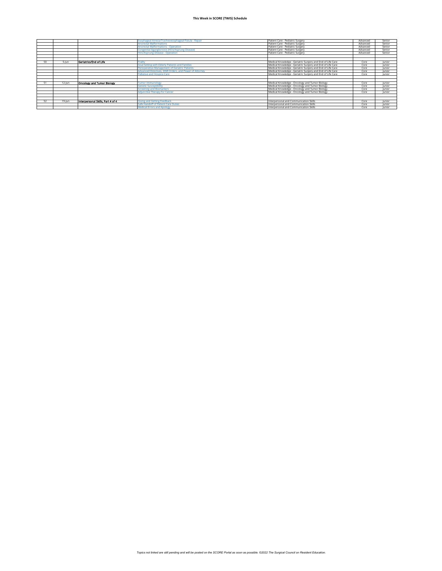|    |        |                                   | Esophageal Atresia/Tracheoesophageal Fistula - Repair  | Patient Care - Pediatric Surgery                           | Advanced | Senior |
|----|--------|-----------------------------------|--------------------------------------------------------|------------------------------------------------------------|----------|--------|
|    |        |                                   | <b>Anorectal Malformations</b>                         | Patient Care - Pediatric Surgery                           | Advanced | Senior |
|    |        |                                   | <b>Anorectal Malformations - Operation</b>             | Patient Care - Pediatric Surgery                           | Advanced | Senior |
|    |        |                                   | Congenital Aganglionosis (Hirschsprung Disease)        | Patient Care - Pediatric Surgery                           | Advanced | Senior |
|    |        |                                   | <b>Hirschsprung Disease - Operation</b>                | Patient Care - Pediatric Surgery                           | Advanced | Senior |
|    |        |                                   |                                                        |                                                            |          |        |
|    |        |                                   |                                                        |                                                            |          |        |
| 50 | S-lun  | Gerlatzics/End of Life            | Srailty                                                | Medical Knowledge - Geriatric Surgery and End of Life Care | Core     | lunion |
|    |        |                                   | <b>Goal Setting with Elderly Patients and Families</b> | Medical Knowledge - Geriatric Surgery and End of Life Care | Core     | lunion |
|    |        |                                   | Perioperative Management of Geriatric Patients         | Medical Knowledge - Geriatric Surgery and End of Life Care | Core     | lunion |
|    |        |                                   | Advanced Directives, DNR Orders, and Power of Attorney | Medical Knowledge - Geriatric Surgery and End of Life Care | Core     | lunion |
|    |        |                                   | <b>Palliative and Hospice Care</b>                     | Medical Knowledge - Geriatric Surgery and End of Life Care | Core     | lunior |
|    |        |                                   |                                                        |                                                            |          |        |
|    |        |                                   |                                                        |                                                            |          |        |
| 51 | 12-lun | <b>Oncology and Tumor Biology</b> | <b>Tumor Immunology</b>                                | Medical Knowledge - Oncology and Tumor Biology             | Core     | lunion |
|    |        |                                   | <b>Genetic Susceptibility</b>                          | Medical Knowledge - Oncology and Tumor Biology             | Core     | lunion |
|    |        |                                   | <b>Screening and Biomarkers</b>                        | Medical Knowledge - Oncology and Tumor Biology             | Core     | lunion |
|    |        |                                   | <b>Adjunctive Therapy for Cancer</b>                   | Medical Knowledge - Oncology and Tumor Biology             | Core     | lunior |
|    |        |                                   |                                                        |                                                            |          |        |
|    |        |                                   |                                                        |                                                            |          |        |
| 52 | 19-lun | Interpersonal Skills, Part 4 of 4 | <b>Giving and Getting Feedback</b>                     | Interpersonal and Communication Skills                     | Core     | lunion |
|    |        |                                   | <b>Safe Handoff of Patient Care Duties</b>             | Interpersonal and Communication Skills                     | Core     | lunion |
|    |        |                                   | <b>Medical Errors and Apology</b>                      | Interpersonal and Communication Skills                     | Core     | lunior |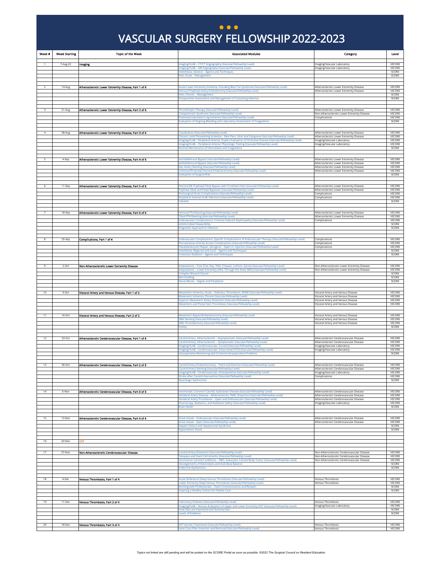#### VASCULAR SURGERY FELLOWSHIP 2022-2023 VASCULAR SURGERY FELLOWSHIP 2022-2023 **) ...**

<span id="page-7-0"></span>

| Week #       | <b>Week Starting</b> | <b>Topic of the Week</b>                             | <b>Associated Modules</b>                                                                                                                                                                                              | Category                                                                                            | Level                                    |
|--------------|----------------------|------------------------------------------------------|------------------------------------------------------------------------------------------------------------------------------------------------------------------------------------------------------------------------|-----------------------------------------------------------------------------------------------------|------------------------------------------|
| $\mathbf{1}$ | 7-Aug-22             | Imaging                                              | Imaging/VLAB - CT/CT Angiography (Vascular/Fellowship Level)                                                                                                                                                           | Imaging/Vascular Laboratory                                                                         | VSCORE                                   |
|              |                      |                                                      | maging/VLAB - MR Angiography (Vascular/Fellowship Level)<br>Anesthesia, General - Agents and Techniques                                                                                                                | Imaging/Vascular Laboratory                                                                         | VSCORE<br>SCORE                          |
|              |                      |                                                      | Pain, Acute - Management                                                                                                                                                                                               |                                                                                                     | SCORE                                    |
|              |                      |                                                      |                                                                                                                                                                                                                        |                                                                                                     |                                          |
| 2            | 14-Aug               | Atherosclerotic Lower Extremity Disease, Part 1 of 6 | Acute Lower Extremity Ischemia, Including Blue Toe Syndrome (Vascular/Fellowship Level)<br>Femoral Popliteal Artery Embolectomy (Vascular/Fellowship Level)                                                            | Atherosclerotic Lower Extremity Disease<br>Atherosclerotic Lower Extremity Disease                  | VSCORE<br><b>VSCORE</b>                  |
|              |                      |                                                      | Pain, Chronic - Management<br>Preoperative Assessment and Management of Coexisting Infection                                                                                                                           |                                                                                                     | SCORE<br>SCORE                           |
|              |                      |                                                      |                                                                                                                                                                                                                        |                                                                                                     |                                          |
|              | 21-Aug               | Atherosclerotic Lower Extremity Disease, Part 2 of 6 | Thrombolytic Therapy (Vascular/Fellowship Level)                                                                                                                                                                       | Atherosclerotic Lower Extremity Disease                                                             | VSCORE                                   |
|              |                      |                                                      | Compartment Syndrome (Vascular/Fellowship Level)<br>Postrevascularization Leg Ischemia (Vascular/Fellowship Level)                                                                                                     | Non-Atherosclerotic Lower Extremity Disease<br>Complications                                        | VSCORE<br>VSCORE                         |
|              |                      |                                                      | Evaluation of Ongoing Bleeding and Laboratory Assessment of Coagulation                                                                                                                                                |                                                                                                     | SCORE                                    |
|              | 28-Aug               | Atherosclerotic Lower Extremity Disease, Part 3 of 6 | Claudication (Vascular/Fellowship Level)                                                                                                                                                                               | Atherosclerotic Lower Extremity Disease                                                             | <b>VSCORE</b>                            |
|              |                      |                                                      | Chronic Limb-Threatening Ischemia - Rest Pain, Ulcer and Gangrene (Vascular/Fellowship Level)<br>Imaging/VLAB - Peripheral Arterial, Duplex Evaluation of Occlusive Disease (Vascular/Fellowship Level)                | Atherosclerotic Lower Extremity Disease<br>Imaging/Vascular Laboratory                              | <b>VSCORE</b><br>VSCORE                  |
|              |                      |                                                      | Imaging/VLAB - Peripheral Arterial, Physiologic Testing (Vascular/Fellowship Level)                                                                                                                                    | Imaging/Vascular Laboratory                                                                         | <b>VSCORE</b>                            |
|              |                      |                                                      | Normal Mechanisms of Hemostasis and Coagulation                                                                                                                                                                        |                                                                                                     | SCORE                                    |
|              | 4-Sep                | Atherosclerotic Lower Extremity Disease, Part 4 of 6 | Aortobifemoral Bypass (Vascular/Fellowship Level)                                                                                                                                                                      | Atherosclerotic Lower Extremity Disease                                                             | VSCORE                                   |
|              |                      |                                                      | Axillobifemoral Bypass (Vascular/Fellowship Level)<br>Iliac Artery Stenting (Vascular/Fellowship Level)                                                                                                                | Atherosclerotic Lower Extremity Disease<br>Atherosclerotic Lower Extremity Disease                  | VSCORE<br>VSCORE                         |
|              |                      |                                                      | Common/Profunda Femoral Endarterectomy (Vascular/Fellowship Level)<br><b>Evaluation of Surgical Risk</b>                                                                                                               | Atherosclerotic Lower Extremity Disease                                                             | VSCORE<br>SCORE                          |
|              |                      |                                                      |                                                                                                                                                                                                                        |                                                                                                     |                                          |
|              | 11-Sep               | Atherosclerotic Lower Extremity Disease, Part 5 of 6 | Femoral BK Popliteal/Tibial Bypass with Prosthetic/Vein (Vascular/Fellowship Level)<br>Popliteal-tibial and Pedal Bypasses (Vascular/Fellowship Level)<br>Postsurgical Groin Complications (Vascular/Fellowship Level) | Atherosclerotic Lower Extremity Disease<br>Atherosclerotic Lower Extremity Disease<br>Complications | <b>VSCORE</b><br>VSCORE<br><b>VSCORE</b> |
|              |                      |                                                      | Peripheral Arterial Graft Infections (Vascular/Fellowship Level)<br>Cellulitis                                                                                                                                         | Complications                                                                                       | VSCORE<br>SCORE                          |
|              | 18-Sep               | Atherosclerotic Lower Extremity Disease, Part 6 of 6 | Femoral PTA/Stenting (Vascular/Fellowship Level)<br>Tibial PTA/Stenting (Vascular/Fellowship Level)                                                                                                                    | Atherosclerotic Lower Extremity Disease<br>Atherosclerotic Lower Extremity Disease                  | VSCORE<br>VSCORE                         |
|              |                      |                                                      | Endovascular Complications: Contrast-Induced Nephropathy (Vascular/Fellowship Level)                                                                                                                                   | Complications                                                                                       | VSCORE                                   |
|              |                      |                                                      | <b>Antimicrobial Stewardship</b><br><b>Diagnostic Approach to Infection</b>                                                                                                                                            |                                                                                                     | SCORE<br>SCORE                           |
|              |                      |                                                      |                                                                                                                                                                                                                        |                                                                                                     |                                          |
|              | 25-Sep               | Complications, Part 1 of 4                           | Endovascular Complications: Specific Complications of Endovascular Therapy (Vascular/Fellowship Level)<br>Percutaneous Arterial Access Complications (Vascular/Fellowship Level)                                       | Complications<br>Complications                                                                      | VSCORE<br>VSCORE                         |
|              |                      |                                                      | Pseudoaneurysm Repair, latrogenic - Open ys, Injection (Vascular/Fellowship Level)<br>Anesthesia, Regional and Local - Agents and Techniques                                                                           | Complications                                                                                       | VSCORE<br>SCORE                          |
|              |                      |                                                      | <b>Conscious Sedation - Agents and Techniques</b>                                                                                                                                                                      |                                                                                                     | SCORE                                    |
|              | $2-Oct$              | Non-Atherosclerotic Lower Extremity Disease          | Amputations - Foot (Toe, Ray, TMA, Chopart, Lisfranc, Syme) (Vascular/Fellowship Level)<br>Amputations - Lower Extremity (AKA, Through the Knee, BKA) (Vascular/Fellowship Level)                                      | Non-Atherosclerotic Lower Extremity Disease<br>Non-Atherosclerotic Lower Extremity Disease          | VSCORE<br>VSCORE                         |
|              |                      |                                                      | <b>Complex Wound Closure</b><br>Skin Graftins                                                                                                                                                                          |                                                                                                     | SCORE<br>SCORE                           |
|              |                      |                                                      | <b>Nerve Blocks - Digital and Peripheral</b>                                                                                                                                                                           |                                                                                                     | SCORE                                    |
|              |                      |                                                      |                                                                                                                                                                                                                        |                                                                                                     |                                          |
| 10           | 9-Oct                | Visceral Artery and Venous Disease, Part 1 of 2      | Mesenteric Ischemia, Acute - Embolus, Thrombosis, NOMI (Vascular/Fellowship Level)<br>Mesenteric Ischemia, Chronic (Vascular/Fellowship Level)                                                                         | Visceral Artery and Venous Disease<br>Visceral Artery and Venous Disease                            | VSCORE<br>VSCORE                         |
|              |                      |                                                      | Superior Mesenteric Artery Dissection (Vascular/Fellowship Level)<br>Aesenteric and Portal Vein Thrombosis (Vascular/Fellowship Level)                                                                                 | Visceral Artery and Venous Disease<br>Visceral Artery and Venous Disease                            | VSCORE<br>VSCORE                         |
|              |                      |                                                      |                                                                                                                                                                                                                        |                                                                                                     |                                          |
| 11           | 16-Oct               | Visceral Artery and Venous Disease, Part 2 of 2      | Mesenteric Bypass/Endarterectomy (Vascular/Fellowship Level)<br><b>MA Stenting (Vascular/Fellowship Level)</b>                                                                                                         | Visceral Artery and Venous Disease<br>Visceral Artery and Venous Disease                            | VSCORE<br><b>VSCORE</b>                  |
|              |                      |                                                      | SMA Thrombectomy (Vascular/Fellowship Level)<br><b>Futility</b>                                                                                                                                                        | Visceral Artery and Venous Disease                                                                  | VSCORE<br>SCORE                          |
|              |                      |                                                      |                                                                                                                                                                                                                        |                                                                                                     |                                          |
|              | 23-Oct               | Atherosclerotic Cerebrovascular Disease, Part 1 of 4 | Carotid Artery, Atherosclerotic - Asymptomatic (Vascular/Fellowship Level)                                                                                                                                             | Atherosclerotic Cerebrovascular Disease                                                             | VSCORE                                   |
|              |                      |                                                      | Carotid Artery, Atherosclerotic - Symptomatic (Vascular/Fellowship Level)<br>Imaging/VLAB - Cerebrovascular, Carotid (Vascular/Fellowship Level)                                                                       | Atherosclerotic Cerebrovascular Disease<br>Imaging/Vascular Laboratory                              | VSCORE<br>VSCORE                         |
|              |                      |                                                      | Imaging/VLAB - Cerebrovascular, Intracranial (TCD) (Vascular/Fellowship Level)<br>Intraoperative Monitoring and Common Intraoperative Problems                                                                         | Imaging/Vascular Laboratory                                                                         | VSCORE<br>SCORE                          |
|              |                      |                                                      |                                                                                                                                                                                                                        |                                                                                                     |                                          |
| 13           | 30-Oct               | Atherosclerotic Cerebrovascular Disease, Part 2 of 3 | Carotid Artery Endarterectomy - Patch and Eversion (Vascular/Fellowship Level)<br><b>Carotid Artery Stenting (Vascular/Fellowship Level)</b>                                                                           | Atherosclerotic Cerebrovascular Disease<br>Atherosclerotic Cerebrovascular Disease                  | VSCORE<br><b>VSCORE</b>                  |
|              |                      |                                                      | Stroke after Carotid Intervention (Vascular/Fellowship Level)<br><b>Neurologic Dysfunction</b>                                                                                                                         | Complications                                                                                       | <b>VSCORE</b><br>SCORE                   |
| 14           | 6-Nov                | Atherosclerotic Cerebrovascular Disease, Part 3 of 3 | nnominate, Common Carotid, Subclavian Disease (Vascular/Fellowship Level)                                                                                                                                              | Atherosclerotic Cerebrovascular Disease                                                             | VSCORE                                   |
|              |                      |                                                      | Vertebral Artery Disease - Atherosclerotic, FMD, Dissection (Vascular/Fellowship Level)<br>/ertebral Artery Procedures - Open and Endovascular (Vascular/Fellowship Level)                                             | Atherosclerotic Cerebrovascular Disease<br>Atherosclerotic Cerebrovascular Disease                  | VSCORE<br>VSCORE                         |
|              |                      |                                                      | Fluoroscopy, Radiation, and Radiation Safety (Vascular/Fellowship Level)<br><b>Brain Death</b>                                                                                                                         | Imaging/Vascular Laboratory                                                                         | VSCORE<br>SCORE                          |
|              |                      |                                                      |                                                                                                                                                                                                                        |                                                                                                     |                                          |
| 15           | 13-Nov               | Atherosclerotic Cerebrovascular Disease, Part 4 of 4 | Great Vessel - Endovascular (Vascular/Fellowship Level)<br>Great Vessel - Open (Vascular/Fellowship Level)                                                                                                             | Atherosclerotic Cerebrovascular Disease<br>Atherosclerotic Cerebrovascular Disease                  | <b>VSCORE</b><br>VSCORE                  |
|              |                      |                                                      | <b>Hepatic Failure and Hepatorenal Syndrome</b><br><b>Hypovolemic Shock</b>                                                                                                                                            |                                                                                                     | SCORE<br>SCORE                           |
|              |                      |                                                      |                                                                                                                                                                                                                        |                                                                                                     |                                          |
| 16           | 20-Nov               | <b>OFF</b>                                           |                                                                                                                                                                                                                        |                                                                                                     |                                          |
|              |                      |                                                      |                                                                                                                                                                                                                        |                                                                                                     |                                          |
| 17           | 27-Nov               | Non-Atherosclerotic Cerebrovascular Disease          | Carotid Artery Dissection (Vascular/Fellowship Level)<br>Takayasu and Giant Cell Arteritis (Vascular/Fellowship Level)                                                                                                 | Non-Atherosclerotic Cerebrovascular Disease<br>Non-Atherosclerotic Cerebrovascular Disease          | VSCORE<br><b>VSCORE</b>                  |
|              |                      |                                                      | Uncommon Carotid Conditions - FMD, Aneurysm, Carotid Body Tumor (Vascular/Fellowship Level)<br>Derangements of Electrolytes and Acid-Base Balance                                                                      | Non-Atherosclerotic Cerebrovascular Disease                                                         | VSCORE<br><b>SCORE</b>                   |
|              |                      |                                                      | <b>Endocrine Dysfunction</b>                                                                                                                                                                                           |                                                                                                     | SCORE                                    |
|              |                      |                                                      |                                                                                                                                                                                                                        |                                                                                                     |                                          |
| 18           | 4-Dec                | Venous Thrombosis, Part 1 of 4                       | Acute Iliofemoral Deep Venous Thrombosis (Vascular/Fellowship Level)<br>Lower Extremity Deep Venous Thrombosis (Vascular/Fellowship Level)                                                                             | Venous Thrombosis<br>Venous Thrombosis                                                              | VSCORE<br>VSCORE                         |
|              |                      |                                                      | <b>Working with Professionals - Team Communication and Respect</b><br>Inspiring a Healthy Culture for Patient Care                                                                                                     |                                                                                                     | SCORE<br>SCORE                           |
|              |                      |                                                      |                                                                                                                                                                                                                        |                                                                                                     |                                          |
| 19           | 11-Dec               | Venous Thrombosis, Part 2 of 4                       | Pulmonary Embolus (Vascular/Fellowship Level)<br>Imaging/VLAB - Venous, Evaluation of Upper and Lower Extremity DVT (Vascular/Fellowship Level)                                                                        | Venous Thrombosis<br>Imaging/Vascular Laboratory                                                    | VSCORE<br>VSCORE                         |
|              |                      |                                                      | How Data are Expressed and Summarized<br><b>Levels of Evidence</b>                                                                                                                                                     |                                                                                                     | SCORE<br>SCORE                           |
|              |                      |                                                      |                                                                                                                                                                                                                        |                                                                                                     |                                          |
| 20           | 18-Dec               | Venous Thrombosis, Part 3 of 4                       | DVT (Acute) Treatments (Vascular/Fellowship Level)                                                                                                                                                                     | <b>Venous Thrombosis</b>                                                                            | VSCORE                                   |
|              |                      |                                                      | Vena Cava Filter Insertion and Removal (Vascular/Fellowship Level)                                                                                                                                                     | Venous Thrombosis                                                                                   | VSCORE                                   |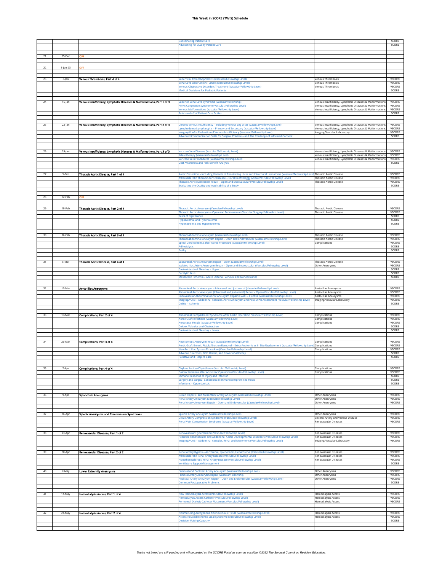|    |           |                                                                       | <b>Coordinating Patient Care</b><br>dvocating for Quality Patient Care                                                                                                                                                                                                                                                                                                                  |                                                                                                                                                                                  | SCORE<br>SCORE                               |
|----|-----------|-----------------------------------------------------------------------|-----------------------------------------------------------------------------------------------------------------------------------------------------------------------------------------------------------------------------------------------------------------------------------------------------------------------------------------------------------------------------------------|----------------------------------------------------------------------------------------------------------------------------------------------------------------------------------|----------------------------------------------|
|    |           |                                                                       |                                                                                                                                                                                                                                                                                                                                                                                         |                                                                                                                                                                                  |                                              |
| 21 | 25-Dec    | DFF                                                                   |                                                                                                                                                                                                                                                                                                                                                                                         |                                                                                                                                                                                  |                                              |
| 22 | 1-Jan-23  | OFF                                                                   |                                                                                                                                                                                                                                                                                                                                                                                         |                                                                                                                                                                                  |                                              |
| 23 | 8-jan     | Venous Thrombosis, Part 4 of 4                                        | Superficial Thrombophlebitis (Vascular/Fellowship Level)<br>Vena Cava Obstruction/Tumors (Vascular/Fellowship Level)<br>Venous Obstructive Disorders Treatment (Vascular/Fellowship Level)<br><b>Medical Decisions for Pediatric Patients</b>                                                                                                                                           | <b>Venous Thrombosis</b><br>Venous Thrombosis<br><b>Venous Thrombosis</b>                                                                                                        | VSCORE<br>VSCORE<br>VSCORE<br>SCORE          |
| 24 | 15-Jan    | Venous Insufficiency, Lymphatic Diseases & Maiformations, Part 1 of 3 | Superior Vena Cava Syndrome (Vascular/Fellowship)                                                                                                                                                                                                                                                                                                                                       | Venous Insufficiency, Lymphatic Diseases & Malformations                                                                                                                         | VSCORE                                       |
|    |           |                                                                       | elvic Congestion Syndrome (Vascular/Fellowship Level)<br>Venous Malformations (Vascular/Fellowship Level)                                                                                                                                                                                                                                                                               | Venous Insufficiency, Lymphatic Diseases & Malformations<br>Venous Insufficiency, Lymphatic Diseases & Malformations                                                             | VSCORE<br>VSCORE                             |
|    |           |                                                                       | Safe Handoff of Patient Care Duties                                                                                                                                                                                                                                                                                                                                                     |                                                                                                                                                                                  | SCORE                                        |
| 25 | $22$ -Jan | Venous insufficiency, Lymphatic Diseases & Malformations, Part 2 of 3 | Chronic Venous Insufficiency - Including Venous Leg Ulcer (Vascular/Fellowship Level)<br>Lymphedema/Lymphangitis - Primary and Secondary (Vascular/Fellowship Level)<br>Imaging/VLAB - Evaluation of Venous Insufficiency (Vascular/Fellowship Level)<br>Advanced Communication Skills for Surgical Practice - and The Challenge of Informed Consent                                    | Venous Insufficiency, Lymphatic Diseases & Malformations<br>Venous Insufficiency, Lymphatic Diseases & Malformation:<br>Imaging/Vascular Laboratory                              | VSCORE<br><b>VSCORE</b><br>VSCORE<br>SCORE   |
|    |           |                                                                       |                                                                                                                                                                                                                                                                                                                                                                                         |                                                                                                                                                                                  |                                              |
| 26 | 29-Jan    | Venous insufficiency, Lymphatic Diseases & Malformations, Part 3 of 3 | /aricose Vein Disease (Vascular/Fellowship Level)<br>clerotherapy (Vascular/Fellowship Levi<br>Varicose Vein Procedures (Vascular/Fellowship Level)                                                                                                                                                                                                                                     | Venous Insufficiency, Lymphatic Diseases & Malformations<br>Venous Insufficiency, Lymphatic Diseases & Malformations<br>Venous Insufficiency, Lymphatic Diseases & Malformations | VSCORE<br>VSCORE<br>VSCORE                   |
|    |           |                                                                       | Cost Awareness and Risk-Benefit Analysis                                                                                                                                                                                                                                                                                                                                                |                                                                                                                                                                                  | SCORE                                        |
| 27 | 5-Feb     | Thoracic Aortic Disease, Part 1 of 4                                  | Aortic Dissection - Including Variants of Penetrating Ulcer and Intramural Hematoma (Vascular/Fellowship Level Thoracic Aortic Disease<br>Atherosclerotic Thoracic Aortic Disease - Coral Reef/Shaggy Aorta (Vascular/Fellowship Level)<br>Thoracic Aortic Dissection Repair - Open and Endovascular (Vascular/Fellowship Level)<br>Evaluating the Quality and Applicability of a Study | <b>Thoracic Aortic Disease</b><br><b>Thoracic Aortic Disease</b>                                                                                                                 | <b>VSCORE</b><br>VSCORE<br>VSCORE<br>SCORE   |
| 28 | 12-Feb    | OFF                                                                   |                                                                                                                                                                                                                                                                                                                                                                                         |                                                                                                                                                                                  |                                              |
| 29 | 19-Feb    | Thoracic Aortic Disease, Part 2 of 4                                  | Fhoracic Aortic Aneurysm (Vascular/Fellowship Level)                                                                                                                                                                                                                                                                                                                                    | <b>Thoracic Aortic Disease</b>                                                                                                                                                   | <b>VSCORE</b>                                |
|    |           |                                                                       | Thoracic Aortic Aneurysm - Open and Endovascular (Vascular Surgery/Fellowship Level)<br>ests of Significance<br>Hypokalemia and Hyperkalemia<br>Hyponatremia and Hypernatremia                                                                                                                                                                                                          | <b>Thoracic Aortic Disease</b>                                                                                                                                                   | VSCORE<br>SCORE<br>SCORE<br>SCORE            |
| 30 | 26-Feb    | Thoracic Aortic Disease, Part 3 of 4                                  | Thoracoabdominal Aneurysm (Vascular/Fellowship Level)<br>Thoracoabdominal Aneurysm Repair - Open and Endovascular (Vascular/Fellowship Level)                                                                                                                                                                                                                                           | <b>Thoracic Aortic Disease</b><br><b>Thoracic Aortic Disease</b>                                                                                                                 | VSCORE<br>VSCORE                             |
|    |           |                                                                       | Spinal Cord Ischemia after Aortic Procedure (Vascular/Fellowship Level)<br>dhesiolysis                                                                                                                                                                                                                                                                                                  | Complications                                                                                                                                                                    | VSCORE<br>SCORE                              |
|    |           |                                                                       | Frailty                                                                                                                                                                                                                                                                                                                                                                                 |                                                                                                                                                                                  | SCORE                                        |
| 31 | 5-Mar     | Thoracic Aortic Disease, Part 4 of 4                                  | Suprarenal Aortic Aneurysm Repair - Open (Vascular/Fellowship Level)<br>solated Iliac Artery Aneurysm Repair – Open and Endovascular (Vascular/Fellowship Level)<br><b>Gastrointestinal Bleeding - Upper</b><br><b>Paralytic Ileus</b><br>Mesenteric Ischemia - Acute (Arterial, Venous, and Nonocclusive)                                                                              | <b>Thoracic Aortic Disease</b><br>Other Aneurysms                                                                                                                                | VSCORE<br>VSCORE<br>SCORE<br>SCORE<br>SCORE  |
|    |           |                                                                       |                                                                                                                                                                                                                                                                                                                                                                                         |                                                                                                                                                                                  |                                              |
|    | 12-Mar    | <b>Aorto-Illac Aneurysms</b>                                          | Abdominal Aortic Aneurysm - Infrarenal and Juxtarenal (Vascular/Fellowship Level)                                                                                                                                                                                                                                                                                                       | Aorto-Iliac Aneurysms                                                                                                                                                            | VSCORE                                       |
|    |           |                                                                       | Abdominal Aortic Aneurysm (Infrarenal and Juxtarenal) Repair - Open (Vascular/Fellowship Level)                                                                                                                                                                                                                                                                                         | Aorto-Iliac Aneurysms                                                                                                                                                            | <b>VSCORE</b>                                |
|    |           |                                                                       | Endovascular Abdominal Aortic Aneurysm Repair (EVAR) - Elective (Vascular/Fellowship Level)<br>Imaging/VLAB - Abdominal Vascular, Aortic Aneurysm and Post-EVAR Assessment (Vascular/Fellowship Level)                                                                                                                                                                                  | Aorto-Iliac Aneurysms<br>Imaging/Vascular Laboratory                                                                                                                             | VSCORE<br><b>VSCORE</b>                      |
| 33 | 19-Mar    | Complications, Part 2 of 4                                            | Colitis - Ischemic<br>Abdominal Compartment Syndrome After Aortic Operation (Vascular/Fellowship Level)<br>Aortic Graft Infections (Vascular/Fellowship Level)<br>Aortocaval Fistula (Vascular/Fellowship Level)<br>olonic Volvulus and Obstruction                                                                                                                                     | Complications<br>Complications<br>Complications                                                                                                                                  | SCORE<br>VSCORE<br>VSCORE<br>VSCORE<br>SCORE |
|    |           |                                                                       | <b>Sastrointestinal Bleeding - Lower</b>                                                                                                                                                                                                                                                                                                                                                |                                                                                                                                                                                  | SCORE                                        |
| 34 | 26-Mar    | Complications, Part 3 of 4                                            | Inastomotic Aneurysm Repair (Vascular/Fellowship Level)                                                                                                                                                                                                                                                                                                                                 | Complications                                                                                                                                                                    | VSCORE                                       |
|    |           |                                                                       | Aortic Graft-Enteric Fistula/Erosion Removal – Extra-Anatomic vs In Situ Replacement (Vascular/Fellowship Level) Complications<br>Neo-Aortoiliac System Procedure (Vascular/Fellowship Level)                                                                                                                                                                                           | Complications                                                                                                                                                                    | VSCORE<br>VSCORE                             |
|    |           |                                                                       | Advance Directives, DNR Orders, and Power of Attorney<br><b>Palliative and Hospice Care</b>                                                                                                                                                                                                                                                                                             |                                                                                                                                                                                  | SCORE<br>SCORE                               |
|    |           |                                                                       |                                                                                                                                                                                                                                                                                                                                                                                         |                                                                                                                                                                                  |                                              |
| 35 | 2-Apr     | Complications, Part 4 of 4                                            | Chylous Ascites/Chylothorax (Vascular/Fellowship Level)<br>Colonic Ischemia after Aortoiliac Operation (Vascular/Fellowship Level)                                                                                                                                                                                                                                                      | Complications<br>Complications                                                                                                                                                   | VSCORE<br>VSCORE                             |
|    |           |                                                                       | mmune Response to Injury and Infection<br><b>Surgery and Surgical Conditions in Immunocompromised Hosts</b><br><b>Infections - Opportunistic</b>                                                                                                                                                                                                                                        |                                                                                                                                                                                  | SCORE<br>SCORE<br>SCORE                      |
|    |           |                                                                       |                                                                                                                                                                                                                                                                                                                                                                                         |                                                                                                                                                                                  |                                              |
| 36 | 9-Apr     | Splanchnic Aneurysms                                                  | Celiac, Hepatic, and Mesenteric Artery Aneurysm (Vascular/Fellowship Level)<br>Renal Artery Aneurysm (Vascular/Fellowship Level)<br>Renal Artery Aneurysm Repair - Open and Endovascular (Vascular/Fellowship Level)                                                                                                                                                                    | Other Aneurysms<br>Other Aneurysms<br>Other Aneurysms                                                                                                                            | <b>VSCORE</b><br>VSCORE<br>VSCORE            |
| 37 | 16-Apr    | Spienic Aneurysms and Compression Syndromes                           | Splenic Artery Aneurysm (Vascular/Fellowship Level)                                                                                                                                                                                                                                                                                                                                     | Other Aneurysms                                                                                                                                                                  | VSCORE                                       |
|    |           |                                                                       | Celiac Artery Compression Syndrome (Vascular/Fellowship Level)<br>tenal Vein Compression Syndrome (Vascular/Fellowship Level)                                                                                                                                                                                                                                                           | Visceral Artery and Venous Disease<br>Renovascular Diseases                                                                                                                      | VSCORE<br>VSCORE                             |
|    |           |                                                                       |                                                                                                                                                                                                                                                                                                                                                                                         |                                                                                                                                                                                  |                                              |
| 38 | 23-Apr    | Renovascular Diseases, Part 1 of 2                                    | Renovascular Hypertension (Vascular/Fellowship Level)<br>Pediatric Renovascular and Abdominal Aortic Developmental Disorders (Vascular/Fellowship Level)                                                                                                                                                                                                                                | Renovascular Diseases<br>Renovascular Diseases                                                                                                                                   | VSCORE<br>VSCORE                             |
|    |           |                                                                       | maging/VLAB - Abdominal Vascular, Renal and Mesenteric (Vascular/Fellowship Level)                                                                                                                                                                                                                                                                                                      | Imaging/Vascular Laboratory                                                                                                                                                      | <b>VSCORE</b>                                |
| 39 | 30-Apr    | Renovascular Diseases, Part 2 of 2                                    | (enal Artery Bypass - Aortorenal, Splenorenal, Hepatorenal (Vascular/Fellowship Level)<br>(therosclerotic Renal Artery Disease (Vascular/Fellowship Level)                                                                                                                                                                                                                              | Renovascular Diseases<br>Renovascular Diseases<br>Renovascular Diseases                                                                                                          | VSCORE<br>VSCORE<br>VSCORE                   |
|    |           |                                                                       | Nonatherosclerotic Renal Artery Disease (Vascular/Fellowship Level)<br><b>Ventilatory Support/Management</b>                                                                                                                                                                                                                                                                            |                                                                                                                                                                                  | SCORE                                        |
| 40 | 7-May     | Lower Extremity Aneurysms                                             | Femoral and Popliteal Artery Aneurysm (Vascular/Fellowship Level)                                                                                                                                                                                                                                                                                                                       | Other Aneurysms                                                                                                                                                                  | VSCORE<br>VSCORE                             |
|    |           |                                                                       | Femoral Artery Aneurysm Repair (Vascular/Fellowship)<br>Popliteal Artery Aneurysm Repair - Open and Endovascular (Vascular/Fellowship Level)<br><b>Common Postoperative Problems</b>                                                                                                                                                                                                    | Other Aneurysms<br>Other Aneurysms                                                                                                                                               | VSCORE<br>SCORE                              |
| 41 | 14-May    | Hemodialysis Access, Part 1 of 4                                      | New Hemodialysis Access (Vascular/Fellowship Level)<br>Hemodialysis Access Catheter (Vascular/Fellowship Level)                                                                                                                                                                                                                                                                         | <b>Hemodialysis Access</b><br><b>Hemodialysis Access</b>                                                                                                                         | VSCORE<br><b>VSCORE</b>                      |
|    |           |                                                                       | Peritoneal Dialysis Catheter Placement (Vascular/Fellowship Level)                                                                                                                                                                                                                                                                                                                      | <b>Hemodialysis Access</b>                                                                                                                                                       | <b>VSCORE</b>                                |
| 42 | 21-May    | Hernodialysis Access, Part 2 of 4                                     | Nonmaturing Autogenous Arteriovenous Fistula (Vascular/Fellowship Level)                                                                                                                                                                                                                                                                                                                | Hemodialysis Access                                                                                                                                                              | VSCORE                                       |
|    |           |                                                                       | ccess-Related Ischemic Steal Syndrome (Vascular/Fellowship Level)<br><b>Decision-Making Capacity</b>                                                                                                                                                                                                                                                                                    | Hemodialysis Access                                                                                                                                                              | VSCORE<br>SCORE                              |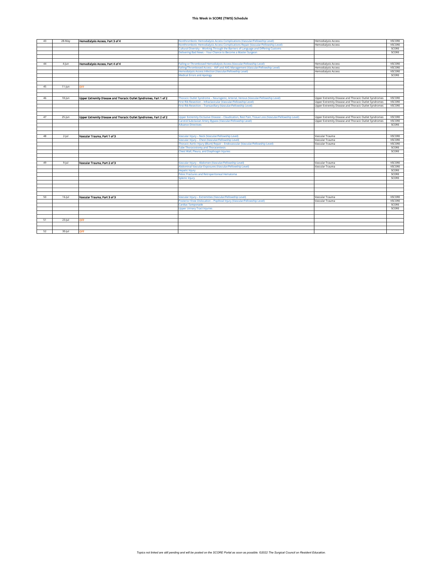| 43 | 28-May     | Hemodialysis Access, Part 3 of 4                                   | Nonthrombotic Hemodialysis Access Complications (Vascular/Fellowship Level)                          | Hemodialysis Access                                   | VSCORE        |
|----|------------|--------------------------------------------------------------------|------------------------------------------------------------------------------------------------------|-------------------------------------------------------|---------------|
|    |            |                                                                    | Nonthrombotic Hemodialysis Access Complications Repair (Vascular/Fellowship Level)                   | <b>Hemodialysis Access</b>                            | VSCORE        |
|    |            |                                                                    | Cultural Diversity - Working Through the Barriers of Language and Differing Customs                  |                                                       | SCORE         |
|    |            |                                                                    | Delivering Bad News - Your Chance to Become a Master Surgeon                                         |                                                       | SCORE         |
|    |            |                                                                    |                                                                                                      |                                                       |               |
|    |            |                                                                    |                                                                                                      |                                                       |               |
| 44 | 4-Jun      | Hemodialysis Access, Part 4 of 4                                   | Failing or Thrombosed Hemodialysis Access (Vascular/Fellowship Level)                                | <b>Hemodialysis Access</b>                            | VSCORE        |
|    |            |                                                                    | Failing/Thrombosed Access - AVF and AVG Management (Vascular/Fellowship Level)                       | <b>Hemodialysis Access</b>                            | <b>VSCORE</b> |
|    |            |                                                                    | Hemodialysis Access Infection (Vascular/Fellowship Level)                                            | <b>Hemodialysis Access</b>                            | VSCORE        |
|    |            |                                                                    | <b>Medical Errors and Apology</b>                                                                    |                                                       | SCORE         |
|    |            |                                                                    |                                                                                                      |                                                       |               |
|    |            |                                                                    |                                                                                                      |                                                       |               |
| 45 | $11$ -Jun  | <b>OFF</b>                                                         |                                                                                                      |                                                       |               |
|    |            |                                                                    |                                                                                                      |                                                       |               |
|    |            |                                                                    |                                                                                                      |                                                       |               |
| 46 | $18$ -Jun  | Upper Extremity Disease and Thoracic Outlet Syndromes, Part 1 of 2 | Thoracic Outlet Syndrome - Neurogenic, Arterial, Venous (Vascular/Fellowship Level)                  | Upper Extremity Disease and Thoracic Outlet Syndromes | VSCORE        |
|    |            |                                                                    | First Rib Resection - Infraclavicular (Vascular/Fellowship Level)                                    | Upper Extremity Disease and Thoracic Outlet Syndromes | VSCORE        |
|    |            |                                                                    | First Rib Resection - Transaxillary (Vascular/Fellowship Level)                                      | Upper Extremity Disease and Thoracic Outlet Syndromes | VSCORE        |
|    |            |                                                                    |                                                                                                      |                                                       |               |
|    |            |                                                                    |                                                                                                      |                                                       |               |
| 47 | $25$ -Jun  | Upper Extremity Disease and Thoracic Outlet Syndromes, Part 2 of 2 | Upper Extremity Occlusive Disease - Claudication, Rest Pain, Tissue Loss (Vascular/Fellowship Level) | Upper Extremity Disease and Thoracic Outlet Syndromes | VSCORE        |
|    |            |                                                                    | Carotid-Subclavian Artery Bypass (Vascular/Fellowship Level)                                         | Upper Extremity Disease and Thoracic Outlet Syndromes | VSCORE        |
|    |            |                                                                    | <b>Advance Directives</b>                                                                            |                                                       | SCORE         |
|    |            |                                                                    |                                                                                                      |                                                       |               |
|    |            |                                                                    |                                                                                                      |                                                       |               |
| 48 | $2$ -lul   | Vascular Trauma, Part 1 of 3                                       | Vascular Injury - Neck (Vascular/Fellowship Level)                                                   | Vascular Trauma                                       | VSCORE        |
|    |            |                                                                    | Vascular Injury - Chest (Vascular/Fellowship Level)                                                  | Vascular Trauma                                       | VSCORE        |
|    |            |                                                                    | Thoracic Aortic Injury (Blunt) Repair - Endovascular (Vascular/Fellowship Level)                     | Vascular Trauma                                       | VSCORE        |
|    |            |                                                                    | <b>Tube Thoracostomy and Thoracentesis</b>                                                           |                                                       | SCORE         |
|    |            |                                                                    | Chest Wall, Pleura, and Diaphragm Injuries                                                           |                                                       | SCORE         |
|    |            |                                                                    |                                                                                                      |                                                       |               |
|    |            |                                                                    |                                                                                                      |                                                       |               |
| 49 | $9$ -Jul   | Vascular Trauma, Part 2 of 3                                       | Vascular Injury - Abdomen (Vascular/Fellowship Level)                                                | Vascular Trauma                                       | <b>VSCORE</b> |
|    |            |                                                                    | Abdominal Vascular Exposures (Vascular/Fellowship Level)                                             | Vascular Trauma                                       | <b>VSCORE</b> |
|    |            |                                                                    | <b>Hepatic Injury</b>                                                                                |                                                       | SCORE         |
|    |            |                                                                    | Pelvic Fractures and Retroperitoneal Hematoma                                                        |                                                       | SCORE         |
|    |            |                                                                    | <b>Splenic Injury</b>                                                                                |                                                       | SCORE         |
|    |            |                                                                    |                                                                                                      |                                                       |               |
|    |            |                                                                    |                                                                                                      |                                                       |               |
|    |            |                                                                    |                                                                                                      |                                                       |               |
|    |            |                                                                    |                                                                                                      |                                                       |               |
| 50 | $16$ -Jul  | Vascular Trauma, Part 3 of 3                                       | Vascular Injury - Extremities (Vascular/Fellowship Level)                                            | Vascular Trauma                                       | VSCORE        |
|    |            |                                                                    | Posterior Knee Dislocation - Popliteal Injury (Vascular/Fellowship Level)                            | Vascular Trauma                                       | VSCORE        |
|    |            |                                                                    | <b>Cardiac Tamponade</b>                                                                             |                                                       | SCORE         |
|    |            |                                                                    | <b>Upper Urinary Tract Injuries</b>                                                                  |                                                       | SCORE         |
|    |            |                                                                    |                                                                                                      |                                                       |               |
|    |            |                                                                    |                                                                                                      |                                                       |               |
| 51 | $23 -  ul$ | <b>OFF</b>                                                         |                                                                                                      |                                                       |               |
|    |            |                                                                    |                                                                                                      |                                                       |               |
|    |            |                                                                    |                                                                                                      |                                                       |               |
| 52 | $30 -  ul$ | OFF                                                                |                                                                                                      |                                                       |               |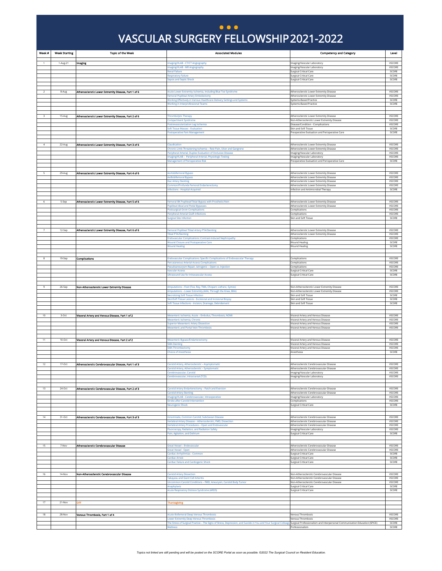#### VASCULAR SURGERY FELLOWSHIP 2021-2022 VASCULAR SURGERY FELLOWSHIP 2021-2022 **) ...**

<span id="page-10-0"></span>

| Week #           | <b>Week Starting</b> | <b>Topic of the Week</b>                             | <b>Associated Modules</b>                                                                                                                                                                                                            | <b>Competency and Category</b>                                                             | Level                   |
|------------------|----------------------|------------------------------------------------------|--------------------------------------------------------------------------------------------------------------------------------------------------------------------------------------------------------------------------------------|--------------------------------------------------------------------------------------------|-------------------------|
|                  | 1-Aug-21             | Imaging                                              | maging/VLAB - CT/CT Angiography                                                                                                                                                                                                      | maging/Vascular Laboratory                                                                 | VSCORE                  |
|                  |                      |                                                      | maging/VLAB - MR Angiography<br>Renal Failure                                                                                                                                                                                        | Imaging/Vascular Laboratory<br>Surgical Critical Care                                      | VSCORE<br>SCORE         |
|                  |                      |                                                      | <b>Respiratory Failure</b>                                                                                                                                                                                                           | Surgical Critical Care                                                                     | SCORE                   |
|                  |                      |                                                      | <b>Sepsis and Septic Shock</b>                                                                                                                                                                                                       | Surgical Critical Care                                                                     | SCORE                   |
|                  |                      | Atheroscierotic Lower Extremity Disease, Part 1 of 6 | Acute Lower Extremity Ischemia, Including Blue Toe Syndrome                                                                                                                                                                          |                                                                                            | VSCORE                  |
|                  | 8-Aug                |                                                      | emoral Popliteal Artery Embolectomy                                                                                                                                                                                                  | Atherosclerotic Lower Extremity Disease<br>Atherosclerotic Lower Extremity Disease         | VSCORE                  |
|                  |                      |                                                      | Working Effectively in Various Healthcare Delivery Settings and Systems<br><b>Norking in Interprofessional Teams</b>                                                                                                                 | Systems-Based Practice<br>Systems-Based Practice                                           | SCORE<br>SCORE          |
|                  |                      |                                                      |                                                                                                                                                                                                                                      |                                                                                            |                         |
| 3                | $15-Aug$             | Atherosclerotic Lower Extremity Disease, Part 2 of 6 | Thrombolytic Therapy                                                                                                                                                                                                                 | Atherosclerotic Lower Extremity Disease                                                    | VSCORE                  |
|                  |                      |                                                      | Compartment Syndrome                                                                                                                                                                                                                 | Non-Atherosclerotic Lower Extremity Disease                                                | VSCORE                  |
|                  |                      |                                                      | ostrevascularization Leg Ischemia<br>Soft Tissue Masses - Evaluation                                                                                                                                                                 | Disease/Condition - Complications<br>Skin and Soft Tissue                                  | VSCORE<br>SCORE         |
|                  |                      |                                                      | Postoperative Pain Management                                                                                                                                                                                                        | Preoperative Evaluation and Perioperative Care                                             | SCORE                   |
|                  |                      |                                                      |                                                                                                                                                                                                                                      |                                                                                            |                         |
|                  | 22-Aug               | Atherosclerotic Lower Extremity Disease, Part 3 of 6 | Claudication<br>Chronic Limb-Threatening Ischemia - Rest Pain, Ulcer and Gangrene                                                                                                                                                    | Atherosclerotic Lower Extremity Disease<br>Atherosclerotic Lower Extremity Disease         | VSCORE<br>VSCORE        |
|                  |                      |                                                      | eripheral Arterial, Duplex Evaluation of Occlusive Disease                                                                                                                                                                           | Imaging/Vascular Laboratory                                                                | VSCORE                  |
|                  |                      |                                                      | maging/VLAB - Peripheral Arterial, Physiologic Testing<br><b>Management of Perioperative Risk</b>                                                                                                                                    | maging/Vascular Laboratory<br>Preoperative Evaluation and Perioperative Care               | VSCORE<br>SCORE         |
|                  |                      |                                                      |                                                                                                                                                                                                                                      |                                                                                            |                         |
|                  | 29-Aug               | Atheroscierotic Lower Extremity Disease, Part 4 of 6 | Aortobifemoral Bypass                                                                                                                                                                                                                | Atherosclerotic Lower Extremity Disease                                                    | VSCORE                  |
|                  |                      |                                                      | Axillobifemoral Bypass<br>liac Artery Stenting                                                                                                                                                                                       | Atherosclerotic Lower Extremity Disease<br>Atherosclerotic Lower Extremity Disease         | VSCORE<br>VSCORE        |
|                  |                      |                                                      | Common/Profunda Femoral Endarterectomy                                                                                                                                                                                               | Atherosclerotic Lower Extremity Disease                                                    | VSCORE<br>SCORE         |
|                  |                      |                                                      | nfections - Hospital-Acquired                                                                                                                                                                                                        | Infection and Antimicrobial Therapy                                                        |                         |
|                  | 5-Sep                | Atherosclerotic Lower Extremity Disease, Part 5 of 6 | Femoral BK Popliteal/Tibial Bypass with Prosthetic/Vein                                                                                                                                                                              | Atherosclerotic Lower Extremity Disease                                                    | VSCORE                  |
|                  |                      |                                                      | Popliteal-tibial and Pedal Bypasses                                                                                                                                                                                                  | Atherosclerotic Lower Extremity Disease                                                    | VSCORE                  |
|                  |                      |                                                      | Postsurgical Groin Complications<br>Peripheral Arterial Graft Infections                                                                                                                                                             | Complications<br>Complications                                                             | VSCORE<br>VSCORE        |
|                  |                      |                                                      | <b>Surgical Site Infection</b>                                                                                                                                                                                                       | Skin and Soft Tissue                                                                       | SCORE                   |
|                  |                      |                                                      |                                                                                                                                                                                                                                      |                                                                                            |                         |
|                  | 12-Sep               | Atherosclerotic Lower Extremity Disease, Part 6 of 6 | emoral Popliteal Tibial Artery PTA/Stenting<br><b>Tibial PTA/Stenting</b>                                                                                                                                                            | Atherosclerotic Lower Extremity Disease<br>Atherosclerotic Lower Extremity Disease         | VSCORE<br>VSCORE        |
|                  |                      |                                                      | <b>Endovascular Complications: Contrast-Induced Nephropathy</b>                                                                                                                                                                      | Complications                                                                              | VSCORE                  |
|                  |                      |                                                      | <b>Nound Closure and Postoperative Care</b><br><b>Wound Healing</b>                                                                                                                                                                  | <b>Wound Healing</b><br><b>Wound Healing</b>                                               | SCORE<br>SCORE          |
|                  |                      |                                                      |                                                                                                                                                                                                                                      |                                                                                            |                         |
|                  | 19-Sep               | <b>Complications</b>                                 | indovascular Complications: Specific Complications of Endovascular Therapy                                                                                                                                                           | Complications                                                                              | VSCORE                  |
|                  |                      |                                                      | Percutaneous Arterial Access Complications<br>Pseudoaneurysm Repair, latrogenic – Open vs. Injection                                                                                                                                 | Complications<br>Complications                                                             | VSCORE<br>VSCORE        |
|                  |                      |                                                      | <b>Vascular Access</b>                                                                                                                                                                                                               | Surgical Critical Care                                                                     | SCORE                   |
|                  |                      |                                                      | Ultrasound Use for Intravascular Access                                                                                                                                                                                              | <b>Surgical Critical Care</b>                                                              | SCORE                   |
|                  |                      |                                                      |                                                                                                                                                                                                                                      |                                                                                            |                         |
|                  | 26-Sep               | Non-Atherosclerotic Lower Extremity Disease          | Amputations - Foot (Toe, Ray, TMA, Chopart, Lisfranc, Symes)<br>Amputations - Lower Extremity (AKA, Through the Knee, BKA)                                                                                                           | Non-Atherosclerotic Lower Extremity Disease<br>Non-Atherosclerotic Lower Extremity Disease | <b>VSCORE</b><br>VSCORE |
|                  |                      |                                                      | lecrotizing Soft Tissue Infection<br>Skin/Soft Tissue Lesions - Excisional and Incisional Biopsy                                                                                                                                     | Skin and Soft Tissue<br>Skin and Soft Tissue                                               | SCORE<br>SCORE          |
|                  |                      |                                                      | Soft Tissue Infections - Incision, Drainage, Debridement                                                                                                                                                                             | Skin and Soft Tissue                                                                       | SCORE                   |
|                  |                      |                                                      |                                                                                                                                                                                                                                      |                                                                                            |                         |
| 10 <sub>10</sub> | 3-Oct                | Visceral Artery and Venous Disease, Part 1 of 2      | Mesenteric Ischemia, Acute - Embolus, Thrombosis, NOMI                                                                                                                                                                               | Visceral Artery and Venous Disease                                                         | VSCORE<br>VSCORE        |
|                  |                      |                                                      | Mesenteric Ischemia, Chronic<br><b>Superior Mesenteric Artery Dissection</b>                                                                                                                                                         | Visceral Artery and Venous Disease<br>Visceral Artery and Venous Disease                   | VSCORE                  |
|                  |                      |                                                      | <b>Mesenteric and Portal Vein Thrombosis</b>                                                                                                                                                                                         | Visceral Artery and Venous Disease                                                         | VSCORE                  |
|                  |                      |                                                      |                                                                                                                                                                                                                                      |                                                                                            |                         |
|                  | $10$ -Oct            | Visceral Artery and Venous Disease, Part 2 of 2      | Mesenteric Bypass/Endarterectomy<br><b>SMA Stenting</b>                                                                                                                                                                              | Visceral Artery and Venous Disease<br>Visceral Artery and Venous Disease                   | VSCORE<br>VSCORE        |
|                  |                      |                                                      | <b>SMA Thrombectomy</b><br>Choice of Anesthesia                                                                                                                                                                                      | Visceral Artery and Venous Disease<br>Anesthesia                                           | VSCORE<br>SCORE         |
|                  |                      |                                                      |                                                                                                                                                                                                                                      |                                                                                            |                         |
|                  | 17-Oct               | Atherosclerotic Cerebrovascular Disease, Part 1 of 3 | Carotid Artery, Atherosclerotic - Asymptomatic                                                                                                                                                                                       | Atherosclerotic Cerebrovascular Disease                                                    | VSCORE                  |
|                  |                      |                                                      | Carotid Artery, Atherosclerotic - Symptomatic                                                                                                                                                                                        | Atherosclerotic Cerebrovascular Disease<br>Imaging/Vascular Laborator                      | VSCORE<br>VSCORE        |
|                  |                      |                                                      | erebrovascular. Carotic<br>lerebrovascular, Intracranial (TCD)                                                                                                                                                                       | maging/Vascular Laboratory                                                                 | VSCORE                  |
|                  |                      |                                                      |                                                                                                                                                                                                                                      |                                                                                            |                         |
| 13               | 24-Oct               | Atherosclerotic Cerebrovascular Disease, Part 2 of 3 | Carotid Artery Endarterectomy - Patch and Eversion                                                                                                                                                                                   | Atherosclerotic Cerebrovascular Disease                                                    | VSCORE                  |
|                  |                      |                                                      | <b>Carotid Artery Stenting</b><br>maging/VLAB - Cerebrovascular, Intraoperative                                                                                                                                                      | Atherosclerotic Cerebrovascular Disease<br>maging/Vascular Laboratory                      | VSCORE<br>VSCORE        |
|                  |                      |                                                      | Stroke after Carotid Intervention<br><b>Veurogenic Shock</b>                                                                                                                                                                         | Complications<br>Surgical Critical Care                                                    | VSCORE<br>SCORE         |
|                  |                      |                                                      |                                                                                                                                                                                                                                      |                                                                                            |                         |
| 14               | 31-Oct               | Atherosclerotic Cerebrovascular Disease, Part 3 of 3 | nnominate, Common Carotid, Subclavian Disease                                                                                                                                                                                        | Atherosclerotic Cerebrovascular Disease                                                    | VSCORE                  |
|                  |                      |                                                      | ertebral Artery Disease - Atherosclerotic, FMD, Dissection                                                                                                                                                                           | Atherosclerotic Cerebrovascular Disease                                                    | VSCORE                  |
|                  |                      |                                                      | ertebral Artery Procedures - Open and Endovascular<br>luoroscopy, Radiation, and Radiation Safety                                                                                                                                    | Atherosclerotic Cerebrovascular Disease<br>maging/Vascular Laboratory                      | VSCORE<br>VSCORE        |
|                  |                      |                                                      | ain, Agitation, and Delirium                                                                                                                                                                                                         | Surgical Critical Care                                                                     | SCORE                   |
|                  |                      |                                                      |                                                                                                                                                                                                                                      |                                                                                            |                         |
| 15               | 7-Nov                | Atherosclerotic Cerebrovascular Disease              | Great Vessel – Endovascular<br>Great Vessel - Open                                                                                                                                                                                   | Atherosclerotic Cerebrovascular Disease<br>Atherosclerotic Cerebrovascular Disease         | VSCORE<br>VSCORE        |
|                  |                      |                                                      | Cardiac Arrhythmias - Common<br>ardiac Arrest                                                                                                                                                                                        | Surgical Critical Care<br>Surgical Critical Care                                           | SCORE<br>SCORE          |
|                  |                      |                                                      | ardiac Failure and Cardiogenic Shock                                                                                                                                                                                                 | Surgical Critical Care                                                                     | SCORE                   |
|                  |                      |                                                      |                                                                                                                                                                                                                                      |                                                                                            |                         |
| 16               | 14-Nov               | Non-Atherosclerotic Cerebrovascular Disease          | <b>Carotid Artery Dissection</b>                                                                                                                                                                                                     | Non-Atherosclerotic Cerebrovascular Disease                                                | VSCORE                  |
|                  |                      |                                                      | Takayasu and Giant Cell Arteritis<br>Uncommon Carotid Conditions - FMD, Aneurysm, Carotid Body Tumor                                                                                                                                 | Non-Atherosclerotic Cerebrovascular Disease<br>Non-Atherosclerotic Cerebrovascular Disease | VSCORE<br>VSCORE        |
|                  |                      |                                                      | Anaphylaxis                                                                                                                                                                                                                          | Surgical Critical Care                                                                     | SCORE                   |
|                  |                      |                                                      | Acute Respiratory Distress Syndrome (ARDS)                                                                                                                                                                                           | Surgical Critical Care                                                                     | SCORE                   |
| 17               | 21-Nov               | OFF                                                  | Thanksgiving                                                                                                                                                                                                                         |                                                                                            |                         |
|                  |                      |                                                      |                                                                                                                                                                                                                                      |                                                                                            |                         |
| 18               | 28-Nov               | Venous Thrombosis, Part 1 of 4                       | <b>Acute Iliofemoral Deep Venous Thrombosis</b>                                                                                                                                                                                      | Venous Thrombosis                                                                          | VSCORE                  |
|                  |                      |                                                      | ower Extremity Deep Venous Thrombosis<br>The Stress of Surgical Practice - The Signs of Stress, Depression, and Suicide in You and Your Surgical Colleagu Surgical Professionalism and Interpersonal Communication Education (SPICE) | Venous Thrombosis                                                                          | VSCORE<br>SCORE         |
|                  |                      |                                                      | Wellness                                                                                                                                                                                                                             | Professionalism                                                                            | SCORE                   |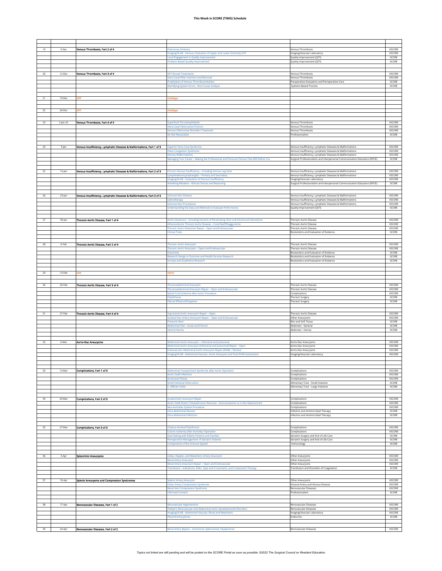| 19     | $5-Dec$     | Venous Thrombosis, Part 2 of 4                                        | ulmonary Embolus                                                                                                                       | Venous Thrombosis                                                                                                    | VSCORE           |
|--------|-------------|-----------------------------------------------------------------------|----------------------------------------------------------------------------------------------------------------------------------------|----------------------------------------------------------------------------------------------------------------------|------------------|
|        |             |                                                                       | maging/VLAB - Venous, Evaluation of Upper and Lower Extremity DVT                                                                      | Imaging/Vascular Laboratory                                                                                          | VSCORE           |
|        |             |                                                                       | ocal Engagement in Quality Improvement<br>roblem-Based Quality Improvement                                                             | Quality Improvement (QITI)<br>Quality Improvement (QITI)                                                             | SCORE<br>SCORE   |
|        |             |                                                                       |                                                                                                                                        |                                                                                                                      |                  |
| 20     | 12-Dec      | Venous Thrombosis, Part 3 of 4                                        | <b>DVT (Acute) Treatments</b>                                                                                                          | <b>Venous Thrombosis</b>                                                                                             | VSCORE           |
|        |             |                                                                       | ena Caval Filter Insertion and Removal                                                                                                 | <b>Venous Thrombosis</b>                                                                                             | VSCORE           |
|        |             |                                                                       | Prophylaxis of Venous Thromboembolism<br>Identifying System Errors - Root Cause Analysis                                               | Preoperative Evaluation and Perioperative Care<br>Systems-Based Practice                                             | SCORE<br>SCORE   |
|        |             |                                                                       |                                                                                                                                        |                                                                                                                      |                  |
| 21     | 19-Dec      | OFF                                                                   | <b>Iolidays</b>                                                                                                                        |                                                                                                                      |                  |
|        |             |                                                                       |                                                                                                                                        |                                                                                                                      |                  |
| $22\,$ | 26-Dec      | OFF                                                                   | <b>Holldays</b>                                                                                                                        |                                                                                                                      |                  |
|        |             |                                                                       |                                                                                                                                        |                                                                                                                      |                  |
| 23     | $2$ -Jan-22 | Venous Thrombosis, Part 4 of 4                                        | <b>Superficial Thrombophlebitis</b>                                                                                                    | Venous Thrombosis                                                                                                    | VSCORE           |
|        |             |                                                                       | ena Caval Obstruction/Tumors<br>enous Obstructive Disorders Treatment                                                                  | Venous Thrombosis<br>Venous Thrombosis                                                                               | VSCORE<br>VSCORE |
|        |             |                                                                       | Oo Not Resuscitate                                                                                                                     | Professionalism                                                                                                      | SCORE            |
|        |             |                                                                       |                                                                                                                                        |                                                                                                                      |                  |
| $24\,$ | 9-jan       | Venous Insufficiency, Lymphatic Diseases & Malformations, Part 1 of 3 | Superior Vena Cava Syndrome                                                                                                            | Venous Insufficiency, Lymphatic Diseases & Malformations                                                             | VSCORE           |
|        |             |                                                                       | elvic Congestion Syndrome<br><b>/enous Malformations</b>                                                                               | Venous Insufficiency, Lymphatic Diseases & Malformations<br>Venous Insufficiency, Lymphatic Diseases & Malformations | VSCORE<br>VSCORE |
|        |             |                                                                       | Managing Your Career - Making the Professional and Personal Choices That Will Define You                                               | Surgical Professionalism and Interpersonal Communication Education (SPICE)                                           | SCORE            |
|        |             |                                                                       |                                                                                                                                        |                                                                                                                      |                  |
|        | 16-Jan      | Venous Insufficiency, Lymphatic Diseases & Maiformations, Part 2 of 3 | Chronic Venous Insufficiency - Including Venous Leg Ulcer<br>ymphedema/Lymphangitis - Primary and Secondary                            | Venous Insufficiency, Lymphatic Diseases & Malformations<br>Venous Insufficiency, Lymphatic Diseases & Malformations | VSCORE<br>VSCORE |
|        |             |                                                                       | maging/VLAB - Evaluation of Venous Insufficiency                                                                                       | Imaging/Vascular Laboratory                                                                                          | VSCORE           |
|        |             |                                                                       | <b>Admitting Mistakes - Ethical Choices and Reasoning</b>                                                                              | Surgical Professionalism and Interpersonal Communication Education (SPICE)                                           | SCORE            |
| 26     | 23-Jan      | Venous Insufficiency, Lymphatic Diseases & Maiformations, Part 3 of 3 | Varicose Vein Disease                                                                                                                  | Venous Insufficiency, Lymphatic Diseases & Malformations                                                             | VSCORE           |
|        |             |                                                                       | lerotherapy                                                                                                                            | Venous Insufficiency, Lymphatic Diseases & Malformations                                                             | VSCORE           |
|        |             |                                                                       | aricose Vein Procedures<br><b>Inderstanding the Data and Methods to Evaluate Performance</b>                                           | /enous Insufficiency, Lymphatic Diseases & Malformations<br>Quality Improvement (QITI)                               | VSCORE<br>SCORE  |
|        |             |                                                                       |                                                                                                                                        |                                                                                                                      |                  |
| 27     | 30-Jan      | Thoracic Aortic Disease, Part 1 of 4                                  | Aortic Dissection - Including Variants of Penetrating Ulcer and Intramural Hematoma                                                    | <b>Thoracic Aortic Disease</b>                                                                                       | VSCORE           |
|        |             |                                                                       | Atherosclerotic Thoracic Aortic Disease - Coral Reef/Shaggy Aorta<br>Thoracic Aortic Dissection Repair - Open and Endovascular         | Thoracic Aortic Disease<br><b>Thoracic Aortic Disease</b>                                                            | VSCORE<br>VSCORE |
|        |             |                                                                       | <b>Ilinical Trials</b>                                                                                                                 | Biostatistics and Evaluation of Evidence                                                                             | SCORE            |
|        |             |                                                                       |                                                                                                                                        |                                                                                                                      |                  |
| 28     | 6-Feb       | Thoracic Aortic Disease, Part 2 of 4                                  | <b>Thoracic Aortic Aneurysm</b>                                                                                                        | <b>Thoracic Aortic Disease</b>                                                                                       | VSCORE           |
|        |             |                                                                       | horacic Aortic Aneurysm - Open and Endovascular<br><b>Outcomes</b>                                                                     | <b>Thoracic Aortic Disease</b><br>Biostatistics and Evaluation of Evidence                                           | VSCORE<br>SCORE  |
|        |             |                                                                       | lesearch Design in Outcome and Health Services Research                                                                                | Biostatistics and Evaluation of Evidence<br>Biostatistics and Evaluation of Evidence                                 | SCORE<br>SCORE   |
|        |             |                                                                       | Surveys and Qualitative Research                                                                                                       |                                                                                                                      |                  |
| 29     | 13-Feb      | OFF                                                                   | /SITE                                                                                                                                  |                                                                                                                      |                  |
|        |             |                                                                       |                                                                                                                                        |                                                                                                                      |                  |
| 30     | 20-Feb      | Thoracic Aortic Disease, Part 3 of 4                                  | Thoracoabdominal Aneurysm                                                                                                              | <b>Thoracic Aortic Disease</b>                                                                                       | VSCORE           |
|        |             |                                                                       | Thoracoabdominal Aneurysm Repair - Open and Endovascular                                                                               | <b>Thoracic Aortic Disease</b>                                                                                       | VSCORE<br>VSCORE |
|        |             |                                                                       | Spinal Cord Ischemia after Aortic Procedure<br>Chylothorax                                                                             | Complications<br>Thoracic Surgery                                                                                    | SCORE            |
|        |             |                                                                       | leural Effusion/Empyema                                                                                                                | Thoracic Surgery                                                                                                     | SCORE            |
|        |             |                                                                       |                                                                                                                                        |                                                                                                                      |                  |
| 31     | 27-Feb      | Thoracic Aortic Disease, Part 4 of 4                                  | Suprarenal Aortic Aneurysm Repair - Open<br>solated Iliac Artery Aneurysm Repair - Open and Endovascular                               | <b>Thoracic Aortic Disease</b><br>Other Aneurysms                                                                    | VSCORE<br>VSCORE |
|        |             |                                                                       | ressure Ulcer<br>Abdominal Pain - Acute and Chronic                                                                                    | Skin and Soft Tissue<br>Abdomen - General                                                                            | SCORE<br>SCORE   |
|        |             |                                                                       | Ventral Hernia                                                                                                                         | Abdomen - Hernia                                                                                                     | SCORE            |
|        |             |                                                                       |                                                                                                                                        |                                                                                                                      |                  |
| 32     | 6-Mar       | Aorto-Illac Aneurysms                                                 | Abdominal Aortic Aneurysm - Infrarenal and Juxtarenal                                                                                  | Aorto-Iliac Aneurysms                                                                                                | VSCORE<br>VSCORE |
|        |             |                                                                       | Abdominal Aortic Aneurysm (Infrarenal and Juxtarenal) Repair - Open<br>Endovascular Abdominal Aortic Aneurysm Repair (EVAR) – Elective | Aorto-Iliac Aneurysms<br>Aorto-Iliac Aneurysms                                                                       | VSCORE           |
|        |             |                                                                       | maging/VLAB - Abdominal Vascular, Aortic Aneurysm and Post-EVAR Assessment                                                             | Imaging/Vascular Laboratory                                                                                          | VSCORE           |
|        |             |                                                                       |                                                                                                                                        |                                                                                                                      |                  |
| 33     | 13-Mar      | Complications, Part 1 of 3                                            | Abdominal Compartment Syndrome after Aortic Operation                                                                                  | complications                                                                                                        | VSCORE           |
|        |             |                                                                       | <b>Nortic Graft Infections</b><br><b>Aortocaval Fistula</b>                                                                            | Complications                                                                                                        | VSCORE<br>VSCORE |
|        |             |                                                                       | mall Intestinal Obstruction                                                                                                            | Complications<br>Alimentary Tract - Small Intestine                                                                  | SCORE            |
|        |             |                                                                       | difficile Colitis                                                                                                                      | Alimentary Tract - Large Intestine                                                                                   | SCORE            |
|        |             |                                                                       |                                                                                                                                        |                                                                                                                      |                  |
| $34\,$ | 20-Mar      | Complications, Part 2 of 3                                            | Anastomotic Aneurysm Repair<br>ortic Graft-Enteric Fistula/Erosion Removal - Extra-Anatomic vs In Situ Replacement                     | Complications<br>Complications                                                                                       | VSCORE<br>VSCORE |
|        |             |                                                                       | leo-Aortoiliac System Procedure                                                                                                        | Complications                                                                                                        | VSCORE           |
|        |             |                                                                       | tra-abdominal Abscess<br>ntra-abdominal Infections                                                                                     | Infection and Antimicrobial Therapy<br>Infection and Antimicrobial Therapy                                           | SCORE<br>SCORE   |
|        |             |                                                                       |                                                                                                                                        |                                                                                                                      |                  |
| 35     | 27-Mar      | <b>Complications, Part 3 of 3</b>                                     | Chylous Ascites/Chylothorax                                                                                                            | Complications                                                                                                        | VSCORE           |
|        |             |                                                                       | olonic Ischemia after Aortoiliac Operation<br>ioal Setting with Elderly Patients and Families                                          | Complications<br>Geriatric Surgery and End of Life Care                                                              | VSCORE<br>SCORE  |
|        |             |                                                                       | erioperative Management of Geriatric Patients                                                                                          | Seriatric Surgery and End of Life Care                                                                               | SCORE<br>SCORE   |
|        |             |                                                                       | omponents of the Immune System                                                                                                         | Immunology                                                                                                           |                  |
| 36     | 3-Apr       | <b>Splanchnic Aneurysms</b>                                           | leliac, Hepatic, and Mesenteric Artery Aneurysm                                                                                        | Other Aneurysms                                                                                                      | VSCORE           |
|        |             |                                                                       | lenal Artery Aneurysm                                                                                                                  | Other Aneurysms                                                                                                      | VSCORE           |
|        |             |                                                                       | lenal Artery Aneurysm Repair – Open and Endovascular<br>ransfusion - Indications, Risks, Type and Crossmatch, and Component Therapy    | Other Aneurysms<br>Transfusion and Disorders of Coagulation                                                          | VSCORE<br>SCORE  |
|        |             |                                                                       |                                                                                                                                        |                                                                                                                      |                  |
| 37     | 10-Apr      | Spienic Aneurysms and Compression Syndromes                           | Splenic Artery Aneurysm                                                                                                                | Other Aneurysms                                                                                                      | VSCORE           |
|        |             |                                                                       | Celiac Artery Compression Syndrome<br>lenal Vein Compression Syndrome                                                                  | Visceral Artery and Venous Disease<br>Renovascular Diseases                                                          | VSCORE<br>VSCORE |
|        |             |                                                                       | nformed Consent                                                                                                                        | Professionalism                                                                                                      | SCORE            |
|        |             |                                                                       |                                                                                                                                        |                                                                                                                      |                  |
| 38     | 17-Apr      | Renovascular Diseases, Part 1 of 2                                    | enovascular Hypertension<br>ediatric Renovascular and Abdominal Aortic Developmental Disorders                                         | Renovascular Diseases<br>tenovascular Diseases                                                                       | VSCORE<br>VSCORE |
|        |             |                                                                       | naging/VLAB - Abdominal Vascular, Renal and Mesenterio                                                                                 | Imaging/Vascular Laboratory                                                                                          | VSCORE           |
|        |             |                                                                       | heochromocytoma                                                                                                                        | Endocrine                                                                                                            | SCORE            |
| 39     | 24-Apr      | Renovascular Diseases, Part 2 of 2                                    | Renal Artery Bypass - Aortorenal, Splenorenal, Hepatorenal                                                                             | Renovascular Diseases                                                                                                | VSCORE           |
|        |             |                                                                       |                                                                                                                                        |                                                                                                                      |                  |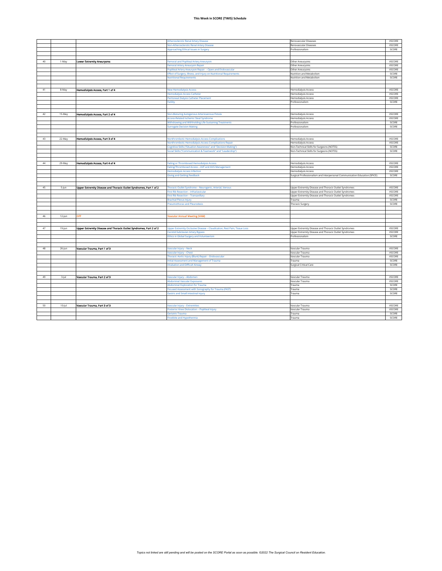|    |           |                                                                    | <b>Atherosclerotic Renal Artery Disease</b>                              | Renovascular Diseases                                                      | VSCORE           |
|----|-----------|--------------------------------------------------------------------|--------------------------------------------------------------------------|----------------------------------------------------------------------------|------------------|
|    |           |                                                                    | <b>Non-Atherosclerotic Renal Artery Disease</b>                          | Renovascular Diseases                                                      | VSCORE           |
|    |           |                                                                    | Approaching Ethical Issues in Surgery                                    | Professionalism                                                            | SCORE            |
|    |           |                                                                    |                                                                          |                                                                            |                  |
|    |           |                                                                    |                                                                          |                                                                            |                  |
| 40 | 1-May     | <b>Lower Extremity Aneurysms</b>                                   | Femoral and Popliteal Artery Aneurysm                                    | Other Aneurysms                                                            | VSCORE           |
|    |           |                                                                    | Femoral Artery Aneurysm Repair                                           | Other Aneurysms                                                            | VSCORE           |
|    |           |                                                                    | Popliteal Artery Aneurysm Repair - Open and Endovascula                  | Other Aneurysms                                                            | VSCORE           |
|    |           |                                                                    | Effect of Surgery, Illness, and Injury on Nutritional Requirements       | Nutrition and Metabolism                                                   | SCORE            |
|    |           |                                                                    | <b>Nutritional Requirements</b>                                          | Nutrition and Metabolism                                                   | SCORE            |
|    |           |                                                                    |                                                                          |                                                                            |                  |
|    |           |                                                                    |                                                                          |                                                                            |                  |
| 41 | 8-May     | Hemodialysis Access, Part 1 of 4                                   | <b>New Hemodialysis Access</b>                                           | <b>Hemodialysis Access</b>                                                 | VSCORE<br>VSCORE |
|    |           |                                                                    | Hemodialysis Access Catheter                                             | <b>Hemodialysis Access</b>                                                 | VSCORE           |
|    |           |                                                                    | Peritoneal Dialysis Catheter Placement<br>Futility                       | Hemodialysis Access<br>Professionalism                                     | SCORE            |
|    |           |                                                                    |                                                                          |                                                                            |                  |
|    |           |                                                                    |                                                                          |                                                                            |                  |
| 42 | 15-May    | Hemodialysis Access, Part 2 of 4                                   | Non-Maturing Autogenous Arteriovenous Fistula                            | <b>Hemodialysis Access</b>                                                 | VSCORE           |
|    |           |                                                                    | <b>Access-Related Ischemic Steal Syndrome</b>                            | <b>Hemodialysis Access</b>                                                 | VSCORE           |
|    |           |                                                                    | Mthdrawing and Withholding Life-Sustaining Treatments                    | Professionalism                                                            | SCORE            |
|    |           |                                                                    | <b>Surrogate Decision Making</b>                                         | Professionalism                                                            | SCORE            |
|    |           |                                                                    |                                                                          |                                                                            |                  |
|    |           |                                                                    |                                                                          |                                                                            |                  |
| 43 | 22-May    | Hemodialysis Access, Part 3 of 4                                   | Nonthrombotic Hemodialysis Access Complication                           | <b>Hemodialysis Access</b>                                                 | VSCORE           |
|    |           |                                                                    | <b>Nonthrombotic Hemodialysis Access Complications Repair</b>            | <b>Hemodialysis Access</b>                                                 | VSCORE           |
|    |           |                                                                    | Cognitive Skills ("Situation Awareness" and "Decision Making")           | Non-Technical Skills for Surgeons (NOTSS)                                  | SCORE            |
|    |           |                                                                    | Social Skills ("Communication & Teamwork" and "Leadership")              | Non-Technical Skills for Surgeons (NOTSS)                                  | SCORE            |
|    |           |                                                                    |                                                                          |                                                                            |                  |
|    |           |                                                                    |                                                                          |                                                                            |                  |
| 44 | 29-May    | Hemodialysis Access, Part 4 of 4                                   | ailing or Thrombosed Hemodialysis Access                                 | <b>Hemodialysis Access</b>                                                 | VSCORE           |
|    |           |                                                                    | ailing/Thrombosed Access - AVF and AVG Management                        | Hemodialysis Access                                                        | VSCORE           |
|    |           |                                                                    | <b>Iemodialysis Access Infection</b>                                     | Hemodialysis Access                                                        | VSCORE           |
|    |           |                                                                    | <b>Giving and Getting Feedback</b>                                       | Surgical Professionalism and Interpersonal Communication Education (SPICE) | SCORE            |
|    |           |                                                                    |                                                                          |                                                                            |                  |
|    |           |                                                                    |                                                                          |                                                                            |                  |
| 45 | 5-jun     | Upper Extremity Disease and Thoracic Outlet Syndromes, Part 1 of 2 | Thoracic Outlet Syndrome - Neurogenic, Arterial, Venous                  | Upper Extremity Disease and Thoracic Outlet Syndromes                      | VSCORE           |
|    |           |                                                                    | First Rib Resection - Infraclavicular                                    | Upper Extremity Disease and Thoracic Outlet Syndromes                      | VSCORE<br>VSCORE |
|    |           |                                                                    | irst Rib Resection - Transaxillary                                       | Upper Extremity Disease and Thoracic Outlet Syndromes                      | SCORE            |
|    |           |                                                                    | <b>Brachial Plexus Injury</b><br>Pneumothorax and Pleurodesis            | Trauma                                                                     | SCORE            |
|    |           |                                                                    |                                                                          | <b>Thoracic Surgery</b>                                                    |                  |
|    |           |                                                                    |                                                                          |                                                                            |                  |
| 46 | 12-Jun    | OFF                                                                | <b>Vascular Annual Meeting (VAM)</b>                                     |                                                                            |                  |
|    |           |                                                                    |                                                                          |                                                                            |                  |
|    |           |                                                                    |                                                                          |                                                                            |                  |
| 47 | 19-Jun    | Upper Extremity Disease and Thoracic Outlet Syndromes, Part 2 of 2 | Upper Extremity Occlusive Disease - Claudication, Rest Pain, Tissue Loss | Upper Extremity Disease and Thoracic Outlet Syndromes                      | VSCORE           |
|    |           |                                                                    | Carotid-Subclavian Artery Bypass                                         | Upper Extremity Disease and Thoracic Outlet Syndromes                      | VSCORE           |
|    |           |                                                                    |                                                                          |                                                                            |                  |
|    |           |                                                                    | <b>Ethics in Global Surgery and Volunteerism</b>                         | Professionalism                                                            | SCORE            |
|    |           |                                                                    |                                                                          |                                                                            |                  |
|    |           |                                                                    |                                                                          |                                                                            |                  |
| 48 | 26-Jun    | Vascular Trauma, Part 1 of 3                                       | Vascular Injury – Neck                                                   | Vascular Trauma                                                            | VSCORE           |
|    |           |                                                                    | Vascular Injury - Chest                                                  | Vascular Trauma                                                            | VSCORE           |
|    |           |                                                                    | Thoracic Aortic Injury (Blunt) Repair – Endovascular                     | Vascular Trauma                                                            | VSCORE           |
|    |           |                                                                    | Initial Assessment and Management of Trauma                              | Trauma                                                                     | SCORE            |
|    |           |                                                                    | <b>Intubation and Difficult Airway</b>                                   | Surgical Critical Care                                                     | SCORE            |
|    |           |                                                                    |                                                                          |                                                                            |                  |
|    |           |                                                                    |                                                                          |                                                                            |                  |
| 49 | 3-Jul     | Vascular Trauma, Part 2 of 3                                       | Vascular Injury - Abdomen                                                | Vascular Trauma                                                            | VSCORE           |
|    |           |                                                                    | <b>Abdominal Vascular Exposures</b>                                      | Vascular Trauma                                                            | VSCORE           |
|    |           |                                                                    | <b>Abdominal Exploration for Trauma</b>                                  | Trauma                                                                     | SCORE            |
|    |           |                                                                    | Focused Assessment with Sonography for Trauma (FAST)                     | Trauma                                                                     | SCORE            |
|    |           |                                                                    | <b>Gastric and Small Intestinal Injury</b>                               | Trauma                                                                     | SCORE            |
|    |           |                                                                    |                                                                          |                                                                            |                  |
|    |           |                                                                    |                                                                          |                                                                            |                  |
| 50 | $10$ -Jul | Vascular Trauma, Part 3 of 3                                       | Vascular Injury - Extremities                                            | Vascular Trauma                                                            | VSCORE           |
|    |           |                                                                    | Posterior Knee Dislocation - Popliteal Injury<br><b>Geriatric Trauma</b> | Vascular Trauma<br>Trauma                                                  | VSCORE<br>SCORE  |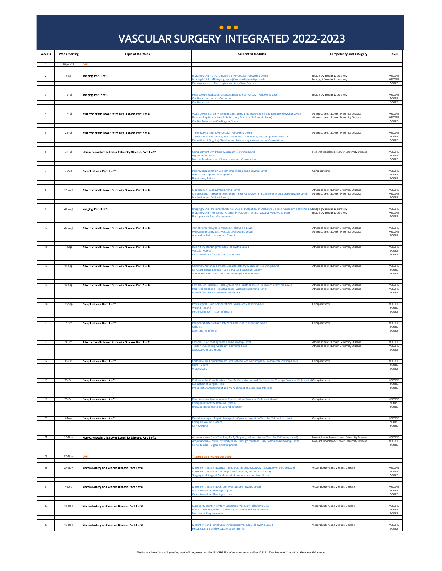### VASCULAR SURGERY INTEGRATED 2022-2023 VASCULAR SURGERY INTEGRATED 2022-2023 **... )**

<span id="page-13-0"></span>

| Week #         | <b>Week Starting</b> | <b>Topic of the Week</b>                                 | <b>Associated Modules</b>                                                                                                                                                                                                                                    | <b>Competency and Category</b>                                                     | Level                            |
|----------------|----------------------|----------------------------------------------------------|--------------------------------------------------------------------------------------------------------------------------------------------------------------------------------------------------------------------------------------------------------------|------------------------------------------------------------------------------------|----------------------------------|
| $\overline{1}$ | 26-Jun-22            | OFF                                                      |                                                                                                                                                                                                                                                              |                                                                                    |                                  |
|                |                      |                                                          |                                                                                                                                                                                                                                                              |                                                                                    |                                  |
| 2              | 3-Jul                | Imaging, Part 1 of 3                                     | Imaging/VLAB - CT/CT Angiography (Vascular/Fellowship Level)<br>Imaging/VLAB - MR Angiography (Vascular/Fellowship Level)                                                                                                                                    | Imaging/Vascular Laboratory<br>Imaging/Vascular Laboratory                         | VSCORE<br>VSCORE                 |
|                |                      |                                                          | <b>Derangements of Electrolytes and Acid-Base Balance</b>                                                                                                                                                                                                    |                                                                                    | SCORE                            |
| 3              | $10$ -Jul            | Imaging, Part 2 of 3                                     | Fluoroscopy, Radiation, and Radiation Safety (Vascular/Fellowship Level)                                                                                                                                                                                     | Imaging/Vascular Laboratory                                                        | <b>VSCORE</b>                    |
|                |                      |                                                          | <b>Cardiac Arrhythmias - Common</b><br><b>Cardiac Arrest</b>                                                                                                                                                                                                 |                                                                                    | SCORE<br>SCORE                   |
|                |                      |                                                          |                                                                                                                                                                                                                                                              |                                                                                    |                                  |
| $\overline{a}$ | $17 -$ Jul           | Atherosclerotic Lower Extremity Disease, Part 1 of 8     | Acute Lower Extremity Ischemia, Including Blue Toe Syndrome (Vascular/Fellowship Level)<br>Femoral Popliteal Artery Embolectomy (Vascular/Fellowship Level)                                                                                                  | Atherosclerotic Lower Extremity Disease<br>Atherosclerotic Lower Extremity Disease | VSCORE<br>VSCORE                 |
|                |                      |                                                          | <b>Cardiac Failure and Cardiogenic Shock</b>                                                                                                                                                                                                                 |                                                                                    | SCORE                            |
|                | 24-Jul               | Atherosclerotic Lower Extremity Disease, Part 2 of 8     | Thrombolytic Therapy (Vascular/Fellowship Level)<br>Transfusion - Indications, Risks, Type and Crossmatch, and Component Therapy<br>Evaluation of Ongoing Bleeding and Laboratory Assessment of Coagulation                                                  | Atherosclerotic Lower Extremity Disease                                            | <b>VSCORE</b><br>SCORE<br>SCORE  |
| 6              | $31 -$ Jul           | Non-Atherosclerotic Lower Extremity Disease, Part 1 of 2 | Compartment Syndrome (Vascular/Fellowship Level)<br><b>Hypovolemic Shock</b><br>Normal Mechanisms of Hemostasis and Coagulation                                                                                                                              | Non-Atherosclerotic Lower Extremity Disease                                        | VSCORE<br>SCORE<br>SCORE         |
|                |                      |                                                          |                                                                                                                                                                                                                                                              |                                                                                    |                                  |
| $\overline{7}$ | 7-Aug                | Complications, Part 1 of 7                               | Postrevascularization Leg Ischemia (Vascular/Fellowship Level)<br><b>Ventilatory Support/Management</b>                                                                                                                                                      | Complications                                                                      | VSCORE<br>SCORE                  |
|                |                      |                                                          | <b>Respiratory Failure</b>                                                                                                                                                                                                                                   |                                                                                    | SCORE                            |
| 8              | 14-Aug               | Atherosclerotic Lower Extremity Disease, Part 3 of 8     | Claudication (Vascular/Fellowship Level)<br>Chronic Limb-Threatening Ischemia - Rest Pain, Ulcer and Gangrene (Vascular/Fellowship Level)<br>Intubation and Difficult Airway                                                                                 | Atherosclerotic Lower Extremity Disease<br>Atherosclerotic Lower Extremity Disease | <b>VSCORE</b><br>VSCORE<br>SCORE |
| 9              | 21-Aug               | Imaging, Part 3 of 3                                     | maging/VLAB - Peripheral Arterial, Duplex Evaluation of Occlusive Disease (Vascular/Fellowship Lev Imaging/Vascular Laboratory<br>maging/VLAB - Peripheral Arterial, Physiologic Testing (Vascular/Fellowship Level)<br><b>Postoperative Pain Management</b> | Imaging/Vascular Laboratory                                                        | VSCORE<br>VSCORE<br>SCORE        |
| 10             | 28-Aug               | Atherosclerotic Lower Extremity Disease, Part 4 of 8     | Aortobifemoral Bypass (Vascular/Fellowship Level)                                                                                                                                                                                                            | Atherosclerotic Lower Extremity Disease                                            | VSCORE                           |
|                |                      |                                                          | Axillobifemoral Bypass (Vascular/Fellowship Level)<br>Abdominal Pain - Acute and Chronic                                                                                                                                                                     | Atherosclerotic Lower Extremity Disease                                            | VSCORE<br>SCORE                  |
|                |                      |                                                          |                                                                                                                                                                                                                                                              |                                                                                    |                                  |
| 11             | 4-Sep                | Atherosclerotic Lower Extremity Disease, Part 5 of 8     | Iliac Artery Stenting (Vascular/Fellowship Level)<br>Vascular Access                                                                                                                                                                                         | Atherosclerotic Lower Extremity Disease                                            | VSCORE<br>SCORE                  |
|                |                      |                                                          | <b>Ultrasound Use for Intravascular Access</b>                                                                                                                                                                                                               |                                                                                    | SCORE                            |
| $12\,$         | 11-Sep               | Atherosclerotic Lower Extremity Disease, Part 6 of 8     | Common/Profunda Femoral Endarterectomy (Vascular/Fellowship Level)                                                                                                                                                                                           | Atherosclerotic Lower Extremity Disease                                            | VSCORE                           |
|                |                      |                                                          | Skin/Soft Tissue Lesions - Excisional and Incisional Biopsy<br>ioft Tissue Infections - Incision, Drainage, Debridement                                                                                                                                      |                                                                                    | SCORE<br>SCORE                   |
|                |                      |                                                          |                                                                                                                                                                                                                                                              |                                                                                    |                                  |
| 13             | 18-Sep               | Atherosclerotic Lower Extremity Disease, Part 7 of 8     | Femoral BK Popliteal/Tibial Bypass with Prosthetic/Vein (Vascular/Fellowship Level)<br>Popliteal-tibial and Pedal Bypasses (Vascular/Fellowship Level)                                                                                                       | Atherosclerotic Lower Extremity Disease<br>Atherosclerotic Lower Extremity Disease | <b>VSCORE</b><br>VSCORE          |
|                |                      |                                                          | <b>Wound Closure and Postoperative Care</b>                                                                                                                                                                                                                  |                                                                                    | SCORE                            |
| $14$           | 25-Sep               | Complications, Part 2 of 7                               | Postsurgical Groin Complications (Vascular/Fellowship Level)                                                                                                                                                                                                 | Complications                                                                      | VSCORE                           |
|                |                      |                                                          | Wound Healin<br><b>Necrotizing Soft Tissue Infections</b>                                                                                                                                                                                                    |                                                                                    | SCORE<br>SCORE                   |
| 15             | $2-Ort$              | Complications, Part 3 of 7                               | Peripheral Arterial Graft Infections (Vascular/Fellowship Level)<br><b>Cellulitis</b><br><b>Surgical Site Infection</b>                                                                                                                                      | Complications                                                                      | <b>VSCORE</b><br>SCORE<br>SCORE  |
| 16             | $9-Oct$              | Atherosclerotic Lower Extremity Disease, Part 8 of 8     | Femoral PTA/Stenting (Vascular/Fellowship Level)<br>Tibial PTA/Stenting (Vascular/Fellowship Level)<br><b>Sepsis and Septic Shock</b>                                                                                                                        | Atherosclerotic Lower Extremity Disease<br>Atherosclerotic Lower Extremity Disease | VSCORE<br>VSCORE<br>SCORE        |
| 17             | 16-Oct               | Complications, Part 4 of 7                               | Endovascular Complications: Contrast-Induced Nephropathy (Vascular/Fellowship Level)                                                                                                                                                                         | Complications                                                                      | VSCORE                           |
|                |                      |                                                          | <b>Renal Failure</b><br>Anaphylaxis                                                                                                                                                                                                                          |                                                                                    | SCORE<br>SCORE                   |
|                |                      |                                                          |                                                                                                                                                                                                                                                              |                                                                                    |                                  |
| 18             | 23-Oct               | Complications, Part 5 of 7                               | Endovascular Complications: Specific Complications of Endovascular Therapy (Vascular/Fellowship   Complications<br><b>Evaluation of Surgical Risk</b>                                                                                                        |                                                                                    | <b>VSCORE</b><br>SCORE           |
|                |                      |                                                          | Preoperative Assessment and Management of Coexisting Infection                                                                                                                                                                                               |                                                                                    | SCORE                            |
| 19             | $30-Oct$             | Complications, Part 6 of 7                               | Percutaneous Arterial Access Complications (Vascular/Fellowship Level)                                                                                                                                                                                       | Complications                                                                      | <b>VSCORE</b>                    |
|                |                      |                                                          | <b>Components of the Immune System</b><br>mmune Response to Injury and Infection                                                                                                                                                                             |                                                                                    | SCORE<br>SCORE                   |
|                |                      |                                                          |                                                                                                                                                                                                                                                              |                                                                                    |                                  |
| 20             | 6-Nov                | Complications, Part 7 of 7                               | Pseudoaneurysm Repair, latrogenic - Open vs. Injection (Vascular/Fellowship Level)<br><b>Complex Wound Closure</b>                                                                                                                                           | Complications                                                                      | <b>VSCORE</b><br>SCORE           |
|                |                      |                                                          | <b>Skin Grafting</b>                                                                                                                                                                                                                                         |                                                                                    | SCORE                            |
| 21             | 13-Nov               | Non-Atherosclerotic Lower Extremity Disease, Part 2 of 2 | Amputations - Foot (Toe, Ray, TMA, Chopart, Lisfranc, Syme) (Vascular/Fellowship Level)                                                                                                                                                                      | Non-Atherosclerotic Lower Extremity Disease                                        | VSCORE                           |
|                |                      |                                                          | Amputations - Lower Extremity (AKA, Through the Knee, BKA) (Vascular/Fellowship Level)<br>Nerve Blocks - Digital and Peripheral                                                                                                                              | Non-Atherosclerotic Lower Extremity Disease                                        | VSCORE<br>SCORE                  |
|                |                      |                                                          |                                                                                                                                                                                                                                                              |                                                                                    |                                  |
| 22<br>23       | 20-Nov<br>27-Nov     | OFF<br>Visceral Artery and Venous Disease, Part 1 of 6   | <b>Thanksgiving (November 24th)</b><br>Mesenteric Ischemia, Acute - Embolus, Thrombosis, NOMI (Vascular/Fellowship Level)                                                                                                                                    | Visceral Artery and Venous Disease                                                 | <b>VSCORE</b>                    |
|                |                      |                                                          | Mesenteric Ischemia - Acute (Arterial, Venous, and Nonocclusive)<br>Surgery and Surgical Conditions in Immunocompromised Hosts                                                                                                                               |                                                                                    | SCORE<br>SCORE                   |
|                |                      |                                                          |                                                                                                                                                                                                                                                              |                                                                                    |                                  |
| 24             | 4-Dec                | Visceral Artery and Venous Disease, Part 2 of 6          | Mesenteric Ischemia, Chronic (Vascular/Fellowship Level)<br><b>Gastrointestinal Bleeding - Upper</b>                                                                                                                                                         | Visceral Artery and Venous Disease                                                 | VSCORE<br>SCORE                  |
|                |                      |                                                          | Sastrointestinal Bleeding - Lower                                                                                                                                                                                                                            |                                                                                    | SCORE                            |
| 25             | 11-Dec               | Visceral Artery and Venous Disease, Part 3 of 6          | Superior Mesenteric Artery Dissection (Vascular/Fellowship Level)                                                                                                                                                                                            | Visceral Artery and Venous Disease                                                 | <b>VSCORE</b>                    |
|                |                      |                                                          | Effect of Surgery, Illness, and Injury on Nutritional Requirements<br><b>Nutritional Requirements</b>                                                                                                                                                        |                                                                                    | SCORE<br>SCORE                   |
|                |                      |                                                          |                                                                                                                                                                                                                                                              |                                                                                    |                                  |
| 26             | 18-Dec               | Visceral Artery and Venous Disease, Part 4 of 6          | Mesenteric and Portal Vein Thrombosis (Vascular/Fellowship Level)<br><b>Hepatic Failure and Hepatorenal Syndrome</b>                                                                                                                                         | Visceral Artery and Venous Disease                                                 | VSCORE<br>SCORE                  |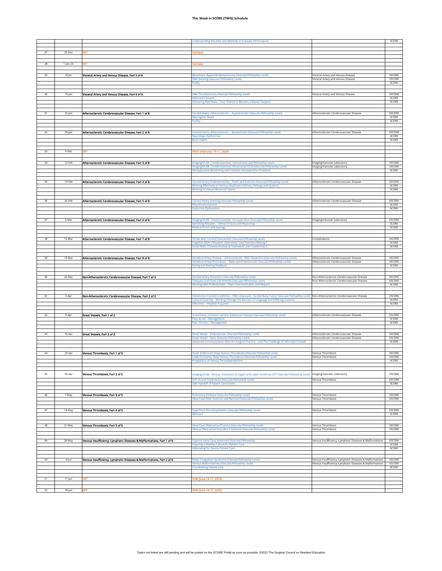|    |             |                                                                       | <b>Jnderstanding the Data and Methods to Evaluate Performance</b>                                                                                                          |                                                                                                                      | SCORE                   |
|----|-------------|-----------------------------------------------------------------------|----------------------------------------------------------------------------------------------------------------------------------------------------------------------------|----------------------------------------------------------------------------------------------------------------------|-------------------------|
|    |             |                                                                       |                                                                                                                                                                            |                                                                                                                      |                         |
|    |             |                                                                       |                                                                                                                                                                            |                                                                                                                      |                         |
| 27 | 25-Dec      | OFF                                                                   | <b>Iolidays</b>                                                                                                                                                            |                                                                                                                      |                         |
|    |             |                                                                       |                                                                                                                                                                            |                                                                                                                      |                         |
| 28 | $1$ -Jan-23 | OFF                                                                   | Holidays                                                                                                                                                                   |                                                                                                                      |                         |
|    |             |                                                                       |                                                                                                                                                                            |                                                                                                                      |                         |
|    |             |                                                                       |                                                                                                                                                                            |                                                                                                                      |                         |
| 29 | 8-Jan       | Visceral Artery and Venous Disease, Part 5 of 6                       | Mesenteric Bypass/Endarterectomy (Vascular/Fellowship Level)                                                                                                               | Visceral Artery and Venous Disease                                                                                   | <b>VSCORE</b>           |
|    |             |                                                                       | <b>SMA Stenting (Vascular/Fellowship Level)</b><br>Frailty                                                                                                                 | Visceral Artery and Venous Disease                                                                                   | VSCORE<br>SCORE         |
|    |             |                                                                       |                                                                                                                                                                            |                                                                                                                      |                         |
|    |             |                                                                       |                                                                                                                                                                            |                                                                                                                      |                         |
| 30 | 15-Jan      | Visceral Artery and Venous Disease, Part 6 of 6                       | SMA Thrombectomy (Vascular/Fellowship Level)                                                                                                                               | Visceral Artery and Venous Disease                                                                                   | VSCORE                  |
|    |             |                                                                       | <b>Informed Consent</b>                                                                                                                                                    |                                                                                                                      | SCORE                   |
|    |             |                                                                       | Delivering Bad News - Your Chance to Become a Master Surgeon                                                                                                               |                                                                                                                      | SCORE                   |
|    |             |                                                                       |                                                                                                                                                                            |                                                                                                                      |                         |
| 31 | $22$ -Jan   | Atherosclerotic Cerebrovascular Disease, Part 1 of 8                  | Carotid Artery, Atherosclerotic - Asymptomatic (Vascular/Fellowship Level)                                                                                                 | Atherosclerotic Cerebrovascular Disease                                                                              | <b>VSCORE</b>           |
|    |             |                                                                       | leurogenic Shock                                                                                                                                                           |                                                                                                                      | SCORE                   |
|    |             |                                                                       | Futility                                                                                                                                                                   |                                                                                                                      | SCORE                   |
|    |             |                                                                       |                                                                                                                                                                            |                                                                                                                      |                         |
| 32 | 29-Jan      | Atherosclerotic Cerebrovascular Disease, Part 2 of 8                  | arotid Artery, Atherosclerotic - Symptomatic (Vascular/Fellowship Level)                                                                                                   | Atherosclerotic Cerebrovascular Disease                                                                              | <b>VSCORE</b>           |
|    |             |                                                                       | <b>leurologic Dysfunction</b>                                                                                                                                              |                                                                                                                      | SCORE                   |
|    |             |                                                                       | <b>Brain Death</b>                                                                                                                                                         |                                                                                                                      | SCORE                   |
|    |             |                                                                       |                                                                                                                                                                            |                                                                                                                      |                         |
| 33 | 5-Feb       | <b>OFF</b>                                                            | SITE (February 10-11, 2023)                                                                                                                                                |                                                                                                                      |                         |
|    |             |                                                                       |                                                                                                                                                                            |                                                                                                                      |                         |
|    |             |                                                                       |                                                                                                                                                                            |                                                                                                                      |                         |
| 34 | 12-Feb      | Atherosclerotic Cerebrovascular Disease, Part 3 of 8                  | maging/VLAB - Cerebrovascular, Carotid (Vascular/Fellowship Level)                                                                                                         | Imaging/Vascular Laboratory                                                                                          | <b>VSCORE</b>           |
|    |             |                                                                       | naging/VLAB - Cerebrovascular, Intracranial (TCD) (Vascular/Fellowship Level)<br><b>Intraoperative Monitoring and Common Intraoperative Problems</b>                       | Imaging/Vascular Laboratory                                                                                          | VSCORE<br>SCORE         |
|    |             |                                                                       |                                                                                                                                                                            |                                                                                                                      |                         |
|    |             |                                                                       |                                                                                                                                                                            |                                                                                                                      |                         |
| 35 | 19-Feb      | Atherosclerotic Cerebrovascular Disease, Part 4 of 8                  | Carotid Artery Endarterectomy - Patch and Eversion (Vascular/Fellowship Level)                                                                                             | Atherosclerotic Cerebrovascular Disease                                                                              | VSCORE                  |
|    |             |                                                                       | Working Effectively in Various Healthcare Delivery Settings and Systems                                                                                                    |                                                                                                                      | SCORE                   |
|    |             |                                                                       | <b>Working in Interprofessional Teams</b>                                                                                                                                  |                                                                                                                      | SCORE                   |
|    |             |                                                                       |                                                                                                                                                                            |                                                                                                                      |                         |
| 36 | 26-Feb      | Atherosclerotic Cerebrovascular Disease, Part 5 of 8                  | Carotid Artery Stenting (Vascular/Fellowship Level)                                                                                                                        | Atherosclerotic Cerebrovascular Disease                                                                              | VSCORE                  |
|    |             |                                                                       | Pheochromocytoma                                                                                                                                                           |                                                                                                                      | SCORE                   |
|    |             |                                                                       | <b>Endocrine Dysfunction</b>                                                                                                                                               |                                                                                                                      | SCORE                   |
|    |             |                                                                       |                                                                                                                                                                            |                                                                                                                      |                         |
| 37 | 5-Mar       | Atherosclerotic Cerebrovascular Disease, Part 6 of 8                  | maging/VLAB - Cerebrovascular, Intraoperative (Vascular/Fellowship Level)                                                                                                  | Imaging/Vascular Laboratory                                                                                          | <b>VSCORE</b>           |
|    |             |                                                                       | <b>Admitting Mistakes - Ethical Choices and Reasoning</b>                                                                                                                  |                                                                                                                      | SCORE                   |
|    |             |                                                                       | <b>Medical Errors and Apology</b>                                                                                                                                          |                                                                                                                      | SCORE                   |
|    |             |                                                                       |                                                                                                                                                                            |                                                                                                                      |                         |
|    |             |                                                                       |                                                                                                                                                                            |                                                                                                                      |                         |
| 38 | 12-Mar      | Atherosclerotic Cerebrovascular Disease, Part 7 of 8                  | Stroke after Carotid Intervention (Vascular/Fellowship Level)<br>ognitive Skills ("Situation Awareness" and "Decision Making")                                             | Complications                                                                                                        | VSCORE<br>SCORE         |
|    |             |                                                                       | Social Skills ("Communication & Teamwork" and "Leadership")                                                                                                                |                                                                                                                      | SCORE                   |
|    |             |                                                                       |                                                                                                                                                                            |                                                                                                                      |                         |
|    |             |                                                                       |                                                                                                                                                                            |                                                                                                                      |                         |
| 39 | 19-Mar      | Atherosclerotic Cerebrovascular Disease, Part 8 of 8                  | /ertebral Artery Disease - Atherosclerotic, FMD, Dissection (Vascular/Fellowship Level)<br>/ertebral Artery Procedures - Open and Endovascular (Vascular/Fellowship Level) | Atherosclerotic Cerebrovascular Disease<br>Atherosclerotic Cerebrovascular Disease                                   | <b>VSCORE</b><br>VSCORE |
|    |             |                                                                       | <b>Siving and Getting Feedback</b>                                                                                                                                         |                                                                                                                      | SCORE                   |
|    |             |                                                                       |                                                                                                                                                                            |                                                                                                                      |                         |
|    |             |                                                                       |                                                                                                                                                                            |                                                                                                                      |                         |
| 40 | 26-Mar      | Non-Atherosclerotic Cerebrovascular Disease, Part 1 of 2              | <b>Carotid Artery Dissection (Vascular/Fellowship Level)</b>                                                                                                               | Non-Atherosclerotic Cerebrovascular Disease                                                                          | VSCORE                  |
|    |             |                                                                       | Takayasu and Giant Cell Arteritis (Vascular/Fellowship Level)<br>Working with Professionals - Team Communication and Respect                                               | Non-Atherosclerotic Cerebrovascular Disease                                                                          | VSCORE<br>SCORE         |
|    |             |                                                                       |                                                                                                                                                                            |                                                                                                                      |                         |
|    |             |                                                                       |                                                                                                                                                                            |                                                                                                                      |                         |
|    |             |                                                                       |                                                                                                                                                                            |                                                                                                                      |                         |
| 41 | 2-Apr       | Non-Atherosclerotic Cerebrovascular Disease, Part 2 of 2              | Uncommon Carotid Conditions - FMD, Aneurysm, Carotid Body Tumor (Vascular/Fellowship Level) Non-Atherosclerotic Cerebrovascular Disease                                    |                                                                                                                      | VSCORE                  |
|    |             |                                                                       | Cultural Diversity - Working Through the Barriers of Language and Differing Customs                                                                                        |                                                                                                                      | SCORE                   |
|    |             |                                                                       | nfections - Hospital-Acquired                                                                                                                                              |                                                                                                                      | SCORE                   |
|    |             |                                                                       |                                                                                                                                                                            |                                                                                                                      |                         |
| 42 | 9-Apr       | Great Vessels, Part 1 of 2                                            | nnominate, Common Carotid, Subclavian Disease (Vascular/Fellowship Level)                                                                                                  | Atherosclerotic Cerebrovascular Disease                                                                              | <b>VSCORE</b>           |
|    |             |                                                                       | Pain, Acute - Management                                                                                                                                                   |                                                                                                                      | SCORE                   |
|    |             |                                                                       | Pain, Chronic - Management                                                                                                                                                 |                                                                                                                      | SCORE                   |
|    |             |                                                                       |                                                                                                                                                                            |                                                                                                                      |                         |
| 43 | 16-Apr      | Great Vessels, Part 2 of 2                                            | Great Vessel - Endovascular (Vascular/Fellowship Level)                                                                                                                    | Atherosclerotic Cerebrovascular Disease                                                                              | VSCORE                  |
|    |             |                                                                       | Great Vessel - Open (Vascular/Fellowship Level)                                                                                                                            | Atherosclerotic Cerebrovascular Disease                                                                              | VSCORE                  |
|    |             |                                                                       | Advanced Communication Skills for Surgical Practice - and The Challenge of Informed Consent                                                                                |                                                                                                                      | SCORE                   |
|    |             |                                                                       |                                                                                                                                                                            |                                                                                                                      |                         |
| 44 | 23-Apr      | Venous Thrombosis, Part 1 of 5                                        | Acute Iliofemoral Deep Venous Thrombosis (Vascular/Fellowship Level)                                                                                                       | Venous Thrombosis                                                                                                    | <b>VSCORE</b>           |
|    |             |                                                                       | Lower Extremity Deep Venous Thrombosis (Vascular/Fellowship Level)                                                                                                         | Venous Thrombosis                                                                                                    | VSCORE                  |
|    |             |                                                                       | rophylaxis of Venous Thromboem                                                                                                                                             |                                                                                                                      | <b>SCORE</b>            |
|    |             |                                                                       |                                                                                                                                                                            |                                                                                                                      |                         |
|    |             |                                                                       |                                                                                                                                                                            |                                                                                                                      |                         |
| 45 | 30-Apr      | Venous Thrombosis, Part 2 of 5                                        | maging/VLAB - Venous, Evaluation of Upper and Lower Extremity DVT (Vascular/Fellowship Level)                                                                              | Imaging/Vascular Laboratory                                                                                          | VSCORE                  |
|    |             |                                                                       | DVT (Acute) Treatments (Vascular/Fellowship Level)                                                                                                                         | Venous Thrombosis                                                                                                    | VSCORE                  |
|    |             |                                                                       | Safe Handoff of Patient Care Duties                                                                                                                                        |                                                                                                                      | SCORE                   |
|    |             |                                                                       |                                                                                                                                                                            |                                                                                                                      |                         |
| 46 | 7-May       |                                                                       | Pulmonary Embolus (Vascular/Fellowship Level)                                                                                                                              |                                                                                                                      | VSCORE                  |
|    |             | Venous Thrombosis, Part 3 of 5                                        | Vena Cava Filter Insertion and Removal (Vascular/Fellowship Level)                                                                                                         | Venous Thrombosis<br>Venous Thrombosis                                                                               | VSCORE                  |
|    |             |                                                                       |                                                                                                                                                                            |                                                                                                                      |                         |
|    |             |                                                                       |                                                                                                                                                                            |                                                                                                                      |                         |
| 47 | 14-May      | Venous Thrombosis, Part 4 of 5                                        | Superficial Thrombophlebitis (Vascular/Fellowship Level)                                                                                                                   | Venous Thrombosis                                                                                                    | <b>VSCORE</b>           |
|    |             |                                                                       | <b>Nellness</b>                                                                                                                                                            |                                                                                                                      | SCORE                   |
|    |             |                                                                       |                                                                                                                                                                            |                                                                                                                      |                         |
| 48 | 21-May      | Venous Thrombosis, Part 5 of 5                                        | /ena Cava Obstruction/Tumors (Vascular/Fellowship Level)                                                                                                                   | Venous Thrombosis                                                                                                    | VSCORE                  |
|    |             |                                                                       | Venous Obstructive Disorders Treatment (Vascular/Fellowship Level)                                                                                                         | Venous Thrombosis                                                                                                    | VSCORE                  |
|    |             |                                                                       |                                                                                                                                                                            |                                                                                                                      |                         |
| 49 | 28-May      | Venous Insufficiency, Lymphatic Diseases & Malformations, Part 1 of 6 | Superior Vena Cava Syndrome (Vascular/Fellowship)                                                                                                                          | Venous Insufficiency, Lymphatic Diseases & Malformations                                                             | VSCORE                  |
|    |             |                                                                       | nspiring a Healthy Culture for Patient Care                                                                                                                                |                                                                                                                      | SCORE                   |
|    |             |                                                                       | <b>Advocating for Quality Patient Care</b>                                                                                                                                 |                                                                                                                      | SCORE                   |
|    |             |                                                                       |                                                                                                                                                                            |                                                                                                                      |                         |
|    |             |                                                                       |                                                                                                                                                                            |                                                                                                                      | VSCORE                  |
| 50 | 4-Jun       | Venous Insufficiency, Lymphatic Diseases & Malformations, Part 2 of 6 | Pelvic Congestion Syndrome (Vascular/Fellowship Level)<br>enous Malformations (Vascular/Fellowship Level)                                                                  | Venous Insufficiency, Lymphatic Diseases & Malformations<br>Venous Insufficiency, Lymphatic Diseases & Malformations | VSCORE                  |
|    |             |                                                                       | <b>Coordinating Patient Care</b>                                                                                                                                           |                                                                                                                      | SCORE                   |
|    |             |                                                                       |                                                                                                                                                                            |                                                                                                                      |                         |
|    |             |                                                                       |                                                                                                                                                                            |                                                                                                                      |                         |
| 51 | 11-Jun      | OFF                                                                   | VAM (June 14-17, 2023)                                                                                                                                                     |                                                                                                                      |                         |
| 52 | 18-Jun      | <b>OFF</b>                                                            | VAM (June 14-17, 2023)                                                                                                                                                     |                                                                                                                      |                         |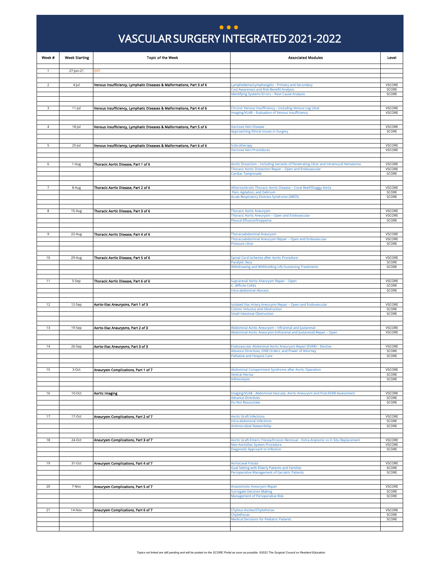## VASCULAR SURGERY INTEGRATED 2021-2022 VASCULAR SURGERY INTEGRATED 2021-2022 **...**

<span id="page-15-0"></span>

| Week #         | <b>Week Starting</b> | <b>Topic of the Week</b>                                              | <b>Associated Modules</b>                                                                                                                        | Level                   |
|----------------|----------------------|-----------------------------------------------------------------------|--------------------------------------------------------------------------------------------------------------------------------------------------|-------------------------|
| $\mathbf{1}$   | 27-Jun-21            | OFF                                                                   |                                                                                                                                                  |                         |
|                |                      |                                                                       |                                                                                                                                                  |                         |
| $\overline{2}$ | 4-Jul                | Venous Insufficiency, Lymphatic Diseases & Malformations, Part 3 of 6 | Lymphedema/Lymphangitis – Primary and Secondary                                                                                                  | <b>VSCORE</b>           |
|                |                      |                                                                       | <b>Cost Awareness and Risk-Benefit Analysis</b><br>Identifying Systems Errors - Root Cause Analysis                                              | SCORE<br>SCORE          |
|                |                      |                                                                       |                                                                                                                                                  |                         |
| 3              | $11$ -Jul            | Venous Insufficiency, Lymphatic Diseases & Malformations, Part 4 of 6 | Chronic Venous Insufficiency - Including Venous Leg Ulcer                                                                                        | VSCORE                  |
|                |                      |                                                                       | maging/VLAB - Evaluation of Venous Insufficiency                                                                                                 | VSCORE                  |
|                |                      |                                                                       |                                                                                                                                                  |                         |
| 4              | 18-Jul               | Venous Insufficiency, Lymphatic Diseases & Malformations, Part 5 of 6 | Varicose Vein Disease<br>Approaching Ethical Issues in Surgery                                                                                   | VSCORE<br>SCORE         |
|                |                      |                                                                       |                                                                                                                                                  |                         |
| 5              | 25-Jul               | Venous Insufficiency, Lymphatic Diseases & Malformations, Part 6 of 6 | <b>Sclerotherapy</b>                                                                                                                             | VSCORE                  |
|                |                      |                                                                       | Varicose Vein Procedures                                                                                                                         | <b>VSCORE</b>           |
|                |                      |                                                                       |                                                                                                                                                  |                         |
| 6              | 1-Aug                | Thoracic Aortic Disease, Part 1 of 6                                  | Aortic Dissection - Including Variants of Penetrating Ulcer and Intramural Hematoma<br>Thoracic Aortic Dissection Repair - Open and Endovascular | VSCORE<br>VSCORE        |
|                |                      |                                                                       | Cardiac Tamponade                                                                                                                                | SCORE                   |
|                |                      |                                                                       |                                                                                                                                                  |                         |
| 7              | 8-Aug                | Thoracic Aortic Disease, Part 2 of 6                                  | Atherosclerotic Thoracic Aortic Disease - Coral Reef/Shaggy Aorta<br>Pain, Agitation, and Delirium                                               | VSCORE<br>SCORE         |
|                |                      |                                                                       | <b>Acute Respiratory Distress Syndrome (ARDS)</b>                                                                                                | SCORE                   |
|                |                      |                                                                       |                                                                                                                                                  |                         |
| 8              | 15-Aug               | Thoracic Aortic Disease, Part 3 of 6                                  | Thoracic Aortic Aneurysm<br>Thoracic Aortic Aneurysm - Open and Endovascular                                                                     | VSCORE<br><b>VSCORE</b> |
|                |                      |                                                                       | Pleural Effusion/Empyema                                                                                                                         | SCORE                   |
|                |                      |                                                                       |                                                                                                                                                  |                         |
| 9              | 22-Aug               | Thoracic Aortic Disease, Part 4 of 6                                  | Thoracoabdominal Aneurysm<br>Thoracoabdominal Aneurysm Repair - Open and Endovascular                                                            | <b>VSCORE</b><br>VSCORE |
|                |                      |                                                                       | <b>Pressure Ulcer</b>                                                                                                                            | SCORE                   |
|                |                      |                                                                       |                                                                                                                                                  |                         |
| 10             | 29-Aug               | Thoracic Aortic Disease, Part 5 of 6                                  | Spinal Cord Ischemia after Aortic Procedure<br><b>Paralytic Ileus</b>                                                                            | VSCORE<br>SCORE         |
|                |                      |                                                                       | Withdrawing and Withholding Life-Sustaining Treatments                                                                                           | SCORE                   |
|                |                      |                                                                       |                                                                                                                                                  |                         |
| 11             | 5-Sep                | Thoracic Aortic Disease, Part 6 of 6                                  | Suprarenal Aortic Aneurysm Repair - Open<br>C. difficile Colitis                                                                                 | VSCORE<br>SCORE         |
|                |                      |                                                                       | <b>Intra-abdominal Abscess</b>                                                                                                                   | SCORE                   |
|                |                      |                                                                       |                                                                                                                                                  |                         |
| 12             | 12-Sep               | Aorto-Iliac Aneurysms, Part 1 of 3                                    | Isolated Iliac Artery Aneurysm Repair - Open and Endovascular<br><b>Colonic Volvulus and Obstruction</b>                                         | VSCORE<br>SCORE         |
|                |                      |                                                                       | <b>Small Intestinal Obstruction</b>                                                                                                              | SCORE                   |
|                |                      |                                                                       |                                                                                                                                                  |                         |
| 13             | 19-Sep               | Aorto-Iliac Aneurysms, Part 2 of 3                                    | Abdominal Aortic Aneurysm – Infrarenal and Juxtarenal<br>Abdominal Aortic Aneurysm (Infrarenal and Juxtarenal) Repair - Open                     | VSCORE<br><b>VSCORE</b> |
|                |                      |                                                                       |                                                                                                                                                  |                         |
| 14             | 26-Sep               | Aorto-Iliac Aneurysms, Part 3 of 3                                    | Endovascular Abdominal Aortic Aneurysm Repair (EVAR) - Elective                                                                                  | VSCORE                  |
|                |                      |                                                                       | Advance Directives, DNR Orders, and Power of Attorney<br>Palliative and Hospice Care                                                             | SCORE<br>SCORE          |
|                |                      |                                                                       |                                                                                                                                                  |                         |
| 15             | 3-Oct                | Aneurysm Complications, Part 1 of 7                                   | Abdominal Compartment Syndrome after Aortic Operation                                                                                            | VSCORE                  |
|                |                      |                                                                       | <b>Ventral Hernia</b><br>Adhesiolysis                                                                                                            | SCORE<br>SCORE          |
|                |                      |                                                                       |                                                                                                                                                  |                         |
| 16             | 10-Oct               | <b>Aortic Imaging</b>                                                 | Imaging/VLAB - Abdominal Vascular, Aortic Aneurysm and Post-EVAR Assessment                                                                      | <b>VSCORE</b>           |
|                |                      |                                                                       | <b>Advance Directives</b>                                                                                                                        | SCORE                   |
|                |                      |                                                                       | Do Not Resuscitate                                                                                                                               | SCORE                   |
| 17             | 17-Oct               | Aneurysm Complications, Part 2 of 7                                   | <b>Aortic Graft Infections</b>                                                                                                                   | VSCORE                  |
|                |                      |                                                                       | Intra-abdominal Infections                                                                                                                       | SCORE                   |
|                |                      |                                                                       | Antimicrobial Stewardship                                                                                                                        | SCORE                   |
| 18             | 24-Oct               | Aneurysm Complications, Part 3 of 7                                   | Aortic Graft-Enteric Fistula/Erosion Removal - Extra-Anatomic vs In Situ Replacement                                                             | <b>VSCORE</b>           |
|                |                      |                                                                       | Neo-Aortoiliac System Procedure                                                                                                                  | VSCORE                  |
|                |                      |                                                                       | Diagnostic Approach to Infection                                                                                                                 | SCORE                   |
| 19             | 31-Oct               | Aneurysm Complications, Part 4 of 7                                   | <b>Aortocaval Fistula</b>                                                                                                                        | <b>VSCORE</b>           |
|                |                      |                                                                       | Goal Setting with Elderly Patients and Families                                                                                                  | SCORE                   |
|                |                      |                                                                       | Perioperative Management of Geriatric Patients                                                                                                   | SCORE                   |
| 20             | 7-Nov                | Aneurysm Complications, Part 5 of 7                                   | Anastomotic Aneurysm Repair                                                                                                                      | VSCORE                  |
|                |                      |                                                                       | <b>Surrogate Decision Making</b>                                                                                                                 | SCORE                   |
|                |                      |                                                                       | <b>Management of Perioperative Risk</b>                                                                                                          | SCORE                   |
| 21             | 14-Nov               |                                                                       |                                                                                                                                                  | <b>VSCORE</b>           |
|                |                      | Aneurysm Complications, Part 6 of 7                                   | Chylous Ascites/Chylothorax<br>Chylothorax                                                                                                       | SCORE                   |
|                |                      |                                                                       | <b>Medical Decisions for Pediatric Patients</b>                                                                                                  | SCORE                   |
|                |                      |                                                                       |                                                                                                                                                  |                         |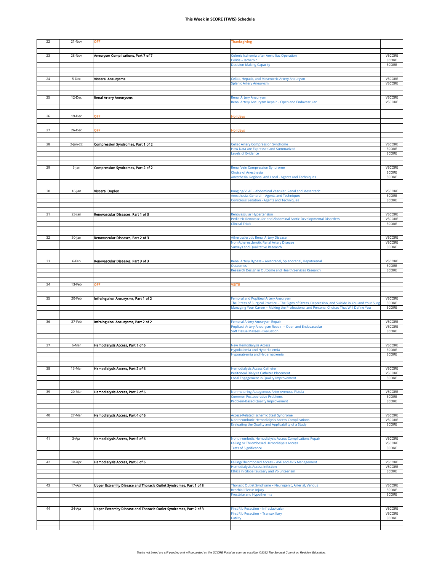| 22 | 21-Nov   | OFF                                                                | Thanksgiving                                                                                                                                                                                    |                         |
|----|----------|--------------------------------------------------------------------|-------------------------------------------------------------------------------------------------------------------------------------------------------------------------------------------------|-------------------------|
|    |          |                                                                    |                                                                                                                                                                                                 |                         |
|    |          |                                                                    |                                                                                                                                                                                                 |                         |
| 23 | 28-Nov   | Aneurysm Complications, Part 7 of 7                                | Colonic Ischemia after Aortoiliac Operation                                                                                                                                                     | VSCORE                  |
|    |          |                                                                    | Colitis - Ischemic<br><b>Decision-Making Capacity</b>                                                                                                                                           | SCORE<br>SCORE          |
|    |          |                                                                    |                                                                                                                                                                                                 |                         |
|    |          |                                                                    |                                                                                                                                                                                                 |                         |
| 24 | 5-Dec    | <b>Visceral Aneurysms</b>                                          | Celiac, Hepatic, and Mesenteric Artery Aneurysm                                                                                                                                                 | <b>VSCORE</b>           |
|    |          |                                                                    | Splenic Artery Aneurysm                                                                                                                                                                         | VSCORE                  |
|    |          |                                                                    |                                                                                                                                                                                                 |                         |
| 25 | 12-Dec   | Renal Artery Aneurysms                                             | Renal Artery Aneurysm                                                                                                                                                                           | VSCORE                  |
|    |          |                                                                    | Renal Artery Aneurysm Repair - Open and Endovascular                                                                                                                                            | VSCORE                  |
|    |          |                                                                    |                                                                                                                                                                                                 |                         |
| 26 | 19-Dec   | OFF                                                                | <b>Iolidays</b>                                                                                                                                                                                 |                         |
|    |          |                                                                    |                                                                                                                                                                                                 |                         |
|    |          |                                                                    |                                                                                                                                                                                                 |                         |
| 27 | 26-Dec   | OFF                                                                | Holidays                                                                                                                                                                                        |                         |
|    |          |                                                                    |                                                                                                                                                                                                 |                         |
| 28 | 2-Jan-22 | Compression Syndromes, Part 1 of 2                                 | Celiac Artery Compression Syndrome                                                                                                                                                              | VSCORE                  |
|    |          |                                                                    | How Data are Expressed and Summarized                                                                                                                                                           | SCORE                   |
|    |          |                                                                    | Levels of Evidence                                                                                                                                                                              | SCORE                   |
|    |          |                                                                    |                                                                                                                                                                                                 |                         |
| 29 | 9-Jan    | Compression Syndromes, Part 2 of 2                                 | Renal Vein Compression Syndrome                                                                                                                                                                 | VSCORE                  |
|    |          |                                                                    | <b>Choice of Anesthesia</b>                                                                                                                                                                     | SCORE                   |
|    |          |                                                                    | Anesthesia, Regional and Local - Agents and Techniques                                                                                                                                          | SCORE                   |
|    |          |                                                                    |                                                                                                                                                                                                 |                         |
| 30 | 16-Jan   | <b>Visceral Duplex</b>                                             | Imaging/VLAB - Abdominal Vascular, Renal and Mesenteric                                                                                                                                         | <b>VSCORE</b>           |
|    |          |                                                                    | Anesthesia, General - Agents and Techniques                                                                                                                                                     | SCORE                   |
|    |          |                                                                    | <b>Conscious Sedation - Agents and Techniques</b>                                                                                                                                               | SCORE                   |
|    |          |                                                                    |                                                                                                                                                                                                 |                         |
| 31 | 23-Jan   | Renovascular Diseases, Part 1 of 3                                 | Renovascular Hypertension                                                                                                                                                                       | VSCORE                  |
|    |          |                                                                    | Pediatric Renovascular and Abdominal Aortic Developmental Disorders                                                                                                                             | VSCORE                  |
|    |          |                                                                    | <b>Clinical Trials</b>                                                                                                                                                                          | SCORE                   |
|    |          |                                                                    |                                                                                                                                                                                                 |                         |
| 32 | 30-Jan   | Renovascular Diseases, Part 2 of 3                                 | Atherosclerotic Renal Artery Disease                                                                                                                                                            | VSCORE                  |
|    |          |                                                                    | Non-Atherosclerotic Renal Artery Disease                                                                                                                                                        | VSCORE                  |
|    |          |                                                                    | <b>Surveys and Qualitative Research</b>                                                                                                                                                         | SCORE                   |
|    |          |                                                                    |                                                                                                                                                                                                 |                         |
| 33 | 6-Feb    | Renovascular Diseases, Part 3 of 3                                 | Renal Artery Bypass – Aortorenal, Splenorenal, Hepatorenal                                                                                                                                      | <b>VSCORE</b>           |
|    |          |                                                                    | <b>Outcomes</b>                                                                                                                                                                                 | SCORE                   |
|    |          |                                                                    | Research Design in Outcome and Health Services Research                                                                                                                                         | SCORE                   |
|    |          |                                                                    |                                                                                                                                                                                                 |                         |
|    |          |                                                                    |                                                                                                                                                                                                 |                         |
|    |          |                                                                    |                                                                                                                                                                                                 |                         |
| 34 | 13-Feb   | OFF                                                                | <b>/SITE</b>                                                                                                                                                                                    |                         |
|    |          |                                                                    |                                                                                                                                                                                                 |                         |
| 35 | 20-Feb   | Infrainguinal Aneurysms, Part 1 of 2                               | Femoral and Popliteal Artery Aneurysm                                                                                                                                                           | VSCORE                  |
|    |          |                                                                    | The Stress of Surgical Practice - The Signs of Stress, Depression, and Suicide in You and Your Surg<br>Managing Your Career - Making the Professional and Personal Choices That Will Define You | SCORE<br>SCORE          |
|    |          |                                                                    |                                                                                                                                                                                                 |                         |
|    |          |                                                                    |                                                                                                                                                                                                 |                         |
| 36 | 27-Feb   | Infrainguinal Aneurysms, Part 2 of 2                               | Femoral Artery Aneurysm Repair<br>Popliteal Artery Aneurysm Repair - Open and Endovascular                                                                                                      | VSCORE<br><b>VSCORE</b> |
|    |          |                                                                    | Soft Tissue Masses - Evaluation                                                                                                                                                                 | SCORE                   |
|    |          |                                                                    |                                                                                                                                                                                                 |                         |
|    |          |                                                                    |                                                                                                                                                                                                 |                         |
| 37 | 6-Mar    | Hemodialysis Access, Part 1 of 6                                   | <b>New Hemodialysis Access</b><br>Hypokalemia and Hyperkalemia                                                                                                                                  | VSCORE<br>SCORE         |
|    |          |                                                                    | Hyponatremia and Hypernatremia                                                                                                                                                                  | SCORE                   |
|    |          |                                                                    |                                                                                                                                                                                                 |                         |
|    |          |                                                                    |                                                                                                                                                                                                 |                         |
| 38 | 13-Mar   | Hemodialysis Access, Part 2 of 6                                   | <b>Hemodialysis Access Catheter</b><br>Peritoneal Dialysis Catheter Placement                                                                                                                   | <b>VSCORE</b><br>VSCORE |
|    |          |                                                                    | Local Engagement in Quality Improvement                                                                                                                                                         | SCORE                   |
|    |          |                                                                    |                                                                                                                                                                                                 |                         |
| 39 | 20-Mar   | Hemodialysis Access, Part 3 of 6                                   | Nonmaturing Autogenous Arteriovenous Fistula                                                                                                                                                    | VSCORE                  |
|    |          |                                                                    | <b>Common Postoperative Problems</b>                                                                                                                                                            | SCORE                   |
|    |          |                                                                    | Problem-Based Quality Improvement                                                                                                                                                               | SCORE                   |
|    |          |                                                                    |                                                                                                                                                                                                 |                         |
|    |          |                                                                    | <b>Access-Related Ischemic Steal Syndrome</b>                                                                                                                                                   |                         |
| 40 | 27-Mar   | Hemodialysis Access, Part 4 of 6                                   | Nonthrombotic Hemodialysis Access Complications                                                                                                                                                 | VSCORE<br>VSCORE        |
|    |          |                                                                    | Evaluating the Quality and Applicability of a Study                                                                                                                                             | SCORE                   |
|    |          |                                                                    |                                                                                                                                                                                                 |                         |
| 41 | 3-Apr    |                                                                    | Nonthrombotic Hemodialysis Access Complications Repair                                                                                                                                          | VSCORE                  |
|    |          | Hemodialysis Access, Part 5 of 6                                   | Failing or Thrombosed Hemodialysis Access                                                                                                                                                       | VSCORE                  |
|    |          |                                                                    | <b>Tests of Significance</b>                                                                                                                                                                    | SCORE                   |
|    |          |                                                                    |                                                                                                                                                                                                 |                         |
| 42 | 10-Apr   |                                                                    |                                                                                                                                                                                                 | VSCORE                  |
|    |          | Hemodialysis Access, Part 6 of 6                                   | Failing/Thrombosed Access - AVF and AVG Management<br>Hemodialysis Access Infection                                                                                                             | VSCORE                  |
|    |          |                                                                    | Ethics in Global Surgery and Volunteerism                                                                                                                                                       | SCORE                   |
|    |          |                                                                    |                                                                                                                                                                                                 |                         |
| 43 | 17-Apr   | Upper Extremity Disease and Thoracic Outlet Syndromes, Part 1 of 3 | Thoracic Outlet Syndrome - Neurogenic, Arterial, Venous                                                                                                                                         | <b>VSCORE</b>           |
|    |          |                                                                    | <b>Brachial Plexus Injury</b>                                                                                                                                                                   | SCORE                   |
|    |          |                                                                    | Frostbite and Hypothermia                                                                                                                                                                       | SCORE                   |
|    |          |                                                                    |                                                                                                                                                                                                 |                         |
| 44 | 24-Apr   | Upper Extremity Disease and Thoracic Outlet Syndromes, Part 2 of 3 | First Rib Resection - Infraclavicular                                                                                                                                                           | <b>VSCORE</b>           |
|    |          |                                                                    | First Rib Resection - Transaxillary                                                                                                                                                             | VSCORE                  |
|    |          |                                                                    | Futility                                                                                                                                                                                        | SCORE                   |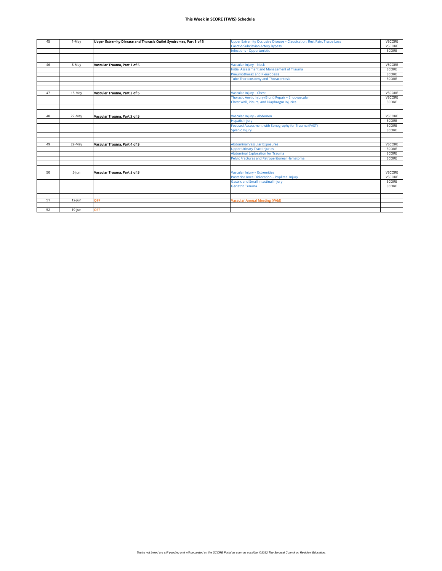| 45 | 1-May     | Upper Extremity Disease and Thoracic Outlet Syndromes, Part 3 of 3 | Upper Extremity Occlusive Disease - Claudication, Rest Pain, Tissue Loss | <b>VSCORE</b> |
|----|-----------|--------------------------------------------------------------------|--------------------------------------------------------------------------|---------------|
|    |           |                                                                    | Carotid-Subclavian Artery Bypass                                         | <b>VSCORE</b> |
|    |           |                                                                    | Infections - Opportunistic                                               | SCORE         |
|    |           |                                                                    |                                                                          |               |
|    |           |                                                                    |                                                                          |               |
| 46 | 8-May     | Vascular Trauma, Part 1 of 5                                       | Vascular Injury - Neck                                                   | <b>VSCORE</b> |
|    |           |                                                                    | Initial Assessment and Management of Trauma                              | SCORE         |
|    |           |                                                                    | <b>Pneumothorax and Pleurodesis</b>                                      | SCORE         |
|    |           |                                                                    | <b>Tube Thoracostomy and Thoracentesis</b>                               | SCORE         |
|    |           |                                                                    |                                                                          |               |
|    |           |                                                                    |                                                                          |               |
| 47 | 15-May    | Vascular Trauma, Part 2 of 5                                       | Vascular Injury - Chest                                                  | <b>VSCORE</b> |
|    |           |                                                                    | Thoracic Aortic Injury (Blunt) Repair - Endovascular                     | <b>VSCORE</b> |
|    |           |                                                                    | Chest Wall, Pleura, and Diaphragm Injuries                               | SCORE         |
|    |           |                                                                    |                                                                          |               |
|    |           |                                                                    |                                                                          |               |
| 48 | 22-May    | Vascular Trauma, Part 3 of 5                                       | Vascular Injury - Abdomen                                                | <b>VSCORE</b> |
|    |           |                                                                    | <b>Hepatic Injury</b>                                                    | SCORE         |
|    |           |                                                                    | Focused Assessment with Sonography for Trauma (FAST)                     | SCORE         |
|    |           |                                                                    | <b>Splenic Injury</b>                                                    | SCORE         |
|    |           |                                                                    |                                                                          |               |
|    |           |                                                                    |                                                                          |               |
| 49 | 29-May    | Vascular Trauma, Part 4 of 5                                       | <b>Abdominal Vascular Exposures</b>                                      | <b>VSCORE</b> |
|    |           |                                                                    | <b>Upper Urinary Tract Injuries</b>                                      | SCORE         |
|    |           |                                                                    | <b>Abdominal Exploration for Trauma</b>                                  | SCORE         |
|    |           |                                                                    | Pelvic Fractures and Retroperitoneal Hematoma                            | SCORE         |
|    |           |                                                                    |                                                                          |               |
|    |           |                                                                    |                                                                          |               |
| 50 | $5$ -Jun  | Vascular Trauma, Part 5 of 5                                       | Vascular Injury - Extremities                                            | <b>VSCORE</b> |
|    |           |                                                                    | Posterior Knee Dislocation - Popliteal Injury                            | <b>VSCORE</b> |
|    |           |                                                                    | <b>Gastric and Small Intestinal Injury</b>                               | SCORE         |
|    |           |                                                                    | <b>Geriatric Trauma</b>                                                  | SCORE         |
|    |           |                                                                    |                                                                          |               |
|    |           |                                                                    |                                                                          |               |
| 51 | $12$ -Jun | <b>OFF</b>                                                         | <b>Vascular Annual Meeting (VAM)</b>                                     |               |
| 52 |           |                                                                    |                                                                          |               |
|    | $19$ -Jun | OFF                                                                |                                                                          |               |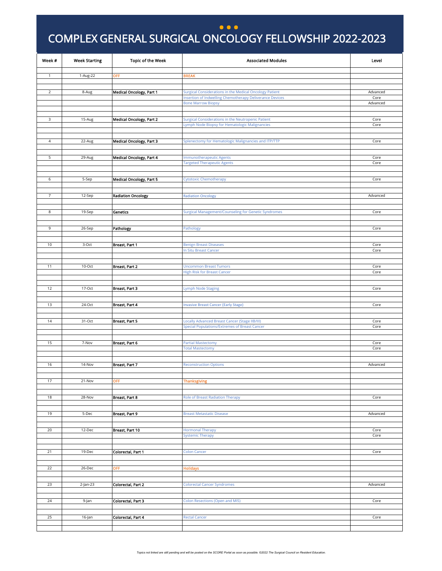#### **...**

**IS**

### <span id="page-18-0"></span>COMPLEX GENERAL SURGICAL ONCOLOGY FELLOWSHIP 2022-2023 **)**

| Week #         | <b>Week Starting</b> | <b>Topic of the Week</b>        | <b>Associated Modules</b>                                                                            | Level            |
|----------------|----------------------|---------------------------------|------------------------------------------------------------------------------------------------------|------------------|
|                |                      |                                 |                                                                                                      |                  |
| 1              | 1-Aug-22             | OFF                             | <b>BREAK</b>                                                                                         |                  |
|                |                      |                                 |                                                                                                      |                  |
| $\overline{2}$ | 8-Aug                | <b>Medical Oncology, Part 1</b> | Surgical Considerations in the Medical Oncology Patient                                              | Advanced         |
|                |                      |                                 | Insertion of Indwelling Chemotherapy Deliverance Devices<br><b>Bone Marrow Biopsy</b>                | Core<br>Advanced |
|                |                      |                                 |                                                                                                      |                  |
|                |                      |                                 |                                                                                                      |                  |
| 3              | 15-Aug               | <b>Medical Oncology, Part 2</b> | Surgical Considerations in the Neutropenic Patient<br>Lymph Node Biopsy for Hematologic Malignancies | Core<br>Core     |
|                |                      |                                 |                                                                                                      |                  |
|                |                      |                                 |                                                                                                      |                  |
| $\overline{4}$ | 22-Aug               | <b>Medical Oncology, Part 3</b> | Splenectomy for Hematologic Malignancies and ITP/TTP                                                 | Core             |
|                |                      |                                 |                                                                                                      |                  |
| 5              | 29-Aug               | <b>Medical Oncology, Part 4</b> | <b>Immunotherapeutic Agents</b>                                                                      | Core             |
|                |                      |                                 | <b>Targeted Therapeutic Agents</b>                                                                   | Core             |
|                |                      |                                 |                                                                                                      |                  |
| 6              | 5-Sep                | Medical Oncology, Part 5        | <b>Cytotoxic Chemotherapy</b>                                                                        | Core             |
|                |                      |                                 |                                                                                                      |                  |
|                |                      |                                 |                                                                                                      |                  |
| $\overline{7}$ | 12-Sep               | <b>Radiation Oncology</b>       | <b>Radiation Oncology</b>                                                                            | Advanced         |
|                |                      |                                 |                                                                                                      |                  |
| 8              | 19-Sep               | Genetics                        | Surgical Management/Counseling for Genetic Syndromes                                                 | Core             |
|                |                      |                                 |                                                                                                      |                  |
| 9              | 26-Sep               | Pathology                       | Pathology                                                                                            | Core             |
|                |                      |                                 |                                                                                                      |                  |
|                |                      |                                 |                                                                                                      |                  |
| 10             | 3-Oct                | Breast, Part 1                  | <b>Benign Breast Diseases</b>                                                                        | Core             |
|                |                      |                                 | In Situ Breast Cancer                                                                                | Core             |
|                |                      |                                 |                                                                                                      |                  |
| 11             | 10-Oct               | Breast, Part 2                  | <b>Uncommon Breast Tumors</b>                                                                        | Core             |
|                |                      |                                 | <b>High Risk for Breast Cancer</b>                                                                   | Core             |
|                |                      |                                 |                                                                                                      |                  |
| 12             | 17-Oct               | Breast, Part 3                  | Lymph Node Staging                                                                                   | Core             |
|                |                      |                                 |                                                                                                      |                  |
| 13             | 24-Oct               | Breast, Part 4                  |                                                                                                      | Core             |
|                |                      |                                 | <b>Invasive Breast Cancer (Early Stage)</b>                                                          |                  |
|                |                      |                                 |                                                                                                      |                  |
| 14             | 31-Oct               | Breast, Part 5                  | Locally Advanced Breast Cancer (Stage IIB/III)                                                       | Core             |
|                |                      |                                 | <b>Special Populations/Extremes of Breast Cancer</b>                                                 | Core             |
|                |                      |                                 |                                                                                                      |                  |
| 15             | 7-Nov                | Breast, Part 6                  | <b>Partial Mastectomy</b>                                                                            | Core             |
|                |                      |                                 | <b>Total Mastectomy</b>                                                                              | Core             |
|                |                      |                                 |                                                                                                      |                  |
| 16             | 14-Nov               | Breast, Part 7                  | <b>Reconstruction Options</b>                                                                        | Advanced         |
|                |                      |                                 |                                                                                                      |                  |
|                | 21-Nov               |                                 |                                                                                                      |                  |
| 17             |                      | OFF                             | <b>Thanksgiving</b>                                                                                  |                  |
|                |                      |                                 |                                                                                                      |                  |
| 18             | 28-Nov               | Breast, Part 8                  | <b>Role of Breast Radiation Therapy</b>                                                              | Core             |
|                |                      |                                 |                                                                                                      |                  |
| 19             | 5-Dec                | Breast, Part 9                  | <b>Breast Metastatic Disease</b>                                                                     | Advanced         |
|                |                      |                                 |                                                                                                      |                  |
| 20             | 12-Dec               |                                 | <b>Hormonal Therapy</b>                                                                              | Core             |
|                |                      | Breast, Part 10                 | <b>Systemic Therapy</b>                                                                              | Core             |
|                |                      |                                 |                                                                                                      |                  |
|                |                      |                                 |                                                                                                      |                  |
| 21             | 19-Dec               | Colorectal, Part 1              | <b>Colon Cancer</b>                                                                                  | Core             |
|                |                      |                                 |                                                                                                      |                  |
| 22             | 26-Dec               | <b>OFF</b>                      | <b>Holidays</b>                                                                                      |                  |
|                |                      |                                 |                                                                                                      |                  |
| 23             | $2$ -Jan-23          | Colorectal, Part 2              | <b>Colorectal Cancer Syndromes</b>                                                                   | Advanced         |
|                |                      |                                 |                                                                                                      |                  |
|                |                      |                                 |                                                                                                      |                  |
| 24             | 9-Jan                | Colorectal, Part 3              | <b>Colon Resections (Open and MIS)</b>                                                               | Core             |
|                |                      |                                 |                                                                                                      |                  |
| 25             | 16-Jan               | Colorectal, Part 4              | <b>Rectal Cancer</b>                                                                                 | Core             |
|                |                      |                                 |                                                                                                      |                  |
|                |                      |                                 |                                                                                                      |                  |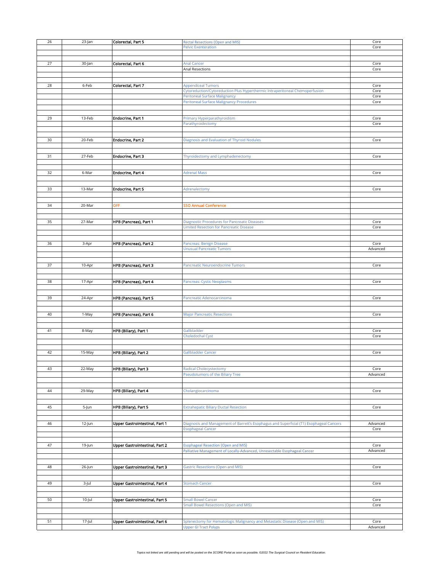| 26 | 23-Jan | Colorectal, Part 5                    | <b>Rectal Resections (Open and MIS)</b>                                                 | Core     |
|----|--------|---------------------------------------|-----------------------------------------------------------------------------------------|----------|
|    |        |                                       |                                                                                         |          |
|    |        |                                       | <b>Pelvic Exenteration</b>                                                              | Core     |
|    |        |                                       |                                                                                         |          |
|    |        |                                       |                                                                                         |          |
|    |        |                                       |                                                                                         |          |
| 27 | 30-Jan | Colorectal, Part 6                    | <b>Anal Cancer</b>                                                                      | Core     |
|    |        |                                       | Anal Resections                                                                         | Core     |
|    |        |                                       |                                                                                         |          |
|    |        |                                       |                                                                                         |          |
|    |        |                                       |                                                                                         |          |
| 28 | 6-Feb  | Colorectal, Part 7                    | <b>Appendiceal Tumors</b>                                                               | Core     |
|    |        |                                       |                                                                                         |          |
|    |        |                                       | Cytoreduction/Cytoreduction Plus Hyperthermic Intraperitoneal Chemoperfusion            | Core     |
|    |        |                                       | <b>Peritoneal Surface Malignancy</b>                                                    | Core     |
|    |        |                                       |                                                                                         |          |
|    |        |                                       | <b>Peritoneal Surface Malignancy Procedures</b>                                         | Core     |
|    |        |                                       |                                                                                         |          |
|    |        |                                       |                                                                                         |          |
|    |        |                                       |                                                                                         |          |
| 29 | 13-Feb | <b>Endocrine, Part 1</b>              | Primary Hyperparathyroidism                                                             | Core     |
|    |        |                                       | Parathyroidectomy                                                                       | Core     |
|    |        |                                       |                                                                                         |          |
|    |        |                                       |                                                                                         |          |
|    |        |                                       |                                                                                         |          |
| 30 | 20-Feb | <b>Endocrine, Part 2</b>              | Diagnosis and Evaluation of Thyroid Nodules                                             | Core     |
|    |        |                                       |                                                                                         |          |
|    |        |                                       |                                                                                         |          |
|    |        |                                       |                                                                                         |          |
| 31 | 27-Feb | <b>Endocrine, Part 3</b>              | Thyroidectomy and Lymphadenectomy                                                       | Core     |
|    |        |                                       |                                                                                         |          |
|    |        |                                       |                                                                                         |          |
|    |        |                                       |                                                                                         |          |
|    |        |                                       |                                                                                         |          |
| 32 | 6-Mar  | <b>Endocrine, Part 4</b>              | <b>Adrenal Mass</b>                                                                     | Core     |
|    |        |                                       |                                                                                         |          |
|    |        |                                       |                                                                                         |          |
|    |        |                                       |                                                                                         |          |
| 33 | 13-Mar | <b>Endocrine, Part 5</b>              | Adrenalectomy                                                                           | Core     |
|    |        |                                       |                                                                                         |          |
|    |        |                                       |                                                                                         |          |
|    |        |                                       |                                                                                         |          |
| 34 | 20-Mar | OFF                                   | <b>SO Annual Conference</b>                                                             |          |
|    |        |                                       |                                                                                         |          |
|    |        |                                       |                                                                                         |          |
|    |        |                                       |                                                                                         |          |
| 35 | 27-Mar | HPB (Pancreas), Part 1                | <b>Diagnostic Procedures for Pancreatic Diseases</b>                                    | Core     |
|    |        |                                       |                                                                                         |          |
|    |        |                                       | <b>Limited Resection for Pancreatic Disease</b>                                         | Core     |
|    |        |                                       |                                                                                         |          |
|    |        |                                       |                                                                                         |          |
|    |        |                                       |                                                                                         |          |
| 36 | 3-Apr  | HPB (Pancreas), Part 2                | Pancreas: Benign Disease                                                                | Core     |
|    |        |                                       | <b>Unusual Pancreatic Tumors</b>                                                        | Advanced |
|    |        |                                       |                                                                                         |          |
|    |        |                                       |                                                                                         |          |
|    |        |                                       |                                                                                         |          |
|    |        |                                       |                                                                                         |          |
| 37 | 10-Apr | HPB (Pancreas), Part 3                | Pancreatic Neuroendocrine Tumors                                                        | Core     |
|    |        |                                       |                                                                                         |          |
|    |        |                                       |                                                                                         |          |
|    |        |                                       |                                                                                         |          |
| 38 | 17-Apr | HPB (Pancreas), Part 4                | Pancreas: Cystic Neoplasms                                                              | Core     |
|    |        |                                       |                                                                                         |          |
|    |        |                                       |                                                                                         |          |
|    |        |                                       |                                                                                         |          |
| 39 | 24-Apr | HPB (Pancreas), Part 5                | Pancreatic Adenocarcinoma                                                               | Core     |
|    |        |                                       |                                                                                         |          |
|    |        |                                       |                                                                                         |          |
|    |        |                                       |                                                                                         |          |
| 40 | 1-May  | HPB (Pancreas), Part 6                | <b>Major Pancreatic Resections</b>                                                      | Core     |
|    |        |                                       |                                                                                         |          |
|    |        |                                       |                                                                                         |          |
|    |        |                                       |                                                                                         |          |
| 41 | 8-May  | HPB (Biliary), Part 1                 | Gallbladder                                                                             | Core     |
|    |        |                                       |                                                                                         |          |
|    |        |                                       | Choledochal Cyst                                                                        | Core     |
|    |        |                                       |                                                                                         |          |
|    |        |                                       |                                                                                         |          |
|    |        |                                       |                                                                                         |          |
| 42 | 15-May | HPB (Biliary), Part 2                 | Gallbladder Cancer                                                                      | Core     |
|    |        |                                       |                                                                                         |          |
|    |        |                                       |                                                                                         |          |
|    |        |                                       |                                                                                         |          |
| 43 | 22-May | HPB (Biliary), Part 3                 | <b>Radical Cholecystectomy</b>                                                          | Core     |
|    |        |                                       |                                                                                         |          |
|    |        |                                       | Pseudotumors of the Biliary Tree                                                        | Advanced |
|    |        |                                       |                                                                                         |          |
|    |        |                                       |                                                                                         |          |
|    |        |                                       |                                                                                         |          |
| 44 | 29-May | HPB (Biliary), Part 4                 | Cholangiocarcinoma                                                                      | Core     |
|    |        |                                       |                                                                                         |          |
|    |        |                                       |                                                                                         |          |
|    |        |                                       |                                                                                         |          |
| 45 | 5-Jun  | HPB (Biliary), Part 5                 | <b>Extrahepatic Biliary Ductal Resection</b>                                            | Core     |
|    |        |                                       |                                                                                         |          |
|    |        |                                       |                                                                                         |          |
|    |        |                                       |                                                                                         |          |
| 46 | 12-Jun | <b>Upper Gastrointestinal, Part 1</b> | Diagnosis and Management of Barrett's Esophagus and Superficial (T1) Esophageal Cancers | Advanced |
|    |        |                                       | <b>Esophageal Cancer</b>                                                                | Core     |
|    |        |                                       |                                                                                         |          |
|    |        |                                       |                                                                                         |          |
|    |        |                                       |                                                                                         |          |
| 47 | 19-Jun | Upper Gastrointestinal, Part 2        | <b>Esophageal Resection (Open and MIS)</b>                                              | Core     |
|    |        |                                       |                                                                                         |          |
|    |        |                                       | Palliative Management of Locally-Advanced, Unresectable Esophageal Cancer               | Advanced |
|    |        |                                       |                                                                                         |          |
|    |        |                                       |                                                                                         |          |
|    |        |                                       |                                                                                         |          |
| 48 | 26-Jun | Upper Gastrointestinal, Part 3        | <b>Gastric Resections (Open and MIS)</b>                                                | Core     |
|    |        |                                       |                                                                                         |          |
|    |        |                                       |                                                                                         |          |
|    |        |                                       |                                                                                         |          |
| 49 | 3-Jul  | Upper Gastrointestinal, Part 4        | <b>Stomach Cancer</b>                                                                   | Core     |
|    |        |                                       |                                                                                         |          |
|    |        |                                       |                                                                                         |          |
|    |        |                                       |                                                                                         |          |
| 50 | 10-Jul | Upper Gastrointestinal, Part 5        | <b>Small Bowel Cancer</b>                                                               | Core     |
|    |        |                                       |                                                                                         |          |
|    |        |                                       | <b>Small Bowel Resections (Open and MIS)</b>                                            | Core     |
|    |        |                                       |                                                                                         |          |
|    |        |                                       |                                                                                         |          |
|    |        |                                       |                                                                                         |          |
| 51 | 17-Jul | Upper Gastrointestinal, Part 6        | Splenectomy for Hematologic Malignancy and Metastatic Disease (Open and MIS)            | Core     |
|    |        |                                       |                                                                                         | Advanced |
|    |        |                                       | <b>Upper GI Tract Polyps</b>                                                            |          |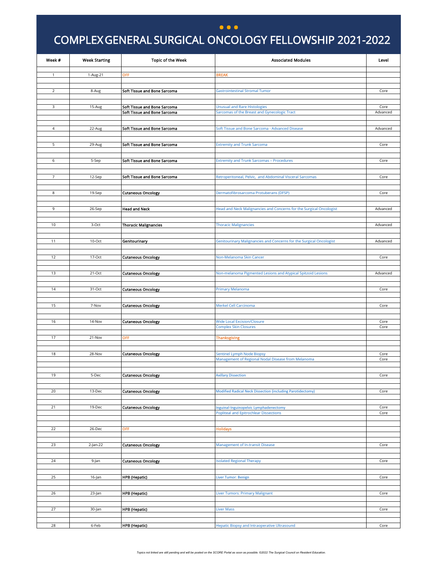#### **...**

**IS**

### COMPLEX GENERAL SURGICAL ONCOLOGY FELLOWSHIP 2021-2022 **)**

<span id="page-21-0"></span>

| Week #         | <b>Week Starting</b> | <b>Topic of the Week</b>     | <b>Associated Modules</b>                                                               | Level        |
|----------------|----------------------|------------------------------|-----------------------------------------------------------------------------------------|--------------|
| $\mathbf{1}$   | 1-Aug-21             | OFF                          | <b>BREAK</b>                                                                            |              |
|                |                      |                              |                                                                                         |              |
| $\overline{2}$ | 8-Aug                | Soft Tissue and Bone Sarcoma | <b>Gastrointestinal Stromal Tumor</b>                                                   | Core         |
|                |                      |                              |                                                                                         |              |
| 3              | 15-Aug               | Soft Tissue and Bone Sarcoma | <b>Unusual and Rare Histologies</b>                                                     | Core         |
|                |                      | Soft Tissue and Bone Sarcoma | Sarcomas of the Breast and Gynecologic Tract                                            | Advanced     |
| $\overline{4}$ | 22-Aug               | Soft Tissue and Bone Sarcoma | Soft Tissue and Bone Sarcoma - Advanced Disease                                         | Advanced     |
|                |                      |                              |                                                                                         |              |
| 5              | 29-Aug               | Soft Tissue and Bone Sarcoma | <b>Extremity and Trunk Sarcoma</b>                                                      | Core         |
|                |                      |                              |                                                                                         |              |
| 6              | 5-Sep                | Soft Tissue and Bone Sarcoma | <b>Extremity and Trunk Sarcomas - Procedures</b>                                        | Core         |
|                |                      |                              |                                                                                         |              |
| $\overline{7}$ | 12-Sep               | Soft Tissue and Bone Sarcoma | Retroperitoneal, Pelvic, and Abdominal Visceral Sarcomas                                | Core         |
|                |                      |                              |                                                                                         |              |
| 8              | 19-Sep               | <b>Cutaneous Oncology</b>    | Dermatofibrosarcoma Protuberans (DFSP)                                                  | Core         |
|                |                      |                              |                                                                                         |              |
| 9              | 26-Sep               | <b>Head and Neck</b>         | Head and Neck Malignancies and Concerns for the Surgical Oncologist                     | Advanced     |
|                |                      |                              |                                                                                         |              |
| 10             | 3-Oct                | <b>Thoracic Malignancies</b> | <b>Thoracic Malignancies</b>                                                            | Advanced     |
|                |                      |                              |                                                                                         |              |
| 11             | 10-Oct               | Genitourinary                | Genitourinary Malignancies and Concerns for the Surgical Oncologist                     | Advanced     |
|                |                      |                              |                                                                                         |              |
| 12             | 17-Oct               | <b>Cutaneous Oncology</b>    | Non-Melanoma Skin Cancer                                                                | Core         |
|                |                      |                              |                                                                                         |              |
| 13             | 21-Oct               | <b>Cutaneous Oncology</b>    | Non-melanoma Pigmented Lesions and Atypical Spitzoid Lesions                            | Advanced     |
|                |                      |                              |                                                                                         |              |
| 14             | 31-Oct               | <b>Cutaneous Oncology</b>    | Primary Melanoma                                                                        | Core         |
|                |                      |                              |                                                                                         |              |
| 15             | 7-Nov                | <b>Cutaneous Oncology</b>    | <b>Merkel Cell Carcinoma</b>                                                            | Core         |
|                |                      |                              |                                                                                         |              |
| 16             | 14-Nov               | <b>Cutaneous Oncology</b>    | <b>Wide Local Excision/Closure</b><br><b>Complex Skin Closures</b>                      | Core<br>Core |
|                |                      |                              |                                                                                         |              |
| 17             | 21-Nov               | OFF                          | <b>Thanksgiving</b>                                                                     |              |
|                |                      |                              |                                                                                         |              |
| 18             | 28-Nov               | <b>Cutaneous Oncology</b>    | <b>Sentinel Lymph Node Biopsy</b><br>Management of Regional Nodal Disease from Melanoma | Core<br>Core |
|                |                      |                              |                                                                                         |              |
| 19             | 5-Dec                | <b>Cutaneous Oncology</b>    | <b>Axillary Dissection</b>                                                              | Core         |
|                |                      |                              |                                                                                         |              |
| 20             | 13-Dec               | <b>Cutaneous Oncology</b>    | Modified Radical Neck Dissection (including Parotidectomy)                              | Core         |
|                |                      |                              |                                                                                         |              |
| 21             | 19-Dec               | <b>Cutaneous Oncology</b>    | Inguinal-Inguinopelvic Lymphadenectomy                                                  | Core         |
|                |                      |                              | <b>Popliteal and Epitrochlear Dissections</b>                                           | Core         |
|                |                      |                              |                                                                                         |              |
| 22             | 26-Dec               | OFF                          | <b>Holidays</b>                                                                         |              |
|                |                      |                              |                                                                                         |              |
| 23             | 2-Jan-22             | <b>Cutaneous Oncology</b>    | <b>Management of In-transit Disease</b>                                                 | Core         |
| 24             |                      | <b>Cutaneous Oncology</b>    |                                                                                         | Core         |
|                | 9-Jan                |                              | <b>Isolated Regional Therapy</b>                                                        |              |
| 25             | 16-Jan               | HPB (Hepatic)                | Liver Tumor: Benign                                                                     | Core         |
|                |                      |                              |                                                                                         |              |
| 26             | 23-Jan               | HPB (Hepatic)                | <b>Liver Tumors: Primary Malignant</b>                                                  | Core         |
|                |                      |                              |                                                                                         |              |
| 27             | 30-Jan               | <b>HPB</b> (Hepatic)         | <b>Liver Mass</b>                                                                       | Core         |
|                |                      |                              |                                                                                         |              |
| 28             | 6-Feb                | <b>HPB</b> (Hepatic)         | <b>Hepatic Biopsy and Intraoperative Ultrasound</b>                                     | Core         |
|                |                      |                              |                                                                                         |              |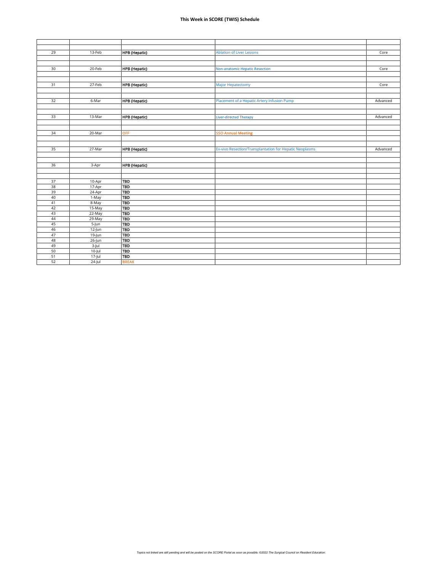| 29 | 13-Feb    | <b>HPB</b> (Hepatic) | <b>Ablation of Liver Lesions</b>                        | Core     |
|----|-----------|----------------------|---------------------------------------------------------|----------|
|    |           |                      |                                                         |          |
|    |           |                      |                                                         |          |
| 30 | 20-Feb    | <b>HPB</b> (Hepatic) | <b>Non-anatomic Hepatic Resection</b>                   | Core     |
|    |           |                      |                                                         |          |
|    |           |                      |                                                         |          |
| 31 | 27-Feb    | <b>HPB</b> (Hepatic) | <b>Major Hepatectomy</b>                                | Core     |
|    |           |                      |                                                         |          |
|    |           |                      |                                                         |          |
| 32 | 6-Mar     | <b>HPB</b> (Hepatic) | Placement of a Hepatic Artery Infusion Pump             | Advanced |
|    |           |                      |                                                         |          |
|    |           |                      |                                                         |          |
| 33 | 13-Mar    | <b>HPB</b> (Hepatic) | <b>Liver-directed Therapy</b>                           | Advanced |
|    |           |                      |                                                         |          |
| 34 | 20-Mar    | <b>OFF</b>           | <b>SSO Annual Meeting</b>                               |          |
|    |           |                      |                                                         |          |
|    |           |                      |                                                         |          |
| 35 | 27-Mar    | <b>HPB</b> (Hepatic) | Ex-vivo Resection/Transplantation for Hepatic Neoplasms | Advanced |
|    |           |                      |                                                         |          |
|    |           |                      |                                                         |          |
| 36 | 3-Apr     | <b>HPB</b> (Hepatic) |                                                         |          |
|    |           |                      |                                                         |          |
|    |           |                      |                                                         |          |
| 37 | 10-Apr    | <b>TBD</b>           |                                                         |          |
| 38 | 17-Apr    | <b>TBD</b>           |                                                         |          |
| 39 | 24-Apr    | <b>TBD</b>           |                                                         |          |
| 40 | 1-May     | <b>TBD</b>           |                                                         |          |
| 41 | 8-May     | <b>TBD</b>           |                                                         |          |
| 42 | 15-May    | <b>TBD</b>           |                                                         |          |
| 43 | 22-May    | <b>TBD</b>           |                                                         |          |
| 44 | 29-May    | <b>TBD</b>           |                                                         |          |
| 45 | $5 - Jun$ | <b>TBD</b>           |                                                         |          |
| 46 | $12$ -Jun | <b>TBD</b>           |                                                         |          |
| 47 | 19-Jun    | <b>TBD</b>           |                                                         |          |
| 48 | $26$ -Jun | <b>TBD</b>           |                                                         |          |
| 49 | $3$ -Jul  | <b>TBD</b>           |                                                         |          |
| 50 | $10$ -Jul | <b>TBD</b>           |                                                         |          |
| 51 | $17$ -Jul | <b>TBD</b>           |                                                         |          |
| 52 | 24-Jul    | <b>BREAK</b>         |                                                         |          |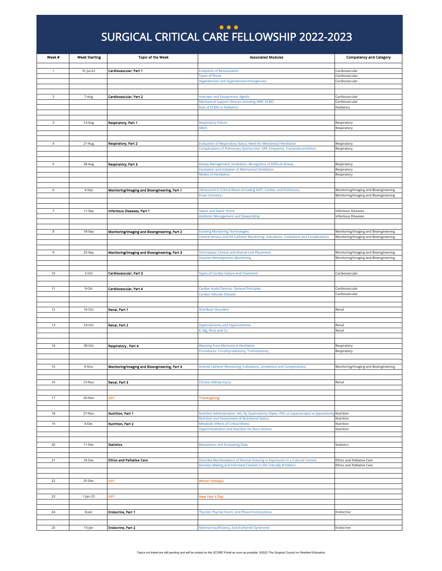### SURGICAL CRITICAL CARE FELLOWSHIP 2022-2023 **... )**

<span id="page-23-0"></span>

| Week #         | <b>Week Starting</b> | <b>Topic of the Week</b>                      | <b>Associated Modules</b>                                                                  | <b>Competency and Category</b>                                                 |
|----------------|----------------------|-----------------------------------------------|--------------------------------------------------------------------------------------------|--------------------------------------------------------------------------------|
|                |                      |                                               |                                                                                            |                                                                                |
| 1              | 31-Jul-22            | Cardiovascular, Part 1                        | <b>Endpoints of Resuscitation</b><br><b>Types of Shock</b>                                 | Cardiovascular<br>Cardiovascular                                               |
|                |                      |                                               | <b>Hypertension and Hypertensive Emergencies</b>                                           | Cardiovascular                                                                 |
|                |                      |                                               |                                                                                            |                                                                                |
|                |                      |                                               |                                                                                            |                                                                                |
| $\overline{2}$ | 7-Aug                | Cardiovascular, Part 2                        | <b>Inotropic and Vasopressor Agents</b><br>Mechanical Support Devices including IABP, ECMO | Cardiovascular<br>Cardiovascular                                               |
|                |                      |                                               | Role of ECMO in Pediatrics                                                                 | Pediatrics                                                                     |
|                |                      |                                               |                                                                                            |                                                                                |
|                |                      |                                               |                                                                                            |                                                                                |
| 3              | $14-Aug$             | <b>Respiratory, Part 1</b>                    | <b>Respiratory Failure</b><br><b>ARDS</b>                                                  | Respiratory<br>Respiratory                                                     |
|                |                      |                                               |                                                                                            |                                                                                |
|                |                      |                                               |                                                                                            |                                                                                |
| $\sqrt{4}$     | 21-Aug               | Respiratory, Part 2                           | Evaluation of Respiratory Status, Need for Mechanical Ventilation                          | Respiratory                                                                    |
|                |                      |                                               | Complications of Pulmonary Dysfunction: VAP, Empyema, Tracheobronchitism                   | Respiratory                                                                    |
|                |                      |                                               |                                                                                            |                                                                                |
| 5              | 28-Aug               | Respiratory, Part 3                           | Airway Management: Intubation, Recognition of Difficult Airway                             | Respiratory                                                                    |
|                |                      |                                               | Intubation and Initiation of Mechanical Ventilation                                        | Respiratory                                                                    |
|                |                      |                                               | <b>Modes of Ventilation</b>                                                                | Respiratory                                                                    |
|                |                      |                                               |                                                                                            |                                                                                |
| 6              | 4-Sep                | Monitoring/imaging and Bioengineering, Part 1 | Ultrasound in Critical Illness Including FAST, Cardiac and Pulmonary                       | Monitoring/Imaging and Bioengineering                                          |
|                |                      |                                               | <b>Pulse Oximetry</b>                                                                      | Monitoring/Imaging and Bioengineering                                          |
|                |                      |                                               |                                                                                            |                                                                                |
| 7              | 11-Sep               | Infectious Diseases, Part 1                   | Sepsis and Septic Shock                                                                    | <b>Infectious Diseases</b>                                                     |
|                |                      |                                               | Antibiotic Management and Stewardship                                                      | <b>Infectious Diseases</b>                                                     |
|                |                      |                                               |                                                                                            |                                                                                |
| 8              | 18-Sep               | Monitoring/Imaging and Bioengineering, Part 2 | <b>Evolving Monitoring Technologies</b>                                                    | Monitoring/Imaging and Bioengineering                                          |
|                |                      |                                               | Central Venous and PA Catheter Monitoring: Indications, Limitations and Complications      | Monitoring/Imaging and Bioengineering                                          |
|                |                      |                                               |                                                                                            |                                                                                |
|                |                      |                                               |                                                                                            |                                                                                |
| 9              | 25-Sep               | Monitoring/Imaging and Bioengineering, Part 3 | Techniques: Central and Arterial Line Placement<br><b>Invasive Hemodynamic Monitoring</b>  | Monitoring/Imaging and Bioengineering<br>Monitoring/Imaging and Bioengineering |
|                |                      |                                               |                                                                                            |                                                                                |
|                |                      |                                               |                                                                                            |                                                                                |
| 10             | $2$ -Oct             | Cardiovascular, Part 3                        | <b>Types of Cardiac Failure and Treatment</b>                                              | Cardiovascular                                                                 |
|                |                      |                                               |                                                                                            |                                                                                |
| 11             | 9-Oct                | Cardiovascular, Part 4                        | Cardiac Assist Devices: General Principles                                                 | Cardiovascular                                                                 |
|                |                      |                                               | Cardiac Valvular Disease                                                                   | Cardiovascular                                                                 |
|                |                      |                                               |                                                                                            |                                                                                |
| 12             | 16-Oct               | Renal, Part 1                                 | <b>Acid-Base Disorders</b>                                                                 | Renal                                                                          |
|                |                      |                                               |                                                                                            |                                                                                |
|                |                      |                                               |                                                                                            |                                                                                |
| 13             | 23-Oct               | Renal, Part 2                                 | Hypernatremia and Hyponatremia                                                             | Renal                                                                          |
|                |                      |                                               | C, Mg, Phos and Ca                                                                         | Renal                                                                          |
|                |                      |                                               |                                                                                            |                                                                                |
| 14             | 30-Oct               | <b>Respiratory, Part 4</b>                    | <b>Weaning from Mechanical Ventilation</b>                                                 | Respiratory                                                                    |
|                |                      |                                               | Procedures: Cricothyroidotomy, Tracheostomy                                                | Respiratory                                                                    |
|                |                      |                                               |                                                                                            |                                                                                |
| 15             | 6-Nov                | Monitoring/Imaging and Bioengineering, Part 4 | Arterial Catheter Monitoring: Indications, Limitations and Complications                   | Monitoring/Imaging and Bioengineering                                          |
|                |                      |                                               |                                                                                            |                                                                                |
|                |                      |                                               |                                                                                            |                                                                                |
| 16             | 13-Nov               | Renal, Part 3                                 | Chronic Kidney Injury                                                                      | Renal                                                                          |
|                |                      |                                               |                                                                                            |                                                                                |
| 17             | 20-Nov               | <b>OFF</b>                                    | <b>Thanksgiving</b>                                                                        |                                                                                |
|                |                      |                                               |                                                                                            |                                                                                |
| 18             | 27-Nov               | Nutrition, Part 1                             | Nutrition Administration: NG, NJ, Gastrostomy (Open, PEG or Laparoscopic) or Jejunostom    | Nutrition                                                                      |
|                |                      |                                               | Nutrition and Assessment of Nutritional Status                                             | Nutrition                                                                      |
| 19             | 4-Dec                | Nutrition, Part 2                             | <b>Metabolic Effects of Critical Illness</b>                                               | Nutrition                                                                      |
|                |                      |                                               | Hypermetabolism and Nutrition for Burn Victims                                             | Nutrition                                                                      |
|                |                      |                                               |                                                                                            |                                                                                |
| 20             | 11-Dec               | <b>Statistics</b>                             | <b>Biostatistics and Evaluating Data</b>                                                   | Statistics                                                                     |
|                |                      |                                               |                                                                                            |                                                                                |
| 21             | 18-Dec               | <b>Ethics and Palliative Care</b>             | Describe Manifestations of Normal Grieving in Expression in a Cultural Context             | <b>Ethics and Palliative Care</b>                                              |
|                |                      |                                               | Decision Making and Informed Consent in the Critically III Patient                         | Ethics and Palliative Care                                                     |
|                |                      |                                               |                                                                                            |                                                                                |
|                |                      |                                               |                                                                                            |                                                                                |
| 22             | 25-Dec               | <b>OFF</b>                                    | <b>Winter Holidays</b>                                                                     |                                                                                |
|                |                      |                                               |                                                                                            |                                                                                |
| 23             | $1$ -Jan-23          | OFF                                           | New Year's Day                                                                             |                                                                                |
|                |                      |                                               |                                                                                            |                                                                                |
| 24             | 8-Jan                | Endocrine, Part 1                             | Thyroid, Thyroid Storm, and Pheochromocytoma                                               | Endocrine                                                                      |
|                |                      |                                               |                                                                                            |                                                                                |
|                |                      |                                               |                                                                                            |                                                                                |
| 25             | 15-Jan               | <b>Endocrine, Part 2</b>                      | Adrenal Insufficiency, Sick-Euthyroid Syndrome                                             | Endocrine                                                                      |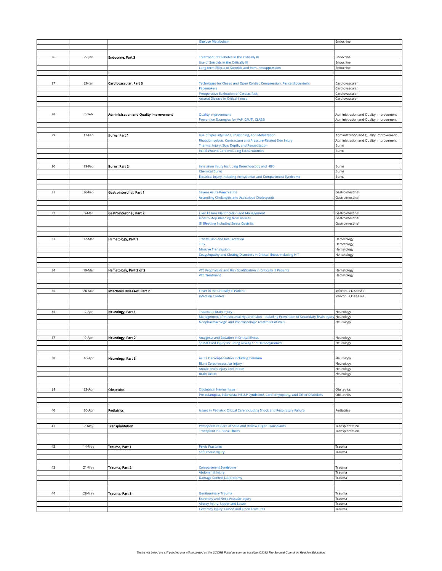|        |        |                                        | <b>Glucose Metabolism</b>                                                                                          | Endocrine                              |
|--------|--------|----------------------------------------|--------------------------------------------------------------------------------------------------------------------|----------------------------------------|
|        |        |                                        |                                                                                                                    |                                        |
|        |        |                                        |                                                                                                                    |                                        |
|        |        | Endocrine, Part 3                      | <b>Treatment of Diabetes in the Critically III</b>                                                                 | Endocrine                              |
| 26     | 22-Jan |                                        |                                                                                                                    |                                        |
|        |        |                                        | Use of Steroids in the Critically III                                                                              | Endocrine                              |
|        |        |                                        | Long-term Effects of Steroids and Immunosuppression                                                                | Endocrine                              |
|        |        |                                        |                                                                                                                    |                                        |
|        |        |                                        |                                                                                                                    |                                        |
| 27     | 29-Jan | Cardiovascular, Part 5                 | Techniques for Closed and Open Cardiac Compression, Pericardiocentesis                                             | Cardiovascular                         |
|        |        |                                        | Pacemakers                                                                                                         | Cardiovascular                         |
|        |        |                                        | Preoperative Evaluation of Cardiac Risk                                                                            | Cardiovascular                         |
|        |        |                                        | <b>Arterial Disease in Critical Illness</b>                                                                        | Cardiovascular                         |
|        |        |                                        |                                                                                                                    |                                        |
|        |        |                                        |                                                                                                                    |                                        |
| 28     | 5-Feb  | Administration and Quality improvement | Quality Improvement                                                                                                | Administration and Quality Improvement |
|        |        |                                        | Prevention Strategies for VAP, CAUTI, CLABSI                                                                       | Administration and Quality Improvement |
|        |        |                                        |                                                                                                                    |                                        |
|        |        |                                        |                                                                                                                    |                                        |
| 29     | 12-Feb | Burns, Part 1                          | Use of Specialty Beds, Positioning, and Mobilization                                                               | Administration and Quality Improvement |
|        |        |                                        | Rhabdomyolysis, Contracture and Pressure-Related Skin Injury                                                       | Administration and Quality Improvement |
|        |        |                                        | Thermal Injury: Size, Depth, and Resuscitation                                                                     | Burns                                  |
|        |        |                                        | <b>Initial Wound Care Including Escharotomies</b>                                                                  | Burns                                  |
|        |        |                                        |                                                                                                                    |                                        |
|        |        |                                        |                                                                                                                    |                                        |
| $30\,$ | 19-Feb | Burns, Part 2                          | Inhalation Injury Including Bronchoscopy and HBO                                                                   | Burns                                  |
|        |        |                                        | <b>Chemical Burns</b>                                                                                              | Burns                                  |
|        |        |                                        | Electrical Injury Including Arrhythmias and Compartment Syndrome                                                   | Burns                                  |
|        |        |                                        |                                                                                                                    |                                        |
|        |        |                                        |                                                                                                                    |                                        |
| 31     | 26-Feb | Gastrointestinal, Part 1               | Severe Acute Pancreatitis                                                                                          | Gastrointestinal                       |
|        |        |                                        | Ascending Cholangitis and Acalculous Cholecystitis                                                                 | Gastrointestinal                       |
|        |        |                                        |                                                                                                                    |                                        |
|        |        |                                        |                                                                                                                    |                                        |
| 32     | 5-Mar  | Gastrointestinal, Part 2               | Liver Failure Identification and Management                                                                        | Gastrointestinal                       |
|        |        |                                        | How to Stop Bleeding from Varices                                                                                  | Gastrointestinal                       |
|        |        |                                        | <b>GI Bleeding Including Stress Gastritis</b>                                                                      | Gastrointestinal                       |
|        |        |                                        |                                                                                                                    |                                        |
|        |        |                                        |                                                                                                                    |                                        |
| 33     | 12-Mar | <b>Hematology, Part 1</b>              | <b>Transfusion and Resuscitation</b>                                                                               | Hematology                             |
|        |        |                                        | TEG                                                                                                                | Hematology                             |
|        |        |                                        | <b>Massive Transfusion</b>                                                                                         | Hematology                             |
|        |        |                                        | Coagulopathy and Clotting Disorders in Critical Illness including HIT                                              | Hematology                             |
|        |        |                                        |                                                                                                                    |                                        |
|        |        |                                        |                                                                                                                    |                                        |
| 34     | 19-Mar | Hematology, Part 2 of 2                | VTE Prophylaxis and Risk Stratification in Critically III Patients                                                 | Hematology                             |
|        |        |                                        | <b>VTE Treatment</b>                                                                                               | Hematology                             |
|        |        |                                        |                                                                                                                    |                                        |
|        |        |                                        |                                                                                                                    |                                        |
| 35     | 26-Mar | Infectious Diseases, Part 2            | Fever in the Critically III Patient                                                                                | <b>Infectious Diseases</b>             |
|        |        |                                        | <b>Infection Control</b>                                                                                           | <b>Infectious Diseases</b>             |
|        |        |                                        |                                                                                                                    |                                        |
| 36     |        |                                        |                                                                                                                    |                                        |
|        | 2-Apr  | Neurology, Part 1                      | Traumatic Brain Injury<br>Management of Intracranial Hypertension - Including Prevention of Secondary Brain Injury | Neurology                              |
|        |        |                                        | Nonpharmacologic and Pharmacologic Treatment of Pain                                                               | Neurology<br>Neurology                 |
|        |        |                                        |                                                                                                                    |                                        |
|        |        |                                        |                                                                                                                    |                                        |
| 37     | 9-Apr  | <b>Neurology, Part 2</b>               | Analgesia and Sedation in Critical Illness                                                                         | Neurology                              |
|        |        |                                        | Spinal Cord Injury Including Airway and Hemodynamics                                                               | Neurology                              |
|        |        |                                        |                                                                                                                    |                                        |
|        |        |                                        |                                                                                                                    |                                        |
| 38     | 16-Apr | <b>Neurology, Part 3</b>               | <b>Acute Decompensation Including Delirium</b>                                                                     | Neurology                              |
|        |        |                                        | <b>Blunt Cerebrovascular Injury</b>                                                                                |                                        |
|        |        |                                        | Anoxic Brain Injury and Stroke                                                                                     | Neurology<br>Neurology                 |
|        |        |                                        | <b>Brain Death</b>                                                                                                 | Neurology                              |
|        |        |                                        |                                                                                                                    |                                        |
|        |        |                                        |                                                                                                                    |                                        |
| 39     | 23-Apr | Obstetrics                             | <b>Obstetrical Hemorrhage</b>                                                                                      | Obstetrics                             |
|        |        |                                        | Pre-eclampsia, Eclampsia, HELLP Syndrome, Cardiomyopathy, and Other Disorders                                      | Obstetrics                             |
|        |        |                                        |                                                                                                                    |                                        |
|        |        |                                        |                                                                                                                    |                                        |
| 40     | 30-Apr | Pediatrics                             | ssues in Pediatric Critical Care Including Shock and Respiratory Failure                                           | Pediatrics                             |
|        |        |                                        |                                                                                                                    |                                        |
|        |        |                                        |                                                                                                                    |                                        |
| 41     | 7-May  | Transplantation                        | Postoperative Care of Solid and Hollow Organ Transplants                                                           | Transplantation                        |
|        |        |                                        | <b>Transplant in Critical Illness</b>                                                                              | Transplantation                        |
|        |        |                                        |                                                                                                                    |                                        |
|        |        |                                        |                                                                                                                    |                                        |
| 42     | 14-May | Trauma, Part 1                         | <b>Pelvic Fractures</b>                                                                                            | Trauma                                 |
|        |        |                                        | Soft Tissue Injury                                                                                                 | Trauma                                 |
|        |        |                                        |                                                                                                                    |                                        |
|        |        |                                        |                                                                                                                    |                                        |
| 43     | 21-May | Trauma, Part 2                         | <b>Compartment Syndrome</b>                                                                                        | Trauma                                 |
|        |        |                                        | Abdominal Injury                                                                                                   | Trauma                                 |
|        |        |                                        | <b>Damage Control Laparotomy</b>                                                                                   | Trauma                                 |
|        |        |                                        |                                                                                                                    |                                        |
|        |        |                                        |                                                                                                                    |                                        |
| $44\,$ | 28-May | Trauma, Part 3                         | <b>Genitourinary Trauma</b>                                                                                        | Trauma                                 |
|        |        |                                        | <b>Extremity and Neck Vascular Injury</b>                                                                          | Trauma                                 |
|        |        |                                        | Airway Injury: Upper and Lower                                                                                     | Trauma                                 |
|        |        |                                        | <b>Extremity Injury: Closed and Open Fractures</b>                                                                 | Trauma                                 |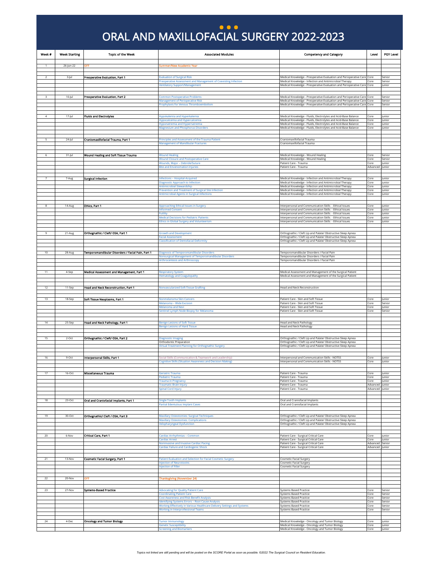### Oral and Maxillofacial Surgery 2022-2023 ORAL AND MAXILLOFACIAL SURGERY 2022-2023 **... )**

<span id="page-25-0"></span>

| Week # | <b>Week Starting</b> | <b>Topic of the Week</b>                          | <b>Associated Modules</b>                                                                                                    | <b>Competency and Category</b>                                                                                                                     | Level                              | PGY Level        |
|--------|----------------------|---------------------------------------------------|------------------------------------------------------------------------------------------------------------------------------|----------------------------------------------------------------------------------------------------------------------------------------------------|------------------------------------|------------------|
|        | 26-Jun-22            | OFF                                               | <b>Summer/New Academic Year</b>                                                                                              |                                                                                                                                                    |                                    |                  |
| 2      | 3-Jul                | Preoperative Evaluation, Part 1                   | Evaluation of Surgical Risk                                                                                                  | Medical Knowledge - Preoperative Evaluation and Perioperative Care Core                                                                            |                                    | Senior           |
|        |                      |                                                   | Preoperative Assessment and Management of Coexisting Infection                                                               | Medical Knowledge - Infection and Antimicrobial Therapy                                                                                            | Core                               | Senior           |
|        |                      |                                                   | /entilatory Support/Management                                                                                               | Medical Knowledge - Preoperative Evaluation and Perioperative Care Core                                                                            |                                    | lunior           |
|        | $10$ -Jul            | Preoperative Evaluation, Part 2                   | <b>Common Postoperative Problems</b>                                                                                         | Medical Knowledge - Preoperative Evaluation and Perioperative Care Core                                                                            |                                    | Senior           |
|        |                      |                                                   | <b>Management of Perioperative Risk</b><br>Prophylaxis for Venous Thromboembolism                                            | Medical Knowledge - Preoperative Evaluation and Perioperative Care Core<br>Medical Knowledge - Preoperative Evaluation and Perioperative Care Core |                                    | Senior<br>Senior |
|        |                      |                                                   |                                                                                                                              |                                                                                                                                                    |                                    |                  |
| 4      | $17 -$ Jul           | <b>Fluids and Electrolytes</b>                    | Hypokalemia and Hyperkalemia                                                                                                 | Medical Knowledge - Fluids, Electrolytes and Acid-Base Balance                                                                                     | Core                               | lunior           |
|        |                      |                                                   | Hypocalcemia and Hypercalcemia<br>Hyponatremia and Hypernatremia                                                             | Medical Knowledge - Fluids, Electrolytes and Acid-Base Balance<br>Medical Knowledge - Fluids, Electrolytes and Acid-Base Balance                   | Core<br>Core                       | Junior<br>lunior |
|        |                      |                                                   | Magnesium and Phosphorus Disorders                                                                                           | Medical Knowledge - Fluids, Electrolytes and Acid-Base Balance                                                                                     | Core                               | Junior           |
|        |                      |                                                   |                                                                                                                              |                                                                                                                                                    |                                    |                  |
|        | 24-Jul               | Craniomaxillofacial Trauma, Part 1                | Principles and Assessment of the Trauma Patient<br><b>Management of Mandibular Fractures</b>                                 | Craniomaxillofacial Trauma<br>Craniomaxillofacial Trauma                                                                                           |                                    |                  |
|        |                      |                                                   |                                                                                                                              |                                                                                                                                                    |                                    |                  |
|        | 31-Jul               | Wound Healing and Soft Tissue Trauma              | <b>Wound Healing</b><br><b>Wound Closure and Postoperative Care</b>                                                          | Medical Knowledge - Wound Healing<br>Medical Knowledge - Wound Healing                                                                             | Core<br>Core                       | Senior<br>Senior |
|        |                      |                                                   | Wounds, Major - Debride/Suture                                                                                               | Patient Care - Trauma                                                                                                                              | Core                               | lunior           |
|        |                      |                                                   | <b>Bite and Envenomation Injuries</b>                                                                                        | Patient Care - Trauma                                                                                                                              | Advanced                           | Junior           |
|        | 7-Aug                | <b>Surgical Infection</b>                         | nfections - Hospital-Acquired                                                                                                | Medical Knowledge - Infection and Antimicrobial Therapy                                                                                            | Core                               | <b>Junior</b>    |
|        |                      |                                                   | Diagnostic Approach to Infection<br>Antimicrobial Stewardship                                                                | Medical Knowledge - Infection and Antimicrobial Therapy<br>Medical Knowledge - Infection and Antimicrobial Therapy                                 | Core<br>Core                       | lunior<br>Junior |
|        |                      |                                                   | Prevention and Treatment of Surgical Site Infection                                                                          | Medical Knowledge - Infection and Antimicrobial Therapy                                                                                            | Core                               | Junior           |
|        |                      |                                                   | <b>Antimicrobial Agents in Surgical Infections</b>                                                                           | Medical Knowledge - Infection and Antimicrobial Therapy                                                                                            | Core                               | lunior           |
|        | 14-Aug               | Ethics. Part 1                                    | Approaching Ethical Issues in Surgery                                                                                        | Interpersonal and Communication Skills - Ethical Issues                                                                                            | Core                               | Junior           |
|        |                      |                                                   | nformed Consent<br>Futility                                                                                                  | Interpersonal and Communication Skills - Ethical Issues<br>Interpersonal and Communication Skills - Ethical Issues                                 | Core<br>Core                       | Junior<br>lunior |
|        |                      |                                                   | <b>Medical Decisions for Pediatric Patients</b>                                                                              | nterpersonal and Communication Skills - Ethical Issues                                                                                             | Core                               | lunior           |
|        |                      |                                                   | thics in Global Surgery and Volunteerism                                                                                     | Interpersonal and Communication Skills - Ethical Issues                                                                                            | Core                               | Junior           |
| 9      | 21-Aug               | Orthognathic / Cleft/ OSA, Part 1                 | <b>Growth and Development</b>                                                                                                | Orthognathic / Cleft Lip and Palate/ Obstructive Sleep Apnea                                                                                       |                                    |                  |
|        |                      |                                                   | acial Assessment                                                                                                             | Orthognathic / Cleft Lip and Palate/ Obstructive Sleep Apnea                                                                                       |                                    |                  |
|        |                      |                                                   | <b>Ilassification of Dentofacial Deformity</b>                                                                               | Orthognathic / Cleft Lip and Palate/ Obstructive Sleep Apnea                                                                                       |                                    |                  |
| 10     | 28-Aug               | Temporomandibular Disorders / Facial Pain, Part 1 | Diagnosis of Temporomandibular Disorders                                                                                     | Temporomandibular Disorders / Facial Pain                                                                                                          |                                    |                  |
|        |                      |                                                   | <b>Jonsurgical Management of Temporomandibular Disorders</b><br><b>Arthrocentesis and Arthroscopy</b>                        | Temporomandibular Disorders / Facial Pain<br>Temporomandibular Disorders / Facial Pain                                                             |                                    |                  |
|        |                      |                                                   |                                                                                                                              |                                                                                                                                                    |                                    |                  |
| 11     | 4-Sep                | Medical Assessment and Management, Part 1         | Respiratory System                                                                                                           | Medical Assessment and Management of the Surgical Patient                                                                                          |                                    |                  |
|        |                      |                                                   | <b>Iematology and Coagulopathy</b>                                                                                           | Medical Assessment and Management of the Surgical Patient                                                                                          |                                    |                  |
| 12     | 11-Sep               | Head and Neck Reconstruction, Part 1              | Nonvascularized Soft Tissue Grafting                                                                                         | Head and Neck Reconstruction                                                                                                                       |                                    |                  |
|        |                      |                                                   |                                                                                                                              |                                                                                                                                                    |                                    |                  |
| 13     | 18-Sep               | Soft Tissue Neoplasms, Part 1                     | <b>Jonmelanoma Skin Cancers</b>                                                                                              | Patient Care - Skin and Soft Tissue                                                                                                                | Core                               | lunior           |
|        |                      |                                                   | Melanoma - Wide Excision<br>Melanoma and Nevi                                                                                | Patient Care - Skin and Soft Tissue<br>Patient Care - Skin and Soft Tissue                                                                         | Core<br>Core                       | Senior<br>Junior |
|        |                      |                                                   | entinel Lymph Node Biopsy for Melanoma                                                                                       | Patient Care - Skin and Soft Tissue                                                                                                                | Core                               | Senior           |
|        |                      |                                                   |                                                                                                                              |                                                                                                                                                    |                                    |                  |
|        | 25-Sep               | Head and Neck Pathology, Part 1                   | <b>Benign Lesions of Soft Tissue</b><br>Benign Lesions of Hard Tissue                                                        | <b>Head and Neck Pathology</b><br><b>Head and Neck Pathology</b>                                                                                   |                                    |                  |
|        |                      |                                                   |                                                                                                                              |                                                                                                                                                    |                                    |                  |
| 15     | $2$ -Oct             | Orthognathic / Cleft/ OSA, Part 2                 | Diagnostic Imaging<br>Orthodontic Preparation                                                                                | Orthognathic / Cleft Lip and Palate/ Obstructive Sleep Apnea<br>Orthognathic / Cleft Lip and Palate/ Obstructive Sleep Apnea                       |                                    |                  |
|        |                      |                                                   | Virtual Treatment Planning for Orthognathic Surgery                                                                          | Orthognathic / Cleft Lip and Palate/ Obstructive Sleep Apnea                                                                                       |                                    |                  |
|        |                      |                                                   |                                                                                                                              |                                                                                                                                                    |                                    |                  |
| 16     | 9-Oct                | Interpersonal Skills, Part 1                      | iocial Skills (Communication & Teamwork and Leadership)<br><b>Cognitive Skills (Situation Awareness and Decision Making)</b> | Interpersonal and Communication Skills - NOTSS<br>Interpersonal and Communication Skills - NOTSS                                                   | Core<br>Core                       | lunior<br>Junior |
|        |                      |                                                   |                                                                                                                              |                                                                                                                                                    |                                    |                  |
|        | 16-Oct               | miscellaneous Trauma                              |                                                                                                                              | atient Care - Trauma                                                                                                                               | Lore                               | Junior           |
|        |                      |                                                   | Pediatric Trauma<br><b>Trauma in Pregnancy</b>                                                                               | Patient Care - Trauma<br>Patient Care - Trauma                                                                                                     | Core<br>Core                       | Junior<br>Junior |
|        |                      |                                                   | <b>Traumatic Brain Injury</b><br>Spinal Cord Injury                                                                          | Patient Care - Trauma<br>Patient Care - Trauma                                                                                                     | Advanced Junior<br>Advanced lunior |                  |
|        |                      |                                                   |                                                                                                                              |                                                                                                                                                    |                                    |                  |
| 18     | $23-Oct$             | Oral and Craniofacial Implants, Part 1            | single Tooth Implants<br>Partial Edentulous Implant Cases                                                                    | Oral and Craniofacial Implants<br>Oral and Craniofacial Implants                                                                                   |                                    |                  |
|        |                      |                                                   |                                                                                                                              |                                                                                                                                                    |                                    |                  |
| 19     | 30-Oct               | Orthognathic/ Cleft / OSA, Part 3                 | Maxillary Osteotomies: Surgical Techniques                                                                                   | Orthognathic / Cleft Lip and Palate/ Obstructive Sleep Apnea                                                                                       |                                    |                  |
|        |                      |                                                   | <b>Maxillary Osteotomies: Complications</b><br><b>Velopharyngeal Dysfunction</b>                                             | Orthognathic / Cleft Lip and Palate/ Obstructive Sleep Apnea<br>Orthognathic / Cleft Lip and Palate/ Obstructive Sleep Apnea                       |                                    |                  |
|        |                      |                                                   |                                                                                                                              |                                                                                                                                                    |                                    |                  |
| 20     | 6-Nov                | Critical Care, Part 1                             | <b>Cardiac Arrhythmias - Common</b>                                                                                          | Patient Care - Surgical Critical Care                                                                                                              | Core                               | Junior           |
|        |                      |                                                   | <b>Eardiac Arrest</b><br>Noninvasive and Invasive Cardiac Pacing                                                             | Patient Care - Surgical Critical Care<br>Patient Care - Surgical Critical Care                                                                     | Core<br>Advanced Senior            | Junior           |
|        |                      |                                                   | <b>Eardiac Failure and Cardiogenic Shock</b>                                                                                 | Patient Care - Surgical Critical Care                                                                                                              | Advanced Junior                    |                  |
|        |                      |                                                   |                                                                                                                              |                                                                                                                                                    |                                    |                  |
| 21     | 13-Nov               | <b>Cosmetic Facial Surgery, Part 1</b>            | Patient Evaluation and Selection for Facial Cosmetic Surgery<br>njection of Neurotoxins                                      | Cosmetic Facial Surgery<br>Cosmetic Facial Surgery                                                                                                 |                                    |                  |
|        |                      |                                                   | njection of Filler                                                                                                           | Cosmetic Facial Surgery                                                                                                                            |                                    |                  |
| 22     | 20-Nov               | OFF                                               | Thanksgiving (November 24)                                                                                                   |                                                                                                                                                    |                                    |                  |
|        |                      |                                                   |                                                                                                                              |                                                                                                                                                    |                                    |                  |
| 23     | 27-Nov               | <b>Systems-Based Practice</b>                     | <b>Advocating for Quality Patient Care</b>                                                                                   | Systems Based Practice                                                                                                                             | Core                               | Senior           |
|        |                      |                                                   | <b>Coordinating Patient Care</b><br><b>Cost Awareness and Risk-Benefit Analysis</b>                                          | Systems Based Practice<br><b>Systems Based Practice</b>                                                                                            | Core<br>Core                       | Senior<br>Senior |
|        |                      |                                                   | Identifying Systems Errors - Root Cause Analysis<br>Working Effectively in Various Healthcare Delivery Settings and Systems  | <b>Systems Based Practice</b><br><b>Systems Based Practice</b>                                                                                     | Core<br>Core                       | Senior<br>Senior |
|        |                      |                                                   | <b>Working in Interprofessional Teams</b>                                                                                    | Systems Based Practice                                                                                                                             | Core                               | Senior           |
|        |                      |                                                   |                                                                                                                              |                                                                                                                                                    |                                    |                  |
| 24     | 4-Dec                | <b>Oncology and Tumor Biology</b>                 | <b>Tumor Immunology</b><br><b>Senetic Susceptibility</b>                                                                     | Medical Knowledge - Oncology and Tumor Biology<br>Medical Knowledge - Oncology and Tumor Biology                                                   | Core<br>Core                       | Junior<br>lunior |
|        |                      |                                                   | <b>Screening and Biomarkers</b>                                                                                              | Medical Knowledge - Oncology and Tumor Biology                                                                                                     | Core                               | Junior           |